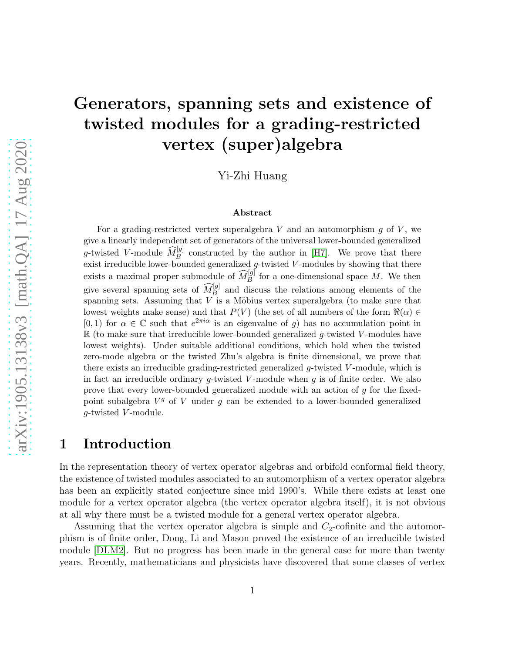# Generators, spanning sets and existence of twisted modules for a grading-restricted vertex (super)algebra

Yi-Zhi Huang

#### Abstract

For a grading-restricted vertex superalgebra  $V$  and an automorphism  $g$  of  $V$ , we give a linearly independent set of generators of the universal lower-bounded generalized g-twisted V-module  $\widehat{M}_{B}^{[g]}$  constructed by the author in [\[H7\]](#page-40-0). We prove that there exist irreducible lower-bounded generalized  $g$ -twisted  $V$ -modules by showing that there exists a maximal proper submodule of  $\widehat{M}_{B}^{[g]}$  for a one-dimensional space M. We then give several spanning sets of  $\widehat{M}_B^{[g]}$  and discuss the relations among elements of the spanning sets. Assuming that  $V$  is a Möbius vertex superalgebra (to make sure that lowest weights make sense) and that  $P(V)$  (the set of all numbers of the form  $\Re(\alpha) \in$  $[0, 1)$  for  $\alpha \in \mathbb{C}$  such that  $e^{2\pi i \alpha}$  is an eigenvalue of g) has no accumulation point in  $\mathbb R$  (to make sure that irreducible lower-bounded generalized g-twisted V-modules have lowest weights). Under suitable additional conditions, which hold when the twisted zero-mode algebra or the twisted Zhu's algebra is finite dimensional, we prove that there exists an irreducible grading-restricted generalized  $q$ -twisted V-module, which is in fact an irreducible ordinary g-twisted V-module when  $g$  is of finite order. We also prove that every lower-bounded generalized module with an action of  $g$  for the fixedpoint subalgebra  $V^g$  of V under  $g$  can be extended to a lower-bounded generalized  $g$ -twisted  $V$ -module.

#### 1 Introduction

In the representation theory of vertex operator algebras and orbifold conformal field theory, the existence of twisted modules associated to an automorphism of a vertex operator algebra has been an explicitly stated conjecture since mid 1990's. While there exists at least one module for a vertex operator algebra (the vertex operator algebra itself), it is not obvious at all why there must be a twisted module for a general vertex operator algebra.

Assuming that the vertex operator algebra is simple and  $C_2$ -cofinite and the automorphism is of finite order, Dong, Li and Mason proved the existence of an irreducible twisted module [\[DLM2\]](#page-39-0). But no progress has been made in the general case for more than twenty years. Recently, mathematicians and physicists have discovered that some classes of vertex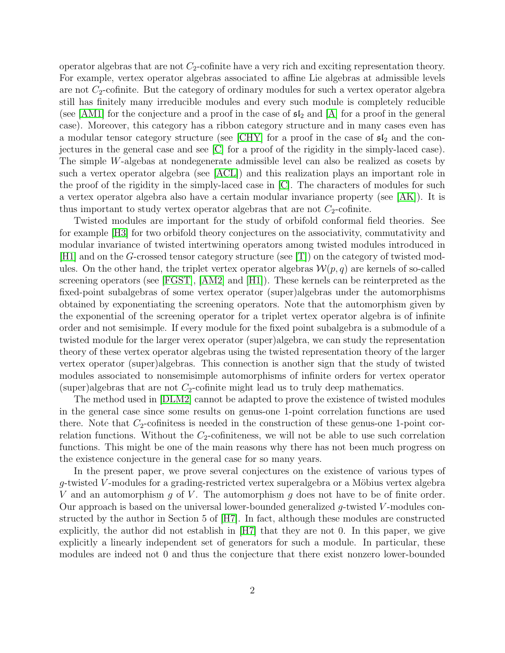operator algebras that are not  $C_2$ -cofinite have a very rich and exciting representation theory. For example, vertex operator algebras associated to affine Lie algebras at admissible levels are not  $C_2$ -cofinite. But the category of ordinary modules for such a vertex operator algebra still has finitely many irreducible modules and every such module is completely reducible (see [\[AM1\]](#page-38-0) for the conjecture and a proof in the case of  $\mathfrak{sl}_2$  and [\[A\]](#page-38-1) for a proof in the general case). Moreover, this category has a ribbon category structure and in many cases even has a modular tensor category structure (see [\[CHY\]](#page-39-1) for a proof in the case of  $\mathfrak{sl}_2$  and the conjectures in the general case and see [\[C\]](#page-39-2) for a proof of the rigidity in the simply-laced case). The simple W-algebas at nondegenerate admissible level can also be realized as cosets by such a vertex operator algebra (see [\[ACL\]](#page-39-3)) and this realization plays an important role in the proof of the rigidity in the simply-laced case in [\[C\]](#page-39-2). The characters of modules for such a vertex operator algebra also have a certain modular invariance property (see [\[AK\]](#page-39-4)). It is thus important to study vertex operator algebras that are not  $C_2$ -cofinite.

Twisted modules are important for the study of orbifold conformal field theories. See for example [\[H3\]](#page-39-5) for two orbifold theory conjectures on the associativity, commutativity and modular invariance of twisted intertwining operators among twisted modules introduced in  $[H1]$  and on the G-crossed tensor category structure (see  $[T]$ ) on the category of twisted modules. On the other hand, the triplet vertex operator algebras  $\mathcal{W}(p,q)$  are kernels of so-called screening operators (see [\[FGST\]](#page-39-7), [\[AM2\]](#page-38-2) and [\[H1\]](#page-39-6)). These kernels can be reinterpreted as the fixed-point subalgebras of some vertex operator (super)algebras under the automorphisms obtained by exponentiating the screening operators. Note that the automorphism given by the exponential of the screening operator for a triplet vertex operator algebra is of infinite order and not semisimple. If every module for the fixed point subalgebra is a submodule of a twisted module for the larger verex operator (super)algebra, we can study the representation theory of these vertex operator algebras using the twisted representation theory of the larger vertex operator (super)algebras. This connection is another sign that the study of twisted modules associated to nonsemisimple automorphisms of infinite orders for vertex operator (super)algebras that are not  $C_2$ -cofinite might lead us to truly deep mathematics.

The method used in [\[DLM2\]](#page-39-0) cannot be adapted to prove the existence of twisted modules in the general case since some results on genus-one 1-point correlation functions are used there. Note that  $C_2$ -cofinitess is needed in the construction of these genus-one 1-point correlation functions. Without the  $C_2$ -cofiniteness, we will not be able to use such correlation functions. This might be one of the main reasons why there has not been much progress on the existence conjecture in the general case for so many years.

In the present paper, we prove several conjectures on the existence of various types of  $g$ -twisted V-modules for a grading-restricted vertex superalgebra or a Möbius vertex algebra V and an automorphism q of V. The automorphism q does not have to be of finite order. Our approach is based on the universal lower-bounded generalized  $g$ -twisted  $V$ -modules constructed by the author in Section 5 of [\[H7\]](#page-40-0). In fact, although these modules are constructed explicitly, the author did not establish in [\[H7\]](#page-40-0) that they are not 0. In this paper, we give explicitly a linearly independent set of generators for such a module. In particular, these modules are indeed not 0 and thus the conjecture that there exist nonzero lower-bounded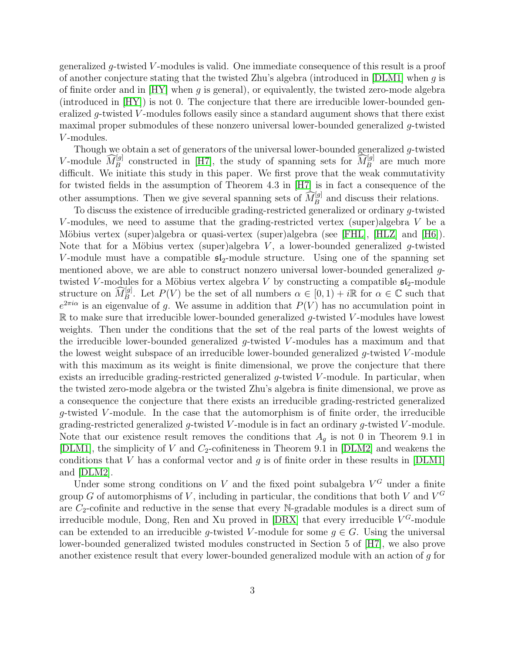generalized g-twisted V-modules is valid. One immediate consequence of this result is a proof of another conjecture stating that the twisted Zhu's algebra (introduced in  $[DLM1]$  when g is of finite order and in  $[HY]$  when g is general), or equivalently, the twisted zero-mode algebra (introduced in [\[HY\]](#page-40-2)) is not 0. The conjecture that there are irreducible lower-bounded generalized  $q$ -twisted V-modules follows easily since a standard augument shows that there exist maximal proper submodules of these nonzero universal lower-bounded generalized g-twisted V-modules.

Though we obtain a set of generators of the universal lower-bounded generalized g-twisted V-module  $\widehat{M}_B^{[g]}$  constructed in [\[H7\]](#page-40-0), the study of spanning sets for  $\widehat{M}_B^{[g]}$  are much more difficult. We initiate this study in this paper. We first prove that the weak commutativity for twisted fields in the assumption of Theorem 4.3 in [\[H7\]](#page-40-0) is in fact a consequence of the other assumptions. Then we give several spanning sets of  $\widehat{M}_{B}^{[g]}$  and discuss their relations.

To discuss the existence of irreducible grading-restricted generalized or ordinary g-twisted V-modules, we need to assume that the grading-restricted vertex (super)algebra  $V$  be a Möbius vertex (super)algebra or quasi-vertex (super)algebra (see [\[FHL\]](#page-39-9), [\[HLZ\]](#page-40-3) and [\[H6\]](#page-40-4)). Note that for a Möbius vertex (super)algebra  $V$ , a lower-bounded generalized g-twisted V-module must have a compatible  $\mathfrak{sl}_2$ -module structure. Using one of the spanning set mentioned above, we are able to construct nonzero universal lower-bounded generalized gtwisted V-modules for a Möbius vertex algebra V by constructing a compatible  $\mathfrak{sl}_2$ -module structure on  $\widehat{M}_{B}^{[g]}$ . Let  $P(V)$  be the set of all numbers  $\alpha \in [0,1) + i\mathbb{R}$  for  $\alpha \in \mathbb{C}$  such that  $e^{2\pi i\alpha}$  is an eigenvalue of g. We assume in addition that  $P(V)$  has no accumulation point in  $\mathbb R$  to make sure that irreducible lower-bounded generalized q-twisted V-modules have lowest weights. Then under the conditions that the set of the real parts of the lowest weights of the irreducible lower-bounded generalized  $q$ -twisted V-modules has a maximum and that the lowest weight subspace of an irreducible lower-bounded generalized g-twisted V -module with this maximum as its weight is finite dimensional, we prove the conjecture that there exists an irreducible grading-restricted generalized  $g$ -twisted V-module. In particular, when the twisted zero-mode algebra or the twisted Zhu's algebra is finite dimensional, we prove as a consequence the conjecture that there exists an irreducible grading-restricted generalized  $q$ -twisted V-module. In the case that the automorphism is of finite order, the irreducible grading-restricted generalized  $g$ -twisted V-module is in fact an ordinary  $g$ -twisted V-module. Note that our existence result removes the conditions that  $A<sub>g</sub>$  is not 0 in Theorem 9.1 in [\[DLM1\]](#page-39-8), the simplicity of  $V$  and  $C_2$ -cofiniteness in Theorem 9.1 in [\[DLM2\]](#page-39-0) and weakens the conditions that V has a conformal vector and  $g$  is of finite order in these results in [\[DLM1\]](#page-39-8) and [\[DLM2\]](#page-39-0).

Under some strong conditions on  $V$  and the fixed point subalgebra  $V^G$  under a finite group G of automorphisms of V, including in particular, the conditions that both V and  $V^G$ are  $C_2$ -cofinite and reductive in the sense that every N-gradable modules is a direct sum of irreducible module, Dong, Ren and Xu proved in  $[DRX]$  that every irreducible  $V^G$ -module can be extended to an irreducible q-twisted V-module for some  $q \in G$ . Using the universal lower-bounded generalized twisted modules constructed in Section 5 of [\[H7\]](#page-40-0), we also prove another existence result that every lower-bounded generalized module with an action of g for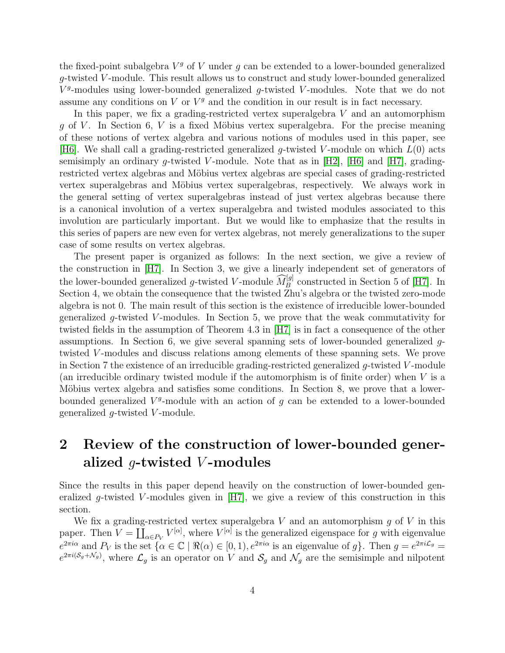the fixed-point subalgebra  $V<sup>g</sup>$  of V under g can be extended to a lower-bounded generalized g-twisted V -module. This result allows us to construct and study lower-bounded generalized  $V<sup>g</sup>$ -modules using lower-bounded generalized g-twisted V-modules. Note that we do not assume any conditions on  $V$  or  $V<sup>g</sup>$  and the condition in our result is in fact necessary.

In this paper, we fix a grading-restricted vertex superalgebra  $V$  and an automorphism q of V. In Section 6, V is a fixed Möbius vertex superalgebra. For the precise meaning of these notions of vertex algebra and various notions of modules used in this paper, see [\[H6\]](#page-40-4). We shall call a grading-restricted generalized g-twisted V-module on which  $L(0)$  acts semisimply an ordinary g-twisted V-module. Note that as in [\[H2\]](#page-39-11), [\[H6\]](#page-40-4) and [\[H7\]](#page-40-0), gradingrestricted vertex algebras and Möbius vertex algebras are special cases of grading-restricted vertex superalgebras and Möbius vertex superalgebras, respectively. We always work in the general setting of vertex superalgebras instead of just vertex algebras because there is a canonical involution of a vertex superalgebra and twisted modules associated to this involution are particularly important. But we would like to emphasize that the results in this series of papers are new even for vertex algebras, not merely generalizations to the super case of some results on vertex algebras.

The present paper is organized as follows: In the next section, we give a review of the construction in [\[H7\]](#page-40-0). In Section 3, we give a linearly independent set of generators of the lower-bounded generalized g-twisted V-module  $\widehat{M}_{B}^{[g]}$  constructed in Section 5 of [\[H7\]](#page-40-0). In Section 4, we obtain the consequence that the twisted Zhu's algebra or the twisted zero-mode algebra is not 0. The main result of this section is the existence of irreducible lower-bounded generalized g-twisted V-modules. In Section 5, we prove that the weak commutativity for twisted fields in the assumption of Theorem 4.3 in [\[H7\]](#page-40-0) is in fact a consequence of the other assumptions. In Section 6, we give several spanning sets of lower-bounded generalized gtwisted V-modules and discuss relations among elements of these spanning sets. We prove in Section 7 the existence of an irreducible grading-restricted generalized  $q$ -twisted V-module (an irreducible ordinary twisted module if the automorphism is of finite order) when V is a Möbius vertex algebra and satisfies some conditions. In Section 8, we prove that a lowerbounded generalized  $V<sup>g</sup>$ -module with an action of g can be extended to a lower-bounded generalized  $q$ -twisted V-module.

## 2 Review of the construction of lower-bounded generalized  $q$ -twisted V-modules

Since the results in this paper depend heavily on the construction of lower-bounded generalized g-twisted V-modules given in  $[H7]$ , we give a review of this construction in this section.

We fix a grading-restricted vertex superalgebra  $V$  and an automorphism  $g$  of  $V$  in this paper. Then  $V = \coprod_{\alpha \in P_V} V^{[\alpha]}$ , where  $V^{[\alpha]}$  is the generalized eigenspace for g with eigenvalue  $e^{2\pi i\alpha}$  and  $P_V$  is the set  $\{\alpha \in \mathbb{C} \mid \Re(\alpha) \in [0,1), e^{2\pi i\alpha}$  is an eigenvalue of g. Then  $g = e^{2\pi i\mathcal{L}_g}$  $e^{2\pi i(\mathcal{S}_g+\mathcal{N}_g)}$ , where  $\mathcal{L}_g$  is an operator on V and  $\mathcal{S}_g$  and  $\mathcal{N}_g$  are the semisimple and nilpotent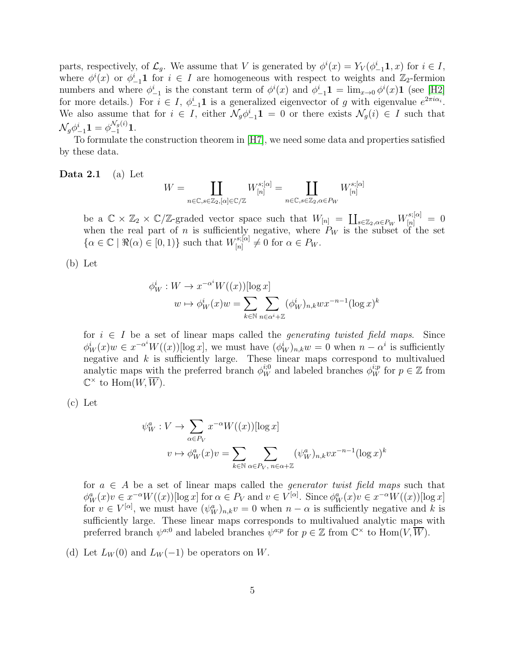parts, respectively, of  $\mathcal{L}_g$ . We assume that V is generated by  $\phi^i(x) = Y_V(\phi^i_{-1}\mathbf{1}, x)$  for  $i \in I$ , where  $\phi^i(x)$  or  $\phi^i_{-1}$ **1** for  $i \in I$  are homogeneous with respect to weights and  $\mathbb{Z}_2$ -fermion numbers and where  $\phi_{-1}^i$  is the constant term of  $\phi^i(x)$  and  $\phi_{-1}^i \mathbf{1} = \lim_{x\to 0} \phi^i(x) \mathbf{1}$  (see [\[H2\]](#page-39-11) for more details.) For  $i \in I$ ,  $\phi_{-1}^i \mathbf{1}$  is a generalized eigenvector of g with eigenvalue  $e^{2\pi i \alpha_i}$ . We also assume that for  $i \in I$ , either  $\mathcal{N}_g \phi_{-1}^i \mathbf{1} = 0$  or there exists  $\mathcal{N}_g(i) \in I$  such that  $\mathcal{N}_g \phi^i_{-1}\mathbf{1} = \phi^{\mathcal{N}_g(i)}_{-1}\mathbf{1}.$ 

<span id="page-4-0"></span>To formulate the construction theorem in [\[H7\]](#page-40-0), we need some data and properties satisfied by these data.

#### Data 2.1 (a) Let

$$
W=\coprod_{n\in\mathbb{C},s\in\mathbb{Z}_2,[\alpha]\in\mathbb{C}/\mathbb{Z}}W^{s,[\alpha]}_{[n]}=\coprod_{n\in\mathbb{C},s\in\mathbb{Z}_2,\alpha\in P_W}W^{s,[\alpha]}_{[n]}
$$

be a  $\mathbb{C} \times \mathbb{Z}_2 \times \mathbb{C}/\mathbb{Z}$ -graded vector space such that  $W_{[n]} = \coprod_{s \in \mathbb{Z}_2, \alpha \in P_W} W_{[n]}^{s; [\alpha]} = 0$ when the real part of n is sufficiently negative, where  $P_W$  is the subset of the set  $\{\alpha \in \mathbb{C} \mid \Re(\alpha) \in [0,1)\}\$  such that  $W_{[n]}^{s; [\alpha]}$  $\begin{array}{c} \Gamma^{s;[\alpha]} \ [n] \end{array} \neq 0 \text{ for } \alpha \in P_W.$ 

(b) Let

$$
\phi_W^i: W \to x^{-\alpha^i} W((x))[\log x]
$$

$$
w \mapsto \phi_W^i(x)w = \sum_{k \in \mathbb{N}} \sum_{n \in \alpha^i + \mathbb{Z}} (\phi_W^i)_{n,k} w x^{-n-1} (\log x)^k
$$

for  $i \in I$  be a set of linear maps called the *generating twisted field maps*. Since  $\phi_W^i(x)w \in x^{-\alpha^i}W((x))$ [log x], we must have  $(\phi_W^i)_{n,k}w = 0$  when  $n - \alpha^i$  is sufficiently negative and  $k$  is sufficiently large. These linear maps correspond to multivalued analytic maps with the preferred branch  $\phi_W^{i,0}$  and labeled branches  $\phi_W^{i,p}$  for  $p \in \mathbb{Z}$  from  $\mathbb{C}^\times$  to  $\text{Hom}(W,\overline{W})$ .

$$
(c) Let
$$

$$
\psi_W^a : V \to \sum_{\alpha \in P_V} x^{-\alpha} W((x)) [\log x]
$$
  

$$
v \mapsto \phi_W^a(x) v = \sum_{k \in \mathbb{N}} \sum_{\alpha \in P_V, n \in \alpha + \mathbb{Z}} (\psi_W^a)_{n,k} v x^{-n-1} (\log x)^k
$$

for  $a \in A$  be a set of linear maps called the *generator twist field maps* such that  $\phi_W^a(x)v \in x^{-\alpha}W((x))[\log x]$  for  $\alpha \in P_V$  and  $v \in V^{[\alpha]}$ . Since  $\phi_W^a(x)v \in x^{-\alpha}W((x))[\log x]$ for  $v \in V^{[\alpha]}$ , we must have  $(\psi_W^a)_{n,k}v = 0$  when  $n - \alpha$  is sufficiently negative and k is sufficiently large. These linear maps corresponds to multivalued analytic maps with preferred branch  $\psi^{a,0}$  and labeled branches  $\psi^{a,p}$  for  $p \in \mathbb{Z}$  from  $\mathbb{C}^{\times}$  to  $\text{Hom}(V, \overline{W})$ .

(d) Let  $L_W(0)$  and  $L_W(-1)$  be operators on W.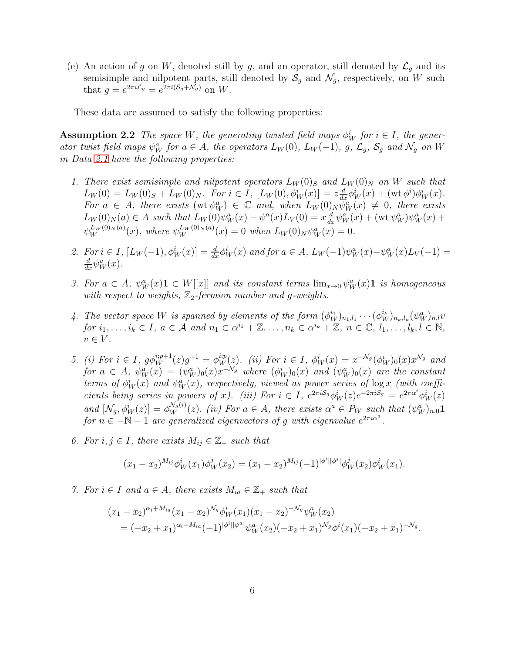(e) An action of g on W, denoted still by g, and an operator, still denoted by  $\mathcal{L}_g$  and its semisimple and nilpotent parts, still denoted by  $S_g$  and  $\mathcal{N}_g$ , respectively, on W such that  $g = e^{2\pi i \mathcal{L}_g} = e^{2\pi i (\mathcal{S}_g + \mathcal{N}_g)}$  on W.

<span id="page-5-0"></span>These data are assumed to satisfy the following properties:

**Assumption 2.2** The space W, the generating twisted field maps  $\phi_W^i$  for  $i \in I$ , the generator twist field maps  $\psi_W^a$  for  $a \in A$ , the operators  $L_W(0)$ ,  $L_W(-1)$ , g,  $\mathcal{L}_g$ ,  $\mathcal{S}_g$  and  $\mathcal{N}_g$  on W in Data [2.1](#page-4-0) have the following properties:

- 1. There exist semisimple and nilpotent operators  $L_W(0)_S$  and  $L_W(0)_N$  on W such that  $L_W(0) = L_W(0)_S + L_W(0)_N$ . For  $i \in I$ ,  $[L_W(0), \phi^i_W(x)] = z \frac{d}{dx} \phi^i_W(x) + (\text{wt } \phi^i) \phi^i_W(x)$ . For  $a \in A$ , there exists  $(\text{wt } \psi_W^a) \in \mathbb{C}$  and, when  $L_W(0)_N \psi_W^a(x) \neq 0$ , there exists  $L_W(0)_N(a) \in A$  such that  $L_W(0)\psi_W^a(x) - \psi^a(x)L_V(0) = x\frac{d}{dx}\psi_W^a(x) + (\text{wt }\psi_W^a)\psi_W^a(x) +$  $\psi_W^{L_W(0)_N(a)}(x)$ , where  $\psi_W^{L_W(0)_N(a)}(x) = 0$  when  $L_W(0)_N \psi_W^a(x) = 0$ .
- 2. For  $i \in I$ ,  $[L_W(-1), \phi_W^i(x)] = \frac{d}{dx} \phi_W^i(x)$  and for  $a \in A$ ,  $L_W(-1) \psi_W^a(x) \psi_W^a(x) L_V(-1) =$  $\frac{d}{dx}\psi_W^a(x)$ .
- 3. For  $a \in A$ ,  $\psi_W^a(x) \mathbf{1} \in W[[x]]$  and its constant terms  $\lim_{x\to 0} \psi_W^a(x) \mathbf{1}$  is homogeneous with respect to weights,  $\mathbb{Z}_2$ -fermion number and g-weights.
- 4. The vector space W is spanned by elements of the form  $(\phi_W^{i_1})_{n_1,l_1}\cdots(\phi_W^{i_k})_{n_k,l_k}(\psi_W^a)_{n,l}v$ for  $i_1, \ldots, i_k \in I$ ,  $a \in \mathcal{A}$  and  $n_1 \in \alpha^{i_1} + \mathbb{Z}, \ldots, n_k \in \alpha^{i_k} + \mathbb{Z}, n \in \mathbb{C}, l_1, \ldots, l_k, l \in \mathbb{N}$ ,  $v \in V$ .
- 5. (i) For  $i \in I$ ,  $g\phi_W^{i:p+1}(z)g^{-1} = \phi_W^{i:p}(z)$ . (ii) For  $i \in I$ ,  $\phi_W^{i}(x) = x^{-\mathcal{N}_g}(\phi_W^{i})_0(x)x^{\mathcal{N}_g}$  and for  $a \in A$ ,  $\psi_W^a(x) = (\psi_W^a)_0(x) x^{-\mathcal{N}_g}$  where  $(\phi_W^i)_0(x)$  and  $(\psi_W^a)_0(x)$  are the constant terms of  $\phi_W^i(x)$  and  $\psi_W^a(x)$ , respectively, viewed as power series of  $\log x$  (with coefficients being series in powers of x). (iii) For  $i \in I$ ,  $e^{2\pi i S_g} \phi_W^i(z) e^{-2\pi i S_g} = e^{2\pi \alpha^i} \phi_W^i(z)$ and  $[\mathcal{N}_g, \phi^i_W(z)] = \phi^{N_g(i)}_W(z)$ . (iv) For  $a \in A$ , there exists  $\alpha^a \in P_W$  such that  $(\psi^a_W)_{n,0}$ 1 for  $n \in -\mathbb{N} - 1$  are generalized eigenvectors of g with eigenvalue  $e^{2\pi i \alpha^a}$ .
- 6. For  $i, j \in I$ , there exists  $M_{ij} \in \mathbb{Z}_+$  such that

$$
(x_1 - x_2)^{M_{ij}} \phi^i_W(x_1) \phi^j_W(x_2) = (x_1 - x_2)^{M_{ij}} (-1)^{|\phi^i||\phi^j|} \phi^j_W(x_2) \phi^i_W(x_1).
$$

7. For  $i \in I$  and  $a \in A$ , there exists  $M_{ia} \in \mathbb{Z}_+$  such that

$$
(x_1 - x_2)^{\alpha_i + M_{ia}} (x_1 - x_2)^{\mathcal{N}_g} \phi_W^i(x_1) (x_1 - x_2)^{-\mathcal{N}_g} \psi_W^a(x_2)
$$
  
=  $(-x_2 + x_1)^{\alpha_i + M_{ia}} (-1)^{|\phi^i||\psi^a|} \psi_W^a(x_2) (-x_2 + x_1)^{\mathcal{N}_g} \phi^i(x_1) (-x_2 + x_1)^{-\mathcal{N}_g}.$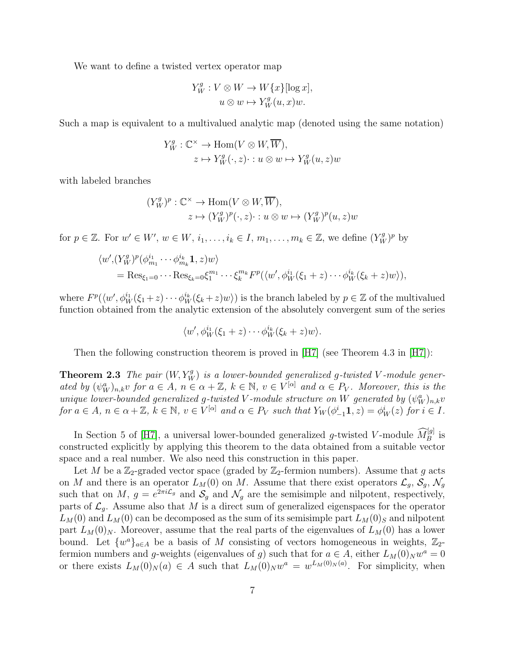We want to define a twisted vertex operator map

$$
Y_W^g: V \otimes W \to W\{x\}[\log x],
$$
  

$$
u \otimes w \mapsto Y_W^g(u, x)w.
$$

Such a map is equivalent to a multivalued analytic map (denoted using the same notation)

$$
Y_W^g: \mathbb{C}^\times \to \text{Hom}(V \otimes W, \overline{W}),
$$
  

$$
z \mapsto Y_W^g(\cdot, z) \cdot : u \otimes w \mapsto Y_W^g(u, z)w
$$

with labeled branches

$$
(Y_W^g)^p : \mathbb{C}^\times \to \text{Hom}(V \otimes W, \overline{W}),
$$
  

$$
z \mapsto (Y_W^g)^p(\cdot, z) \cdot : u \otimes w \mapsto (Y_W^g)^p(u, z)w
$$

for  $p \in \mathbb{Z}$ . For  $w' \in W'$ ,  $w \in W$ ,  $i_1, \ldots, i_k \in I$ ,  $m_1, \ldots, m_k \in \mathbb{Z}$ , we define  $(Y_W^g)^p$  by

$$
\langle w', (Y_W^g)^p (\phi_{m_1}^{i_1} \cdots \phi_{m_k}^{i_k} \mathbf{1}, z) w \rangle
$$
  
= Res <sub>$\xi_1=0$</sub>   $\cdots$  Res <sub>$\xi_k=0$</sub>  $\xi_1^{m_1} \cdots \xi_k^{m_k} F^p (\langle w', \phi_W^{i_1} (\xi_1 + z) \cdots \phi_W^{i_k} (\xi_k + z) w \rangle),$ 

where  $F^p(\langle w', \phi_W^{i_1}(\xi_1+z)\cdots\phi_W^{i_k}(\xi_k+z)w\rangle)$  is the branch labeled by  $p\in\mathbb{Z}$  of the multivalued function obtained from the analytic extension of the absolutely convergent sum of the series

$$
\langle w', \phi_W^{i_1}(\xi_1+z)\cdots \phi_W^{i_k}(\xi_k+z)w\rangle.
$$

<span id="page-6-0"></span>Then the following construction theorem is proved in [\[H7\]](#page-40-0) (see Theorem 4.3 in [\[H7\]](#page-40-0)):

**Theorem 2.3** The pair  $(W, Y_W^g)$  is a lower-bounded generalized g-twisted V-module generated by  $(\psi_W^a)_{n,k}$  for  $a \in A$ ,  $n \in \alpha + \mathbb{Z}$ ,  $k \in \mathbb{N}$ ,  $v \in V^{[\alpha]}$  and  $\alpha \in P_V$ . Moreover, this is the unique lower-bounded generalized g-twisted V-module structure on W generated by  $(\psi_W^a)_{n,k}$ v for  $a \in A$ ,  $n \in \alpha + \mathbb{Z}$ ,  $k \in \mathbb{N}$ ,  $v \in V^{[\alpha]}$  and  $\alpha \in P_V$  such that  $Y_W(\phi_{-1}^i \mathbf{1}, z) = \phi_W^i(z)$  for  $i \in I$ .

In Section 5 of [\[H7\]](#page-40-0), a universal lower-bounded generalized g-twisted V-module  $\widehat{M}_{B}^{[g]}$  is constructed explicitly by applying this theorem to the data obtained from a suitable vector space and a real number. We also need this construction in this paper.

Let M be a  $\mathbb{Z}_2$ -graded vector space (graded by  $\mathbb{Z}_2$ -fermion numbers). Assume that g acts on M and there is an operator  $L_M(0)$  on M. Assume that there exist operators  $\mathcal{L}_g$ ,  $\mathcal{S}_g$ ,  $\mathcal{N}_g$ such that on M,  $g = e^{2\pi i \mathcal{L}_g}$  and  $\mathcal{S}_g$  and  $\mathcal{N}_g$  are the semisimple and nilpotent, respectively, parts of  $\mathcal{L}_g$ . Assume also that M is a direct sum of generalized eigenspaces for the operator  $L_M(0)$  and  $L_M(0)$  can be decomposed as the sum of its semisimple part  $L_M(0)_S$  and nilpotent part  $L_M(0)_N$ . Moreover, assume that the real parts of the eigenvalues of  $L_M(0)$  has a lower bound. Let  $\{w^a\}_{a\in A}$  be a basis of M consisting of vectors homogeneous in weights,  $\mathbb{Z}_2$ fermion numbers and g-weights (eigenvalues of g) such that for  $a \in A$ , either  $L_M(0)_N w^a = 0$ or there exists  $L_M(0)_N(a) \in A$  such that  $L_M(0)_N w^a = w^{L_M(0)_N(a)}$ . For simplicity, when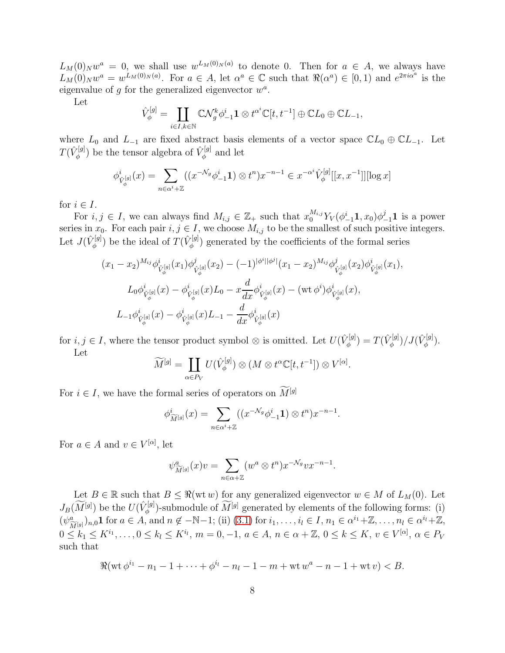$L_M(0)_N w^a = 0$ , we shall use  $w^{L_M(0)_N(a)}$  to denote 0. Then for  $a \in A$ , we always have  $L_M(0)_N w^a = w^{L_M(0)_N(a)}$ . For  $a \in A$ , let  $\alpha^a \in \mathbb{C}$  such that  $\Re(\alpha^a) \in [0,1)$  and  $e^{2\pi i \alpha^a}$  is the eigenvalue of  $g$  for the generalized eigenvector  $w^a$ .

Let

$$
\hat{V}^{[g]}_{\phi} = \coprod_{i \in I, k \in \mathbb{N}} \mathbb{C} \mathcal{N}^k_g \phi^i_{-1} \mathbf{1} \otimes t^{\alpha^i} \mathbb{C}[t, t^{-1}] \oplus \mathbb{C} L_0 \oplus \mathbb{C} L_{-1},
$$

where  $L_0$  and  $L_{-1}$  are fixed abstract basis elements of a vector space  $\mathbb{C}L_0 \oplus \mathbb{C}L_{-1}$ . Let  $T(\hat{V}^{[g]}_{\phi}$  $(\mathcal{V}_{\phi}^{[g]})$  be the tensor algebra of  $\hat{V}_{\phi}^{[g]}$  $\varphi^{\text{[9]}}$  and let

$$
\phi_{\hat{V}_{\phi}^{[g]}}^{i}(x) = \sum_{n \in \alpha^{i} + \mathbb{Z}} ((x^{-\mathcal{N}_g} \phi_{-1}^{i} \mathbf{1}) \otimes t^n) x^{-n-1} \in x^{-\alpha^{i}} \hat{V}_{\phi}^{[g]}[[x, x^{-1}]][\log x]
$$

for  $i \in I$ .

For  $i, j \in I$ , we can always find  $M_{i,j} \in \mathbb{Z}_+$  such that  $x_0^{M_{i,j}} Y_V(\phi_{-1}^i \mathbf{1}, x_0) \phi_{-1}^j \mathbf{1}$  is a power series in  $x_0$ . For each pair  $i, j \in I$ , we choose  $M_{i,j}$  to be the smallest of such positive integers. Let  $J(\hat{V}_{\phi}^{[g]}$  $(\mathcal{F}_{\phi}^{[g]})$  be the ideal of  $T(\hat{V}_{\phi}^{[g]})$  $\phi_{\phi}^{[\mathcal{G}]}$  generated by the coefficients of the formal series

$$
(x_1 - x_2)^{M_{ij}} \phi_{\hat{V}_{\phi}^{[g]}}^i(x_1) \phi_{\hat{V}_{\phi}^{[g]}}^j(x_2) - (-1)^{|\phi^i||\phi^j|}(x_1 - x_2)^{M_{ij}} \phi_{\hat{V}_{\phi}^{[g]}}^j(x_2) \phi_{\hat{V}_{\phi}^{[g]}}^i(x_1),
$$
  

$$
L_0 \phi_{\hat{V}_{\phi}^{[g]}}^i(x) - \phi_{\hat{V}_{\phi}^{[g]}}^i(x) L_0 - x \frac{d}{dx} \phi_{\hat{V}_{\phi}^{[g]}}^i(x) - (\text{wt } \phi^i) \phi_{\hat{V}_{\phi}^{[g]}}^i(x),
$$
  

$$
L_{-1} \phi_{\hat{V}_{\phi}^{[g]}}^i(x) - \phi_{\hat{V}_{\phi}^{[g]}}^i(x) L_{-1} - \frac{d}{dx} \phi_{\hat{V}_{\phi}^{[g]}}^i(x)
$$

for  $i, j \in I$ , where the tensor product symbol ⊗ is omitted. Let  $U(\hat{V}_{\phi}^{[g]})$  $\mathcal{J}_{\phi}^{[g]})=T(\hat{V}_{\phi}^{[g]}% )\mathcal{J}_{\phi}^{[g]}(\theta)$  $\langle \phi^{[g]} \rangle / J (\hat{V}^{[g]}_\phi)$  $\frac{\varphi^{[g]}}{\phi}).$ Let

$$
\widetilde{M}^{[g]} = \coprod_{\alpha \in P_V} U(\hat{V}_{\phi}^{[g]}) \otimes (M \otimes t^{\alpha} \mathbb{C}[t, t^{-1}]) \otimes V^{[\alpha]}.
$$

For  $i \in I$ , we have the formal series of operators on  $\widetilde{M}^{[g]}$ 

$$
\phi_{\widetilde{M}^{[g]}}^{i}(x) = \sum_{n \in \alpha^{i} + \mathbb{Z}} ((x^{-\mathcal{N}_g} \phi_{-1}^{i} \mathbf{1}) \otimes t^n) x^{-n-1}.
$$

For  $a \in A$  and  $v \in V^{[\alpha]}$ , let

$$
\psi^a_{\widetilde{M}^{[g]}}(x)v = \sum_{n \in \alpha + \mathbb{Z}} (w^a \otimes t^n) x^{-\mathcal{N}_g} v x^{-n-1}.
$$

Let  $B \in \mathbb{R}$  such that  $B \leq \Re(\omega w)$  for any generalized eigenvector  $w \in M$  of  $L_M(0)$ . Let  $J_B(\widetilde{M}^{[g]})$  be the  $U(\hat{V}_{\phi}^{[g]})$ <sup> $\chi^{[g]}_{\phi}$ </sup>)-submodule of  $M^{[g]}$  generated by elements of the following forms: (i)  $(\psi^a_{\widetilde{M}^{[g]}})_{n,0}$ **1** for  $a \in A$ , and  $n \notin -\mathbb{N}-1$ ; (ii) [\(3.1\)](#page-9-0) for  $i_1, \ldots, i_l \in I$ ,  $n_1 \in \alpha^{i_1}+\mathbb{Z}, \ldots, n_l \in \alpha^{i_l}+\mathbb{Z}$ ,  $0 \leq k_1 \leq K^{i_1}, \ldots, 0 \leq k_l \leq K^{i_l}, m = 0, -1, a \in A, n \in \alpha + \mathbb{Z}, 0 \leq k \leq K, v \in V^{[\alpha]}, \alpha \in P_V$ such that

$$
\Re(\text{wt}\,\phi^{i_1}-n_1-1+\cdots+\phi^{i_l}-n_l-1-m+\text{wt}\,w^a-n-1+\text{wt}\,v)
$$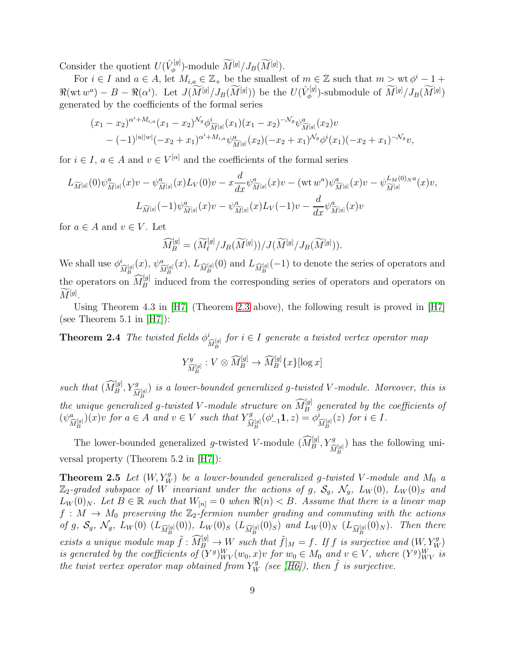Consider the quotient  $U(\hat{V}_{\phi}^{[g]})$  $N^{[g]}_{\phi}$ )-module  $M^{[g]}/J_B(M^{[g]})$ .

For  $i \in I$  and  $a \in A$ , let  $M_{i,a} \in \mathbb{Z}_+$  be the smallest of  $m \in \mathbb{Z}$  such that  $m > \text{wt } \phi^i - 1 +$  $\Re(\text{wt }w^a) - B - \Re(\alpha^i)$ . Let  $J(\widetilde{M}^{[g]}/J_B(\widetilde{M}^{[g]}))$  be the  $U(\hat{V}_{\phi}^{[g]})$  $\mathbb{Z}_{\phi}^{[g]}$ )-submodule of  $M^{[g]}/J_B(M^{[g]})$ generated by the coefficients of the formal series

$$
(x_1 - x_2)^{\alpha^i + M_{i,a}} (x_1 - x_2)^{\mathcal{N}_g} \phi^i_{\widetilde{M}^{[g]}}(x_1) (x_1 - x_2)^{-\mathcal{N}_g} \psi^a_{\widetilde{M}^{[g]}}(x_2) v
$$
  
-  $(-1)^{|u||w|} (-x_2 + x_1)^{\alpha^i + M_{i,a}} \psi^a_{\widetilde{M}^{[g]}}(x_2) (-x_2 + x_1)^{\mathcal{N}_g} \phi^i(x_1) (-x_2 + x_1)^{-\mathcal{N}_g} v,$ 

for  $i \in I$ ,  $a \in A$  and  $v \in V^{[\alpha]}$  and the coefficients of the formal series

$$
L_{\widetilde{M}^{[g]}}(0)\psi_{\widetilde{M}^{[g]}}^{a}(x)v - \psi_{\widetilde{M}^{[g]}}^{a}(x)L_{V}(0)v - x\frac{d}{dx}\psi_{\widetilde{M}^{[g]}}^{a}(x)v - (\mathrm{wt} w^{a})\psi_{\widetilde{M}^{[g]}}^{a}(x)v - \psi_{\widetilde{M}^{[g]}}^{L_{M}(0)Na}(x)v,
$$
  

$$
L_{\widetilde{M}^{[g]}}(-1)\psi_{\widetilde{M}^{[g]}}^{a}(x)v - \psi_{\widetilde{M}^{[g]}}^{a}(x)L_{V}(-1)v - \frac{d}{dx}\psi_{\widetilde{M}^{[g]}}^{a}(x)v
$$

for  $a \in A$  and  $v \in V$ . Let

$$
\widehat{M}_{B}^{[g]} = (\widetilde{M}_{\ell}^{[g]}/J_B(\widetilde{M}^{[g]}))/J(\widetilde{M}^{[g]}/J_B(\widetilde{M}^{[g]})).
$$

We shall use  $\phi_{\widehat{M}_{B}^{[g]}}^{i}(x), \psi_{\widehat{M}_{B}^{[g]}}^{a}(x), L_{\widehat{M}_{B}^{[g]}}(0)$  and  $L_{\widehat{M}_{B}^{[g]}}(-1)$  to denote the series of operators and the operators on  $\widehat{M}_B^{[g]}$  induced from the corresponding series of operators and operators on  $M^{[g]}.$ 

Using Theorem 4.3 in [\[H7\]](#page-40-0) (Theorem [2.3](#page-6-0) above), the following result is proved in [\[H7\]](#page-40-0) (see Theorem  $5.1$  in  $[H7]$ ):

**Theorem 2.4** The twisted fields  $\phi^i_{\widehat{M}^{[g]}_B}$  for  $i \in I$  generate a twisted vertex operator map

$$
Y^g_{\widehat{M}_B^{[g]}}: V \otimes \widehat{M}_B^{[g]} \to \widehat{M}_B^{[g]} \{x\} [\log x]
$$

such that  $(\widehat{M}_B^{[g]}, Y_{\widehat{M}_B^{[g]}}^g)$  is a lower-bounded generalized g-twisted V-module. Moreover, this is the unique generalized g-twisted V-module structure on  $\widehat{M}_B^{[g]}$  generated by the coefficients of  $(\psi^a_{\widehat{M}^{[g]}_B})(x)v$  for  $a \in A$  and  $v \in V$  such that  $Y^g_{\widehat{M}}$  $\hat{M}_{B}^{[g]}(\phi_{-1}^{i}\mathbf{1},z) = \phi_{\widehat{M}_{B}^{[g]}}^{i}(z)$  for  $i \in I$ .

The lower-bounded generalized g-twisted V-module  $(\widehat{M}_B^{[g]}, Y_{\widehat{M}_B^{[g]}}^g)$  has the following universal property (Theorem 5.2 in [\[H7\]](#page-40-0)):

<span id="page-8-0"></span>**Theorem 2.5** Let  $(W, Y_W^g)$  be a lower-bounded generalized g-twisted V-module and  $M_0$  a  $\mathbb{Z}_2$ -graded subspace of W invariant under the actions of g,  $\mathcal{S}_q$ ,  $\mathcal{N}_q$ ,  $L_W(0)$ ,  $L_W(0)_S$  and  $L_W(0)_N$ . Let  $B \in \mathbb{R}$  such that  $W_{[n]} = 0$  when  $\Re(n) < B$ . Assume that there is a linear map  $f: M \to M_0$  preserving the  $\mathbb{Z}_2$ -fermion number grading and commuting with the actions of g,  $S_g$ ,  $\mathcal{N}_g$ ,  $L_W(0)$   $(L_{\widehat{M}_B^{[g]}}(0))$ ,  $L_W(0)_S$   $(L_{\widehat{M}_B^{[g]}}(0)_S)$  and  $L_W(0)_N$   $(L_{\widehat{M}_B^{[g]}}(0)_N)$ . Then there exists a unique module map  $\tilde{f}: \widetilde{M}_{B}^{[g]} \to W$  such that  $\tilde{f}|_{M} = f$ . If f is surjective and  $(W, Y_W^g)$ is generated by the coefficients of  $(Y^g)_{WV}^W(w_0, x)v$  for  $w_0 \in M_0$  and  $v \in V$ , where  $(Y^g)_{WV}^W$  is the twist vertex operator map obtained from  $Y_W^g$  (see [\[H6\]](#page-40-4)), then  $\tilde{f}$  is surjective.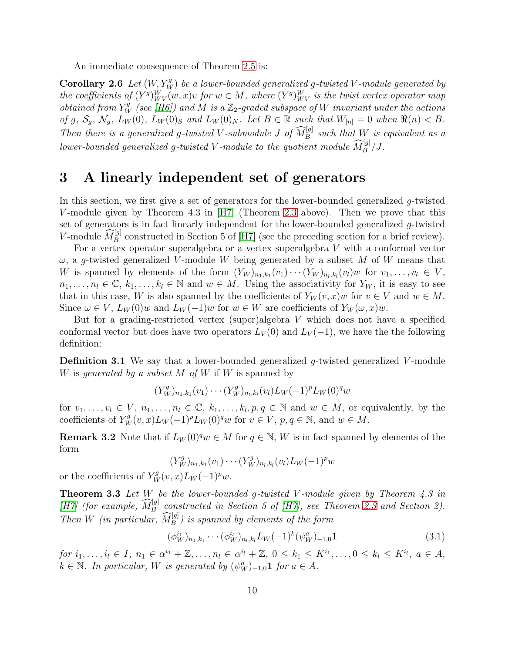An immediate consequence of Theorem [2.5](#page-8-0) is:

**Corollary 2.6** Let  $(W, Y_W^g)$  be a lower-bounded generalized g-twisted V-module generated by the coefficients of  $(Y^g)_{WV}^W(w, x)v$  for  $w \in M$ , where  $(Y^g)_{WV}^W$  is the twist vertex operator map obtained from  $Y_W^g$  (see [\[H6\]](#page-40-4)) and M is a  $\mathbb{Z}_2$ -graded subspace of W invariant under the actions of g,  $S_g$ ,  $\mathcal{N}_g$ ,  $L_W(0)$ ,  $L_W(0)_S$  and  $L_W(0)_N$ . Let  $B \in \mathbb{R}$  such that  $W_{[n]} = 0$  when  $\Re(n) < B$ . Then there is a generalized g-twisted V-submodule J of  $\widehat{M}_{B}^{[g]}$  such that W is equivalent as a lower-bounded generalized g-twisted V-module to the quotient module  $\widehat{M}_B^{[g]}/J$ .

#### 3 A linearly independent set of generators

In this section, we first give a set of generators for the lower-bounded generalized g-twisted V-module given by Theorem 4.3 in  $[H7]$  (Theorem [2.3](#page-6-0) above). Then we prove that this set of generators is in fact linearly independent for the lower-bounded generalized g-twisted V-module  $\widehat{M}_{B}^{[g]}$  constructed in Section 5 of [\[H7\]](#page-40-0) (see the preceding section for a brief review).

For a vertex operator superalgebra or a vertex superalgebra V with a conformal vector  $\omega$ , a g-twisted generalized V-module W being generated by a subset M of W means that W is spanned by elements of the form  $(Y_W)_{n_1,k_1}(v_1)\cdots(Y_W)_{n_l,k_l}(v_l)$  for  $v_1,\ldots,v_l \in V$ ,  $n_1, \ldots, n_l \in \mathbb{C}, k_1, \ldots, k_l \in \mathbb{N}$  and  $w \in M$ . Using the associativity for  $Y_W$ , it is easy to see that in this case, W is also spanned by the coefficients of  $Y_W(v, x)w$  for  $v \in V$  and  $w \in M$ . Since  $\omega \in V$ ,  $L_W(0)w$  and  $L_W(-1)w$  for  $w \in W$  are coefficients of  $Y_W(\omega, x)w$ .

But for a grading-restricted vertex (super)algebra V which does not have a specified conformal vector but does have two operators  $L_V(0)$  and  $L_V(-1)$ , we have the the following definition:

<span id="page-9-2"></span>**Definition 3.1** We say that a lower-bounded generalized g-twisted generalized V-module W is generated by a subset M of W if W is spanned by

 $(Y_W^g)_{n_1,k_1}(v_1)\cdots(Y_W^g)_{n_l,k_l}(v_l)L_W(-1)^pL_W(0)^q w$ 

for  $v_1, \ldots, v_l \in V, n_1, \ldots, n_l \in \mathbb{C}, k_1, \ldots, k_l, p, q \in \mathbb{N}$  and  $w \in M$ , or equivalently, by the coefficients of  $Y_W^g(v, x)L_W(-1)^pL_W(0)^q w$  for  $v \in V$ ,  $p, q \in \mathbb{N}$ , and  $w \in M$ .

**Remark 3.2** Note that if  $L_W(0)^q w \in M$  for  $q \in \mathbb{N}$ , W is in fact spanned by elements of the form

$$
(Y_W^g)_{n_1,k_1}(v_1)\cdots(Y_W^g)_{n_l,k_l}(v_l)L_W(-1)^pw
$$

<span id="page-9-1"></span>or the coefficients of  $Y_W^g(v, x)L_W(-1)^pw$ .

**Theorem 3.3** Let W be the lower-bounded g-twisted V-module given by Theorem 4.3 in [\[H7\]](#page-40-0) (for example,  $\widehat{M}_{B}^{[g]}$  constructed in Section 5 of [\[H7\]](#page-40-0), see Theorem [2.3](#page-6-0) and Section 2). Then W (in particular,  $\widehat{M}_B^{[g]}$ ) is spanned by elements of the form

<span id="page-9-0"></span>
$$
(\phi_W^{i_1})_{n_1,k_1} \cdots (\phi_W^{i_l})_{n_l,k_l} L_W(-1)^k (\psi_W^a)_{-1,0} \mathbf{1}
$$
\n(3.1)

for  $i_1, ..., i_l \in I$ ,  $n_1 \in \alpha^{i_1} + \mathbb{Z}, ..., n_l \in \alpha^{i_l} + \mathbb{Z}, 0 \leq k_1 \leq K^{i_1}, ..., 0 \leq k_l \leq K^{i_l}, a \in A$ ,  $k \in \mathbb{N}$ . In particular, W is generated by  $(\psi_W^a)_{-1,0}$ **1** for  $a \in A$ .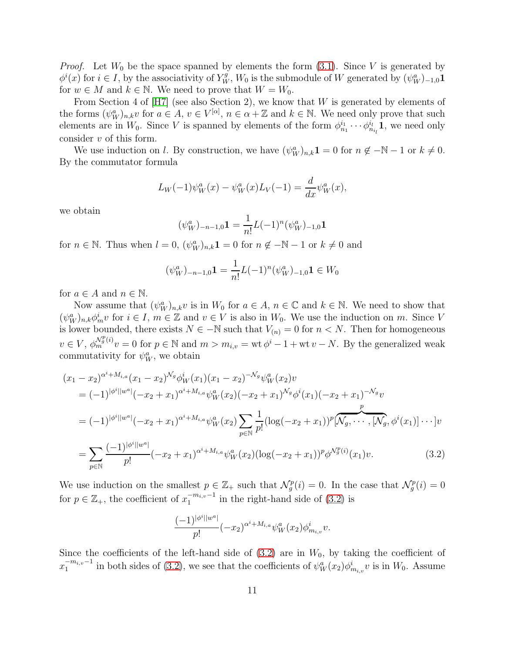*Proof.* Let  $W_0$  be the space spanned by elements the form  $(3.1)$ . Since V is generated by  $\phi^i(x)$  for  $i \in I$ , by the associativity of  $Y_W^g$ ,  $W_0$  is the submodule of W generated by  $(\psi_W^a)_{-1,0}$ **1** for  $w \in M$  and  $k \in \mathbb{N}$ . We need to prove that  $W = W_0$ .

From Section 4 of  $[H7]$  (see also Section 2), we know that W is generated by elements of the forms  $(\psi_W^a)_{n,k}$  for  $a \in A$ ,  $v \in V^{[\alpha]}$ ,  $n \in \alpha + \mathbb{Z}$  and  $k \in \mathbb{N}$ . We need only prove that such elements are in  $W_0$ . Since V is spanned by elements of the form  $\phi_{n_1}^{i_1} \cdots \phi_{n_i}^{i_i}$ **1**, we need only consider v of this form.

We use induction on *l*. By construction, we have  $(\psi_W^a)_{n,k} \mathbf{1} = 0$  for  $n \notin -\mathbb{N} - 1$  or  $k \neq 0$ . By the commutator formula

$$
L_W(-1)\psi_W^a(x) - \psi_W^a(x)L_V(-1) = \frac{d}{dx}\psi_W^a(x),
$$

we obtain

$$
(\psi_W^a)_{-n-1,0} \mathbf{1} = \frac{1}{n!} L(-1)^n (\psi_W^a)_{-1,0} \mathbf{1}
$$

for  $n \in \mathbb{N}$ . Thus when  $l = 0$ ,  $(\psi_W^a)_{n,k}$ **1** = 0 for  $n \notin -\mathbb{N}$  - 1 or  $k \neq 0$  and

$$
(\psi_W^a)_{-n-1,0} \mathbf{1} = \frac{1}{n!} L(-1)^n (\psi_W^a)_{-1,0} \mathbf{1} \in W_0
$$

for  $a \in A$  and  $n \in \mathbb{N}$ .

Now assume that  $(\psi_W^a)_{n,k} v$  is in  $W_0$  for  $a \in A$ ,  $n \in \mathbb{C}$  and  $k \in \mathbb{N}$ . We need to show that  $(\psi_W^a)_{n,k}\phi_m^i v$  for  $i \in I, m \in \mathbb{Z}$  and  $v \in V$  is also in  $W_0$ . We use the induction on m. Since V is lower bounded, there exists  $N \in \mathbb{N}$  such that  $V_{(n)} = 0$  for  $n < N$ . Then for homogeneous  $v \in V$ ,  $\phi_m^{\mathcal{N}_g^p(i)}v = 0$  for  $p \in \mathbb{N}$  and  $m > m_{i,v} = \text{wt } \phi^i - 1 + \text{wt } v - N$ . By the generalized weak commutativity for  $\psi_W^a$ , we obtain

$$
(x_1 - x_2)^{\alpha^i + M_{i,a}} (x_1 - x_2)^{\mathcal{N}_g} \phi_W^i(x_1) (x_1 - x_2)^{-\mathcal{N}_g} \psi_W^a(x_2) v
$$
  
\n
$$
= (-1)^{|\phi^i||w^a|} (-x_2 + x_1)^{\alpha^i + M_{i,a}} \psi_W^a(x_2) (-x_2 + x_1)^{\mathcal{N}_g} \phi^i(x_1) (-x_2 + x_1)^{-\mathcal{N}_g} v
$$
  
\n
$$
= (-1)^{|\phi^i||w^a|} (-x_2 + x_1)^{\alpha^i + M_{i,a}} \psi_W^a(x_2) \sum_{p \in \mathbb{N}} \frac{1}{p!} (\log(-x_2 + x_1))^p [\mathcal{N}_g, \cdots, [\mathcal{N}_g, \phi^i(x_1)] \cdots] v
$$
  
\n
$$
= \sum_{p \in \mathbb{N}} \frac{(-1)^{|\phi^i||w^a|}}{p!} (-x_2 + x_1)^{\alpha^i + M_{i,a}} \psi_W^a(x_2) (\log(-x_2 + x_1))^p \phi^{\mathcal{N}_g^p(i)}(x_1) v.
$$
 (3.2)

We use induction on the smallest  $p \in \mathbb{Z}_+$  such that  $\mathcal{N}_g^p(i) = 0$ . In the case that  $\mathcal{N}_g^p(i) = 0$ for  $p \in \mathbb{Z}_+$ , the coefficient of  $x_1^{-m_{i,v}-1}$  $\int_{1}^{-m_{i,v}-1}$  in the right-hand side of  $(3.2)$  is

<span id="page-10-0"></span>
$$
\frac{(-1)^{|\phi^i||w^a|}}{p!}(-x_2)^{\alpha^i+M_{i,a}}\psi^a_W(x_2)\phi^i_{m_{i,v}}v.
$$

Since the coefficients of the left-hand side of  $(3.2)$  are in  $W_0$ , by taking the coefficient of  $x_1^{-m_{i,v}-1}$  $\int_1^{-m_{i,v}-1}$  in both sides of [\(3.2\)](#page-10-0), we see that the coefficients of  $\psi_W^a(x_2)\phi_{m_{i,v}}^i v$  is in  $W_0$ . Assume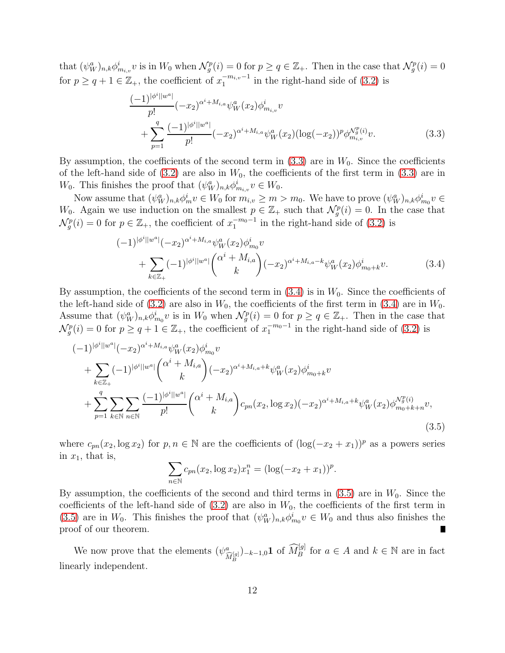that  $(\psi_W^a)_{n,k} \phi_{m_{i,v}}^i v$  is in  $W_0$  when  $\mathcal{N}_g^p(i) = 0$  for  $p \ge q \in \mathbb{Z}_+$ . Then in the case that  $\mathcal{N}_g^p(i) = 0$ for  $p \ge q + 1 \in \mathbb{Z}_+$ , the coefficient of  $x_1^{-m_{i,v}-1}$  $\int_1^{-m_{i,v}-1}$  in the right-hand side of  $(3.2)$  is

<span id="page-11-0"></span>
$$
\frac{(-1)^{|\phi^{i}||w^{a}|}}{p!}(-x_{2})^{\alpha^{i}+M_{i,a}}\psi_{W}^{a}(x_{2})\phi_{m_{i,v}}^{i}v
$$
  
+
$$
\sum_{p=1}^{q} \frac{(-1)^{|\phi^{i}||w^{a}|}}{p!}(-x_{2})^{\alpha^{i}+M_{i,a}}\psi_{W}^{a}(x_{2})(\log(-x_{2}))^{p}\phi_{m_{i,v}}^{N_{g}^{p}(i)}v.
$$
(3.3)

By assumption, the coefficients of the second term in  $(3.3)$  are in  $W_0$ . Since the coefficients of the left-hand side of  $(3.2)$  are also in  $W_0$ , the coefficients of the first term in  $(3.3)$  are in  $W_0$ . This finishes the proof that  $(\psi_W^a)_{n,k} \phi_{m_{i,v}}^i v \in W_0$ .

Now assume that  $(\psi_W^a)_{n,k} \phi_m^i v \in W_0$  for  $m_{i,v} \ge m > m_0$ . We have to prove  $(\psi_W^a)_{n,k} \phi_{m_0}^i v \in W_0$  $W_0$ . Again we use induction on the smallest  $p \in \mathbb{Z}_+$  such that  $\mathcal{N}_g^p(i) = 0$ . In the case that  $\mathcal{N}_g^p(i) = 0$  for  $p \in \mathbb{Z}_+$ , the coefficient of  $x_1^{-m_0-1}$  in the right-hand side of [\(3.2\)](#page-10-0) is

<span id="page-11-1"></span>
$$
(-1)^{|\phi^{i}||w^{a}|}(-x_{2})^{\alpha^{i}+M_{i,a}}\psi_{W}^{a}(x_{2})\phi_{m_{0}}^{i}v
$$
  
+ 
$$
\sum_{k\in\mathbb{Z}_{+}}(-1)^{|\phi^{i}||w^{a}|}\binom{\alpha^{i}+M_{i,a}}{k}(-x_{2})^{\alpha^{i}+M_{i,a}-k}\psi_{W}^{a}(x_{2})\phi_{m_{0}+k}^{i}v.
$$
(3.4)

By assumption, the coefficients of the second term in  $(3.4)$  is in  $W_0$ . Since the coefficients of the left-hand side of [\(3.2\)](#page-10-0) are also in  $W_0$ , the coefficients of the first term in [\(3.4\)](#page-11-1) are in  $W_0$ . Assume that  $(\psi_W^a)_{n,k} \phi_{m_0}^i v$  is in  $W_0$  when  $\mathcal{N}_g^p(i) = 0$  for  $p \ge q \in \mathbb{Z}_+$ . Then in the case that  $\mathcal{N}_g^p(i) = 0$  for  $p \ge q + 1 \in \mathbb{Z}_+$ , the coefficient of  $x_1^{-m_0-1}$  in the right-hand side of [\(3.2\)](#page-10-0) is

$$
(-1)^{|\phi^{i}||w^{a}|}(-x_{2})^{\alpha^{i}+M_{i,a}}\psi_{W}^{a}(x_{2})\phi_{m_{0}}^{i}v
$$
  
+ 
$$
\sum_{k\in\mathbb{Z}_{+}}(-1)^{|\phi^{i}||w^{a}|}\binom{\alpha^{i}+M_{i,a}}{k}(-x_{2})^{\alpha^{i}+M_{i,a}+k}\psi_{W}^{a}(x_{2})\phi_{m_{0}+k}^{i}v
$$
  
+ 
$$
\sum_{p=1}^{q}\sum_{k\in\mathbb{N}}\sum_{n\in\mathbb{N}}\frac{(-1)^{|\phi^{i}||w^{a}|}}{p!}\binom{\alpha^{i}+M_{i,a}}{k}c_{pn}(x_{2},\log x_{2})(-x_{2})^{\alpha^{i}+M_{i,a}+k}\psi_{W}^{a}(x_{2})\phi_{m_{0}+k+n}^{N_{g}(i)}v,
$$
\n(3.5)

where  $c_{pn}(x_2, \log x_2)$  for  $p, n \in \mathbb{N}$  are the coefficients of  $(\log(-x_2 + x_1))^p$  as a powers series in  $x_1$ , that is,

<span id="page-11-2"></span>
$$
\sum_{n \in \mathbb{N}} c_{pn}(x_2, \log x_2) x_1^n = (\log(-x_2 + x_1))^p.
$$

By assumption, the coefficients of the second and third terms in  $(3.5)$  are in  $W_0$ . Since the coefficients of the left-hand side of  $(3.2)$  are also in  $W_0$ , the coefficients of the first term in [\(3.5\)](#page-11-2) are in  $W_0$ . This finishes the proof that  $(\psi_W^a)_{n,k} \phi_{m_0}^i v \in W_0$  and thus also finishes the proof of our theorem. Ц

<span id="page-11-3"></span>We now prove that the elements  $(\psi_{\widehat{M}_B^{[g]}}^a)_{-k-1,0}$ **1** of  $\widehat{M}_B^{[g]}$  for  $a \in A$  and  $k \in \mathbb{N}$  are in fact linearly independent.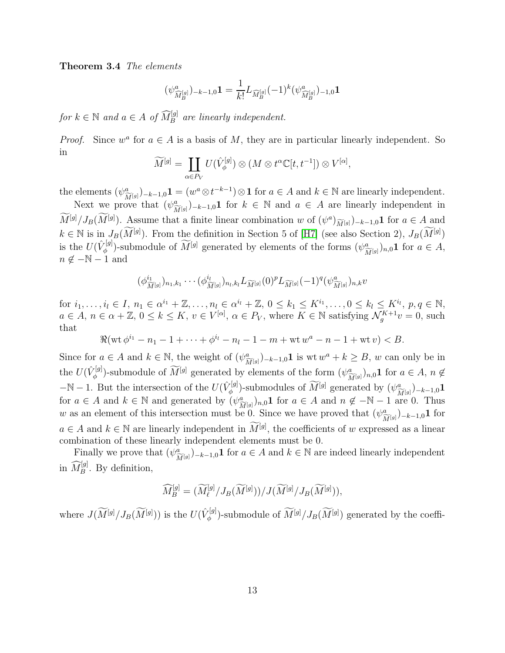Theorem 3.4 The elements

$$
(\psi^a_{\widehat{M}^{[g]}_B})_{-k-1,0} \mathbf{1} = \frac{1}{k!} L_{\widehat{M}^{[g]}_B} (-1)^k (\psi^a_{\widehat{M}^{[g]}_B})_{-1,0} \mathbf{1}
$$

for  $k \in \mathbb{N}$  and  $a \in A$  of  $\widehat{M}_{B}^{[g]}$  are linearly independent.

*Proof.* Since  $w^a$  for  $a \in A$  is a basis of M, they are in particular linearly independent. So in

$$
\widetilde{M}^{[g]} = \coprod_{\alpha \in P_V} U(\hat{V}_{\phi}^{[g]}) \otimes (M \otimes t^{\alpha} \mathbb{C}[t, t^{-1}]) \otimes V^{[\alpha]},
$$

the elements  $(\psi^a_{\widetilde{M}^{[g]}})_{-k-1,0}$ **1** =  $(w^a \otimes t^{-k-1}) \otimes$ **1** for  $a \in A$  and  $k \in \mathbb{N}$  are linearly independent.

Next we prove that  $(\psi^a_{\widetilde{M}^{[g]}})_{-k-1,0}$  for  $k \in \mathbb{N}$  and  $a \in A$  are linearly independent in  $M^{[g]}/J_B(M^{[g]})$ . Assume that a finite linear combination w of  $(\psi^a)_{\widetilde{M}^{[g]}})_{-k-1,0}$ **1** for  $a \in A$  and  $k \in \mathbb{N}$  is in  $J_B(\widetilde{M}^{[g]})$ . From the definition in Section 5 of [\[H7\]](#page-40-0) (see also Section 2),  $J_B(\widetilde{M}^{[g]})$ is the  $U(\hat{V}_{\phi}^{[g]}$ <sup>[g]</sup>)-submodule of  $M^{[g]}$  generated by elements of the forms  $(\psi^a_{\widetilde{M}^{[g]}})_{n,0}$ **1** for  $a \in A$ ,  $n \notin -\mathbb{N} - 1$  and

$$
(\phi_{\widetilde{M}^{[g]}}^{i_1})_{n_1,k_1}\cdots(\phi_{\widetilde{M}^{[g]}}^{i_l})_{n_l,k_l}L_{\widetilde{M}^{[g]}}(0)^pL_{\widetilde{M}^{[g]}}(-1)^q(\psi_{\widetilde{M}^{[g]}}^a)_{n,k}v
$$

for  $i_1, ..., i_l \in I$ ,  $n_1 \in \alpha^{i_1} + \mathbb{Z}, ..., n_l \in \alpha^{i_l} + \mathbb{Z}, 0 \leq k_1 \leq K^{i_1}, ..., 0 \leq k_l \leq K^{i_l}, p, q \in \mathbb{N}$ ,  $a \in A, n \in \alpha + \mathbb{Z}, 0 \leq k \leq K, v \in V^{[\alpha]}, \alpha \in P_V$ , where  $K \in \mathbb{N}$  satisfying  $\mathcal{N}_g^{K+1}v = 0$ , such that

$$
\Re(\text{wt } \phi^{i_1} - n_1 - 1 + \dots + \phi^{i_l} - n_l - 1 - m + \text{wt } w^a - n - 1 + \text{wt } v) < B.
$$

Since for  $a \in A$  and  $k \in \mathbb{N}$ , the weight of  $(\psi^a_{\widetilde{M}^{[g]}})_{-k-1,0}$  is wt $w^a + k \geq B$ , w can only be in the  $U(\hat{V}_{\phi}^{[g]}$ <sup> $\chi^{[g]}_{\phi}$ </sup>)-submodule of  $M^{[g]}$  generated by elements of the form  $(\psi^a_{\widetilde{M}^{[g]}})_{n,0}$ **1** for  $a \in A$ ,  $n \notin$  $-\mathbb{N}-1$ . But the intersection of the  $U(\hat{V}_{\phi}^{[g]})$ <sup> $\psi^{[g]}$ </sup>)-submodules of  $M^{[g]}$  generated by  $(\psi^a_{\widetilde{M}^{[g]}})_{-k-1,0}$ **1** for  $a \in A$  and  $k \in \mathbb{N}$  and generated by  $(\psi^a_{\widetilde{M}^{[g]}})_{n,0}$ **1** for  $a \in A$  and  $n \notin -\mathbb{N} - 1$  are 0. Thus w as an element of this intersection must be 0. Since we have proved that  $(\psi^a_{\widetilde{M}^{[g]}})_{-k-1,0}$ **1** for  $a \in A$  and  $k \in \mathbb{N}$  are linearly independent in  $\widetilde{M}^{[g]}$ , the coefficients of w expressed as a linear combination of these linearly independent elements must be 0.

Finally we prove that  $(\psi^a_{\widetilde{M}^{[g]}})_{-k-1,0}$ **1** for  $a \in A$  and  $k \in \mathbb{N}$  are indeed linearly independent in  $\widehat{M}_B^{[g]}$ . By definition,

$$
\widehat{M}_{B}^{[g]} = (\widetilde{M}_{\ell}^{[g]}/J_B(\widetilde{M}^{[g]}))/J(\widetilde{M}^{[g]}/J_B(\widetilde{M}^{[g]})),
$$

where  $J(\widetilde{M}^{[g]}/J_B(\widetilde{M}^{[g]}))$  is the  $U(\hat{V}_{\phi}^{[g]})$ <sup> $\mathcal{P}_{\phi}^{[g]}$ </sup>)-submodule of  $M^{[g]}/J_B(M^{[g]})$  generated by the coeffi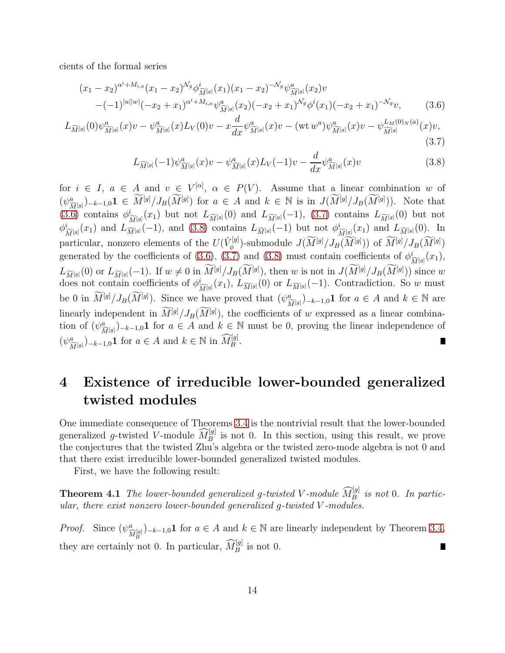cients of the formal series

$$
(x_1 - x_2)^{\alpha^i + M_{i,a}} (x_1 - x_2)^{\mathcal{N}_g} \phi^i_{\widetilde{M}^{[g]}}(x_1) (x_1 - x_2)^{-\mathcal{N}_g} \psi^a_{\widetilde{M}^{[g]}}(x_2) v
$$
  
-(-1)<sup>|u||w|</sup>(-x<sub>2</sub> + x<sub>1</sub>)<sup>\alpha^i + M\_{i,a}} \psi^a\_{\widetilde{M}^{[g]}}(x\_2) (-x\_2 + x\_1)^{\mathcal{N}\_g} \phi^i(x\_1) (-x\_2 + x\_1)^{-\mathcal{N}\_g} v, (3.6)</sup>

$$
L_{\widetilde{M}^{[g]}}(0)\psi_{\widetilde{M}^{[g]}}^{a}(x)v - \psi_{\widetilde{M}^{[g]}}^{a}(x)L_{V}(0)v - x\frac{d}{dx}\psi_{\widetilde{M}^{[g]}}^{a}(x)v - (\text{wt }w^{a})\psi_{\widetilde{M}^{[g]}}^{a}(x)v - \psi_{\widetilde{M}^{[g]}}^{L_{M}(0)_{N}(a)}(x)v, \tag{3.7}
$$

<span id="page-13-2"></span><span id="page-13-1"></span><span id="page-13-0"></span>
$$
L_{\widetilde{M}^{[g]}}(-1)\psi^a_{\widetilde{M}^{[g]}}(x)v - \psi^a_{\widetilde{M}^{[g]}}(x)L_V(-1)v - \frac{d}{dx}\psi^a_{\widetilde{M}^{[g]}}(x)v \tag{3.8}
$$

for  $i \in I$ ,  $a \in A$  and  $v \in V^{[\alpha]}$ ,  $\alpha \in P(V)$ . Assume that a linear combination w of  $(\psi_{\widetilde{M}^{[g]}}^a)_{-k-1,0}$ **1**  $\in \widetilde{M}^{[g]}/J_B(\widetilde{M}^{[g]})$  for  $a \in A$  and  $k \in \mathbb{N}$  is in  $J(\widetilde{M}^{[g]}/J_B(\widetilde{M}^{[g]}))$ . Note that [\(3.6\)](#page-13-0) contains  $\phi_{\widetilde{M}^{[g]}}^i(x_1)$  but not  $L_{\widetilde{M}^{[g]}}(0)$  and  $L_{\widetilde{M}^{[g]}}(-1)$ , [\(3.7\)](#page-13-1) contains  $L_{\widetilde{M}^{[g]}}(0)$  but not  $\phi_{\widetilde{M}[g]}^i(x_1)$  and  $L_{\widetilde{M}[g]}(-1)$ , and [\(3.8\)](#page-13-2) contains  $L_{\widetilde{M}[g]}(-1)$  but not  $\phi_{\widetilde{M}[g]}^i(x_1)$  and  $L_{\widetilde{M}[g]}(0)$ . In particular, nonzero elements of the  $U(\hat{V}_{\phi}^{[g]})$ <sup> $\chi^{[g]}_{\phi}$ </sup>)-submodule  $J(M^{[g]}/J_B(M^{[g]}))$  of  $M^{[g]}/J_B(M^{[g]})$ generated by the coefficients of [\(3.6\)](#page-13-0), [\(3.7\)](#page-13-1) and [\(3.8\)](#page-13-2) must contain coefficients of  $\phi_{\widetilde{M}^{[g]}}^i(x_1)$ ,  $L_{\widetilde{M}^{[g]}}(0)$  or  $L_{\widetilde{M}^{[g]}}(-1)$ . If  $w \neq 0$  in  $M^{[g]}/J_B(M^{[g]})$ , then w is not in  $J(M^{[g]}/J_B(M^{[g]}))$  since w does not contain coefficients of  $\phi_{\widetilde{M}^{[g]}}^i(x_1), L_{\widetilde{M}^{[g]}}(0)$  or  $L_{\widetilde{M}^{[g]}}(-1)$ . Contradiction. So w must be 0 in  $\widetilde{M}^{[g]}/J_B(\widetilde{M}^{[g]})$ . Since we have proved that  $(\psi_{\widetilde{M}^{[g]}}^{\alpha})_{-k-1,0}$  for  $a \in A$  and  $k \in \mathbb{N}$  are linearly independent in  $M^{[g]}/J_B(M^{[g]})$ , the coefficients of w expressed as a linear combination of  $(\psi^a_{\widetilde{M}^{[g]}})_{-k-1,0}$  1 for  $a \in A$  and  $k \in \mathbb{N}$  must be 0, proving the linear independence of  $(\psi^a_{\widetilde{M}[g]})_{-k-1,0}$ **1** for  $a \in A$  and  $k \in \mathbb{N}$  in  $\widehat{M}_B^{[g]}$ . П

## 4 Existence of irreducible lower-bounded generalized twisted modules

One immediate consequence of Theorems [3.4](#page-11-3) is the nontrivial result that the lower-bounded generalized g-twisted V-module  $\widehat{M}_{B}^{[g]}$  is not 0. In this section, using this result, we prove the conjectures that the twisted Zhu's algebra or the twisted zero-mode algebra is not 0 and that there exist irreducible lower-bounded generalized twisted modules.

<span id="page-13-3"></span>First, we have the following result:

**Theorem 4.1** The lower-bounded generalized g-twisted V-module  $\widehat{M}_{B}^{[g]}$  is not 0. In particular, there exist nonzero lower-bounded generalized g-twisted V -modules.

*Proof.* Since  $(\psi^a_{\widehat{M}^{[g]}_B})_{-k-1,0}$ **1** for  $a \in A$  and  $k \in \mathbb{N}$  are linearly independent by Theorem [3.4,](#page-11-3) they are certainly not 0. In particular,  $\widehat{M}_B^{[g]}$  is not 0. П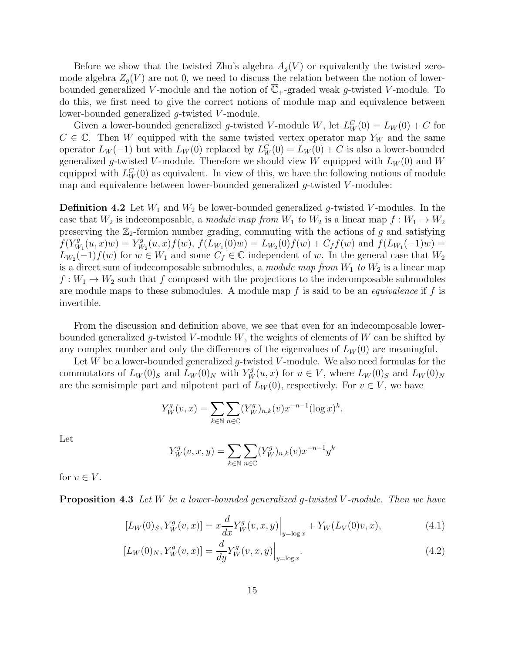Before we show that the twisted Zhu's algebra  $A_q(V)$  or equivalently the twisted zeromode algebra  $Z_q(V)$  are not 0, we need to discuss the relation between the notion of lowerbounded generalized V-module and the notion of  $\mathbb{C}_+$ -graded weak g-twisted V-module. To do this, we first need to give the correct notions of module map and equivalence between lower-bounded generalized g-twisted V-module.

Given a lower-bounded generalized g-twisted V-module W, let  $L_W^C(0) = L_W(0) + C$  for  $C \in \mathbb{C}$ . Then W equipped with the same twisted vertex operator map Y<sub>W</sub> and the same operator  $L_W(-1)$  but with  $L_W(0)$  replaced by  $L_W^C(0) = L_W(0) + C$  is also a lower-bounded generalized g-twisted V-module. Therefore we should view W equipped with  $L_W(0)$  and W equipped with  $L_W^C(0)$  as equivalent. In view of this, we have the following notions of module map and equivalence between lower-bounded generalized  $g$ -twisted  $V$ -modules:

**Definition 4.2** Let  $W_1$  and  $W_2$  be lower-bounded generalized g-twisted V-modules. In the case that  $W_2$  is indecomposable, a module map from  $W_1$  to  $W_2$  is a linear map  $f: W_1 \to W_2$ preserving the  $\mathbb{Z}_2$ -fermion number grading, commuting with the actions of g and satisfying  $f(Y_M^g)$  $V_{W_1}^g(u, x)w) = Y_W^g$  $W_2^g(u,x) f(w)$ ,  $f(L_{W_1}(0)w) = L_{W_2}(0) f(w) + C_f f(w)$  and  $f(L_{W_1}(-1)w) =$  $L_{W_2}(-1)f(w)$  for  $w \in W_1$  and some  $C_f \in \mathbb{C}$  independent of w. In the general case that  $W_2$ is a direct sum of indecomposable submodules, a module map from  $W_1$  to  $W_2$  is a linear map  $f: W_1 \to W_2$  such that f composed with the projections to the indecomposable submodules are module maps to these submodules. A module map  $f$  is said to be an *equivalence* if  $f$  is invertible.

From the discussion and definition above, we see that even for an indecomposable lowerbounded generalized g-twisted V-module  $W$ , the weights of elements of  $W$  can be shifted by any complex number and only the differences of the eigenvalues of  $L_W(0)$  are meaningful.

Let W be a lower-bounded generalized g-twisted V-module. We also need formulas for the commutators of  $L_W(0)_S$  and  $L_W(0)_N$  with  $Y_W^g(u, x)$  for  $u \in V$ , where  $L_W(0)_S$  and  $L_W(0)_N$ are the semisimple part and nilpotent part of  $L_W(0)$ , respectively. For  $v \in V$ , we have

$$
Y_W^g(v, x) = \sum_{k \in \mathbb{N}} \sum_{n \in \mathbb{C}} (Y_W^g)_{n,k}(v) x^{-n-1} (\log x)^k.
$$

Let

<span id="page-14-1"></span><span id="page-14-0"></span>
$$
Y_W^g(v, x, y) = \sum_{k \in \mathbb{N}} \sum_{n \in \mathbb{C}} (Y_W^g)_{n,k}(v) x^{-n-1} y^k
$$

for  $v \in V$ .

**Proposition 4.3** Let W be a lower-bounded generalized g-twisted V-module. Then we have

$$
[L_W(0)_S, Y_W^g(v, x)] = x \frac{d}{dx} Y_W^g(v, x, y) \Big|_{y = \log x} + Y_W(L_V(0)v, x), \tag{4.1}
$$

$$
[L_W(0)_N, Y_W^g(v, x)] = \frac{d}{dy} Y_W^g(v, x, y)\Big|_{y = \log x}.
$$
\n(4.2)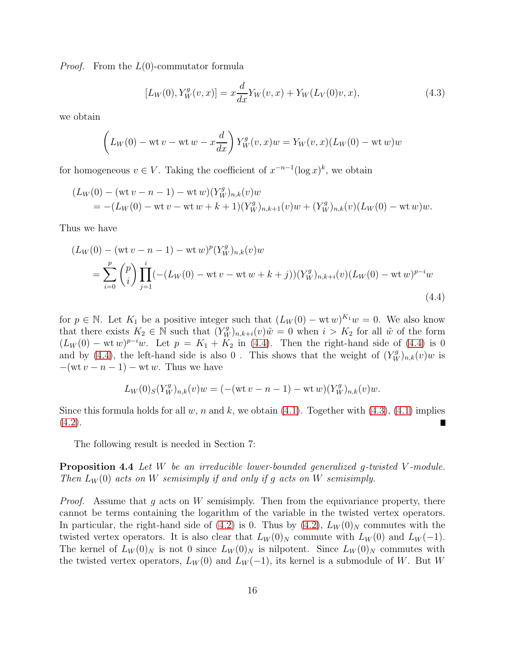*Proof.* From the  $L(0)$ -commutator formula

<span id="page-15-1"></span>
$$
[L_W(0), Y_W^g(v, x)] = x \frac{d}{dx} Y_W(v, x) + Y_W(L_V(0)v, x), \qquad (4.3)
$$

we obtain

$$
\left(L_W(0) - \text{wt }v - \text{wt }w - x\frac{d}{dx}\right)Y_W^g(v, x)w = Y_W(v, x)(L_W(0) - \text{wt }w)w
$$

for homogeneous  $v \in V$ . Taking the coefficient of  $x^{-n-1}(\log x)^k$ , we obtain

$$
(L_W(0) - (\text{wt } v - n - 1) - \text{wt } w)(Y_W^g)_{n,k}(v)w
$$
  
= -(L\_W(0) - \text{wt } v - \text{wt } w + k + 1)(Y\_W^g)\_{n,k+1}(v)w + (Y\_W^g)\_{n,k}(v)(L\_W(0) - \text{wt } w)w.

Thus we have

$$
(L_W(0) - (\text{wt } v - n - 1) - \text{wt } w)^p (Y_W^g)_{n,k}(v) w
$$
  
= 
$$
\sum_{i=0}^p {p \choose i} \prod_{j=1}^i (-(L_W(0) - \text{wt } v - \text{wt } w + k + j))(Y_W^g)_{n,k+i}(v) (L_W(0) - \text{wt } w)^{p-i} w
$$
  
(4.4)

for  $p \in \mathbb{N}$ . Let  $K_1$  be a positive integer such that  $(L_W(0) - \text{wt }w)^{K_1}w = 0$ . We also know that there exists  $K_2 \in \mathbb{N}$  such that  $(Y_W^g)_{n,k+i}(v)\tilde{w} = 0$  when  $i > K_2$  for all  $\tilde{w}$  of the form  $(L_W(0) - wt w)^{p-i}w$ . Let  $p = K_1 + K_2$  in [\(4.4\)](#page-15-0). Then the right-hand side of (4.4) is 0 and by [\(4.4\)](#page-15-0), the left-hand side is also 0. This shows that the weight of  $(Y_W^g)_{n,k}(v)w$  is  $-(\text{wt }v - n - 1) - \text{wt }w$ . Thus we have

<span id="page-15-0"></span>
$$
L_W(0)_S(Y_W^g)_{n,k}(v)w = (-(\text{wt }v - n - 1) - \text{wt }w)(Y_W^g)_{n,k}(v)w.
$$

Since this formula holds for all w, n and k, we obtain  $(4.1)$ . Together with  $(4.3)$ ,  $(4.1)$  implies  $(4.2).$  $(4.2).$ 

<span id="page-15-2"></span>The following result is needed in Section 7:

Proposition 4.4 Let W be an irreducible lower-bounded generalized g-twisted V-module. Then  $L_W(0)$  acts on W semisimply if and only if g acts on W semisimply.

*Proof.* Assume that g acts on W semisimply. Then from the equivariance property, there cannot be terms containing the logarithm of the variable in the twisted vertex operators. In particular, the right-hand side of [\(4.2\)](#page-14-1) is 0. Thus by (4.2),  $L_W(0)_N$  commutes with the twisted vertex operators. It is also clear that  $L_W(0)_N$  commute with  $L_W(0)$  and  $L_W(-1)$ . The kernel of  $L_W(0)_N$  is not 0 since  $L_W(0)_N$  is nilpotent. Since  $L_W(0)_N$  commutes with the twisted vertex operators,  $L_W(0)$  and  $L_W(-1)$ , its kernel is a submodule of W. But W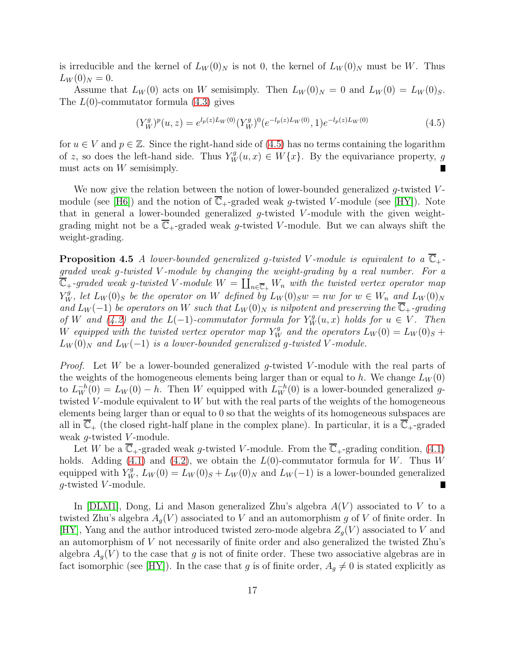is irreducible and the kernel of  $L_W(0)_N$  is not 0, the kernel of  $L_W(0)_N$  must be W. Thus  $L_W(0)_N = 0.$ 

Assume that  $L_W(0)$  acts on W semisimply. Then  $L_W(0)_N = 0$  and  $L_W(0) = L_W(0)_S$ . The  $L(0)$ -commutator formula  $(4.3)$  gives

<span id="page-16-0"></span>
$$
(Y_W^g)^p(u,z) = e^{l_p(z)L_W(0)} (Y_W^g)^0 (e^{-l_p(z)L_W(0)}, 1) e^{-l_p(z)L_W(0)}
$$
\n
$$
(4.5)
$$

for  $u \in V$  and  $p \in \mathbb{Z}$ . Since the right-hand side of [\(4.5\)](#page-16-0) has no terms containing the logarithm of z, so does the left-hand side. Thus  $Y_W^g(u,x) \in W\{x\}$ . By the equivariance property, g must acts on W semisimply.  $\blacksquare$ 

We now give the relation between the notion of lower-bounded generalized  $g$ -twisted  $V$ -module (see [\[H6\]](#page-40-4)) and the notion of  $\overline{\mathbb{C}}_+$ -graded weak g-twisted V-module (see [\[HY\]](#page-40-2)). Note that in general a lower-bounded generalized  $q$ -twisted V-module with the given weightgrading might not be a  $\mathbb{C}_+$ -graded weak g-twisted V-module. But we can always shift the weight-grading.

**Proposition 4.5** A lower-bounded generalized g-twisted V-module is equivalent to a  $\mathbb{C}_+$ graded weak g-twisted V -module by changing the weight-grading by a real number. For a  $\overline{\mathbb{C}}_+$ -graded weak g-twisted V-module  $W = \coprod_{n \in \overline{\mathbb{C}}_+} W_n$  with the twisted vertex operator map  $Y_W^g$ , let  $L_W(0)_S$  be the operator on W defined by  $L_W(0)_Sw = nw$  for  $w \in W_n$  and  $L_W(0)_N$ and  $L_W(-1)$  be operators on W such that  $L_W(0)_N$  is nilpotent and preserving the  $\overline{\mathbb{C}}_+$ -grading of W and  $(4.2)$  and the  $L(-1)$ -commutator formula for  $Y_W^g(u, x)$  holds for  $u \in V$ . Then W equipped with the twisted vertex operator map  $Y_W^g$  and the operators  $L_W(0) = L_W(0)_S +$  $L_W(0)_N$  and  $L_W(-1)$  is a lower-bounded generalized g-twisted V-module.

*Proof.* Let W be a lower-bounded generalized g-twisted V-module with the real parts of the weights of the homogeneous elements being larger than or equal to h. We change  $L_W(0)$ to  $L_W^{-h}(0) = L_W(0) - h$ . Then W equipped with  $L_W^{-h}(0)$  is a lower-bounded generalized gtwisted V-module equivalent to  $W$  but with the real parts of the weights of the homogeneous elements being larger than or equal to 0 so that the weights of its homogeneous subspaces are all in  $\mathbb{C}_+$  (the closed right-half plane in the complex plane). In particular, it is a  $\overline{\mathbb{C}}_+$ -graded weak  $q$ -twisted  $V$ -module.

Let W be a  $\overline{\mathbb{C}}_+$ -graded weak g-twisted V-module. From the  $\overline{\mathbb{C}}_+$ -grading condition, [\(4.1\)](#page-14-0) holds. Adding [\(4.1\)](#page-14-0) and [\(4.2\)](#page-14-1), we obtain the  $L(0)$ -commutator formula for W. Thus W equipped with  $Y_W^g$ ,  $L_W(0) = L_W(0)_S + L_W(0)_N$  and  $L_W(-1)$  is a lower-bounded generalized  $g$ -twisted  $V$ -module. П

In  $|DLM1|$ , Dong, Li and Mason generalized Zhu's algebra  $A(V)$  associated to V to a twisted Zhu's algebra  $A_q(V)$  associated to V and an automorphism g of V of finite order. In [\[HY\]](#page-40-2), Yang and the author introduced twisted zero-mode algebra  $Z_q(V)$  associated to V and an automorphism of V not necessarily of finite order and also generalized the twisted Zhu's algebra  $A_q(V)$  to the case that g is not of finite order. These two associative algebras are in fact isomorphic (see [\[HY\]](#page-40-2)). In the case that g is of finite order,  $A_g \neq 0$  is stated explicitly as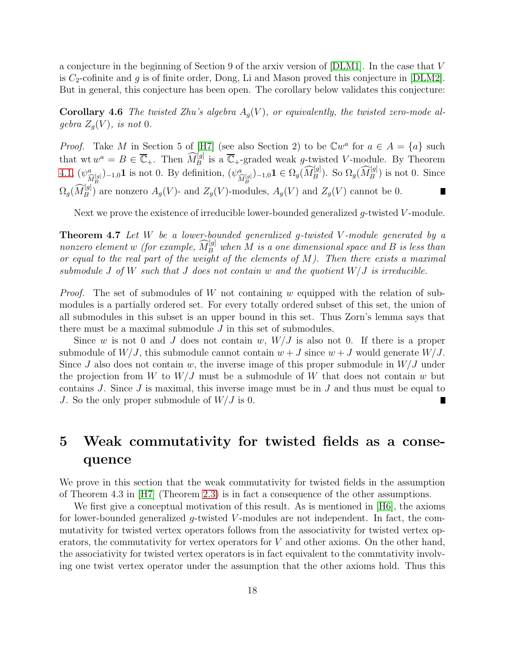a conjecture in the beginning of Section 9 of the arxiv version of [\[DLM1\]](#page-39-8). In the case that V is  $C_2$ -cofinite and g is of finite order, Dong, Li and Mason proved this conjecture in [\[DLM2\]](#page-39-0). But in general, this conjecture has been open. The corollary below validates this conjecture:

**Corollary 4.6** The twisted Zhu's algebra  $A_q(V)$ , or equivalently, the twisted zero-mode algebra  $Z_q(V)$ , is not 0.

*Proof.* Take M in Section 5 of [\[H7\]](#page-40-0) (see also Section 2) to be  $\mathbb{C}w^a$  for  $a \in A = \{a\}$  such that wt  $w^a = B \in \overline{\mathbb{C}}_+$ . Then  $\widehat{M}_B^{[g]}$  is a  $\overline{\mathbb{C}}_+$ -graded weak g-twisted V-module. By Theorem [4.1,](#page-13-3)  $(\psi^a_{\widehat{M}^{[g]}_B})_{-1,0}$ **1** is not 0. By definition,  $(\psi^a_{\widehat{M}^{[g]}_B})_{-1,0}$ **1**  $\in \Omega_g(\widehat{M}^{[g]}_B)$ . So  $\Omega_g(\widehat{M}^{[g]}_B)$  is not 0. Since  $\Omega_g(\widehat{M}_B^{[g]})$  are nonzero  $A_g(V)$ - and  $Z_g(V)$ -modules,  $A_g(V)$  and  $Z_g(V)$  cannot be 0.  $\blacksquare$ 

<span id="page-17-0"></span>Next we prove the existence of irreducible lower-bounded generalized  $q$ -twisted  $V$ -module.

**Theorem 4.7** Let  $W$  be a lower-bounded generalized g-twisted V-module generated by a nonzero element w (for example,  $\widehat{M}_B^{[g]}$  when M is a one dimensional space and B is less than or equal to the real part of the weight of the elements of  $M$ ). Then there exists a maximal submodule J of W such that J does not contain w and the quotient  $W/J$  is irreducible.

*Proof.* The set of submodules of W not containing w equipped with the relation of submodules is a partially ordered set. For every totally ordered subset of this set, the union of all submodules in this subset is an upper bound in this set. Thus Zorn's lemma says that there must be a maximal submodule  $J$  in this set of submodules.

Since w is not 0 and J does not contain w,  $W/J$  is also not 0. If there is a proper submodule of  $W/J$ , this submodule cannot contain  $w + J$  since  $w + J$  would generate  $W/J$ . Since J also does not contain w, the inverse image of this proper submodule in  $W/J$  under the projection from W to  $W/J$  must be a submodule of W that does not contain w but contains  $J$ . Since  $J$  is maximal, this inverse image must be in  $J$  and thus must be equal to J. So the only proper submodule of  $W/J$  is 0.

## 5 Weak commutativity for twisted fields as a consequence

We prove in this section that the weak commutativity for twisted fields in the assumption of Theorem 4.3 in [\[H7\]](#page-40-0) (Theorem [2.3\)](#page-6-0) is in fact a consequence of the other assumptions.

We first give a conceptual motivation of this result. As is mentioned in [\[H6\]](#page-40-4), the axioms for lower-bounded generalized g-twisted V-modules are not independent. In fact, the commutativity for twisted vertex operators follows from the associativity for twisted vertex operators, the commutativity for vertex operators for  $V$  and other axioms. On the other hand, the associativity for twisted vertex operators is in fact equivalent to the commtativity involving one twist vertex operator under the assumption that the other axioms hold. Thus this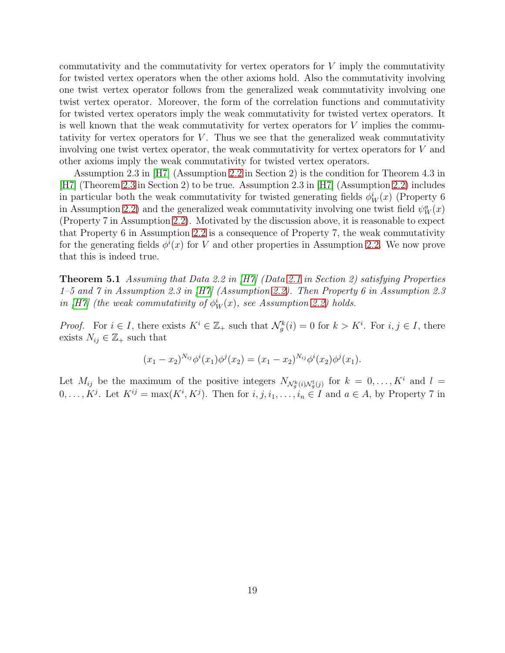commutativity and the commutativity for vertex operators for V imply the commutativity for twisted vertex operators when the other axioms hold. Also the commutativity involving one twist vertex operator follows from the generalized weak commutativity involving one twist vertex operator. Moreover, the form of the correlation functions and commutativity for twisted vertex operators imply the weak commutativity for twisted vertex operators. It is well known that the weak commutativity for vertex operators for  $V$  implies the commutativity for vertex operators for  $V$ . Thus we see that the generalized weak commutativity involving one twist vertex operator, the weak commutativity for vertex operators for V and other axioms imply the weak commutativity for twisted vertex operators.

Assumption 2.3 in [\[H7\]](#page-40-0) (Assumption [2.2](#page-5-0) in Section 2) is the condition for Theorem 4.3 in [\[H7\]](#page-40-0) (Theorem [2.3](#page-6-0) in Section 2) to be true. Assumption 2.3 in [\[H7\]](#page-40-0) (Assumption [2.2\)](#page-5-0) includes in particular both the weak commutativity for twisted generating fields  $\phi_W^i(x)$  (Property 6 in Assumption [2.2\)](#page-5-0) and the generalized weak commutativity involving one twist field  $\psi_W^a(x)$ (Property 7 in Assumption [2.2\)](#page-5-0). Motivated by the discussion above, it is reasonable to expect that Property 6 in Assumption [2.2](#page-5-0) is a consequence of Property 7, the weak commutativity for the generating fields  $\phi^i(x)$  for V and other properties in Assumption [2.2.](#page-5-0) We now prove that this is indeed true.

<span id="page-18-0"></span>**Theorem 5.1** Assuming that Data 2.2 in  $|H7|$  (Data [2.1](#page-4-0) in Section 2) satisfying Properties 1–5 and 7 in Assumption 2.3 in [\[H7\]](#page-40-0) (Assumption [2.2\)](#page-5-0). Then Property 6 in Assumption 2.3 in [\[H7\]](#page-40-0) (the weak commutativity of  $\phi_W^i(x)$ , see Assumption [2.2\)](#page-5-0) holds.

*Proof.* For  $i \in I$ , there exists  $K^i \in \mathbb{Z}_+$  such that  $\mathcal{N}_g^k(i) = 0$  for  $k > K^i$ . For  $i, j \in I$ , there exists  $N_{ij} \in \mathbb{Z}_+$  such that

$$
(x_1 - x_2)^{N_{ij}} \phi^i(x_1) \phi^j(x_2) = (x_1 - x_2)^{N_{ij}} \phi^i(x_2) \phi^j(x_1).
$$

Let  $M_{ij}$  be the maximum of the positive integers  $N_{\mathcal{N}_{g}^{k}(i),\mathcal{N}_{g}^{l}(j)}$  for  $k = 0,\ldots,K^{i}$  and  $l =$  $0, \ldots, K^j$ . Let  $K^{ij} = \max(K^i, K^j)$ . Then for  $i, j, i_1, \ldots, i_n \in I$  and  $a \in A$ , by Property 7 in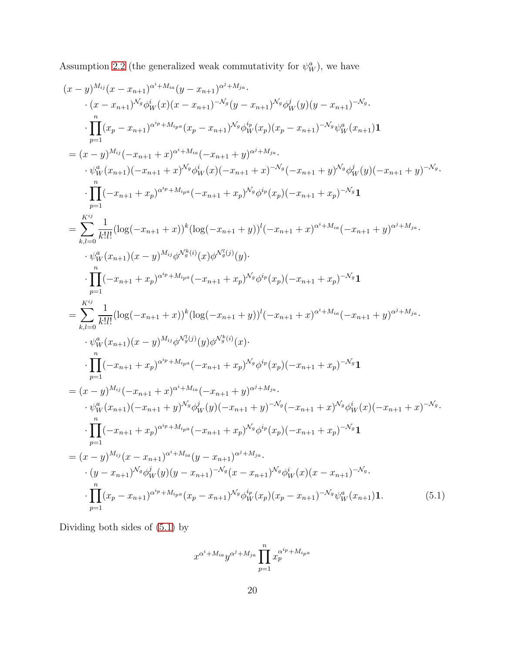Assumption [2.2](#page-5-0) (the generalized weak commutativity for  $\psi_W^a$ ), we have

$$
(x - y)^{M_{ij}}(x - x_{n+1})^{\alpha^{i} + M_{ia}}(y - x_{n+1})^{\alpha^{j} + M_{ja}}.
$$
  
\n
$$
\cdot (x - x_{n+1})^{\lambda^{i} \phi_{W}^{i}}(x)(x - x_{n+1})^{-\lambda^{i} \phi_{W}^{i}}(y - x_{n+1})^{\lambda^{i} \phi_{W}^{j}}(y)(y - x_{n+1})^{-\lambda_{g}}.
$$
  
\n
$$
\cdot \prod_{p=1}^{n} (x_{p} - x_{n+1})^{\alpha^{i} p + M_{ip}}(x_{p} - x_{n+1})^{\lambda^{i} \phi_{W}^{i}}(x_{p})(x_{p} - x_{n+1})^{-\lambda^{i} \phi_{W}^{i}}(x_{n+1}) \mathbf{1}
$$
  
\n
$$
= (x - y)^{M_{ij}}(-x_{n+1} + x)^{\alpha^{i} + M_{ia}}(-x_{n+1} + y)^{\alpha^{j} + M_{ia}}.
$$
  
\n
$$
\cdot \psi_{W}^{i}(x_{n+1})(-x_{n+1} + x)^{\lambda^{i} \phi_{W}^{i}}(x)(-x_{n+1} + x)^{-\lambda^{i} \phi_{W}^{i}}(x_{p})(-x_{n+1} + x_{p})^{-\lambda^{i} \phi_{W}^{i}}(y)(-x_{n+1} + y)^{-\lambda_{g}}.
$$
  
\n
$$
\cdot \prod_{p=1}^{n} (-x_{n+1} + x_{p})^{\alpha^{i} p + M_{ip}}(-x_{n+1} + x_{p})^{\lambda^{i} \phi_{p}}(x_{p})(-x_{n+1} + x_{p})^{-\lambda_{i} \phi_{W}^{j}}(1)
$$
  
\n
$$
= \sum_{k,l=0}^{K^{ij}} \frac{1}{k!l!} (\log(-x_{n+1} + x_{p})^{\alpha^{i} p + M_{ip}}(-x_{n+1} + x_{p})^{\lambda^{i} \phi_{p}}(x_{p})(-x_{n+1} + x_{p})^{-\lambda_{i} \phi_{W}^{j}}.
$$
  
\n
$$
\cdot \psi_{W}^{i}(x_{n+1})(x - y)^{M_{ij}} \phi_{W_{g}^{i}}^{i}(x)(x) \phi_{W_{g}^{i}}^{i}(y)(-x_{n+1} + x_{p})^{-\lambda_{i
$$

Dividing both sides of [\(5.1\)](#page-19-0) by

<span id="page-19-0"></span>
$$
x^{\alpha^i + M_{ia}} y^{\alpha^j + M_{ja}} \prod_{p=1}^n x_p^{\alpha^{i_p} + M_{ipa}}
$$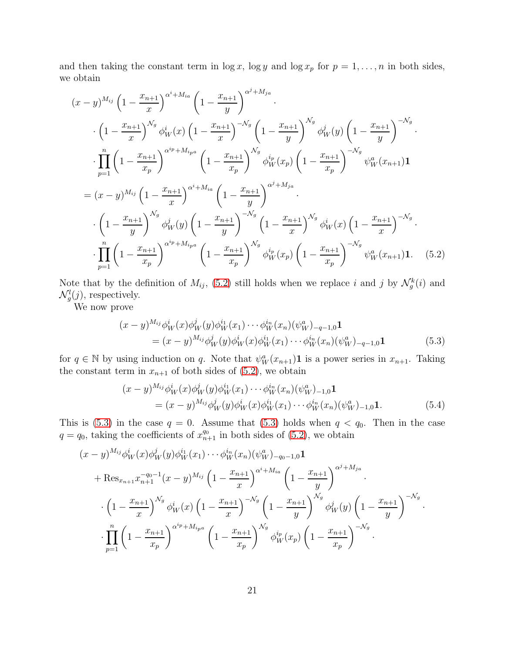and then taking the constant term in  $\log x$ ,  $\log y$  and  $\log x_p$  for  $p = 1, \ldots, n$  in both sides, we obtain

$$
(x - y)^{M_{ij}} \left(1 - \frac{x_{n+1}}{x}\right)^{\alpha^{i} + M_{ia}} \left(1 - \frac{x_{n+1}}{y}\right)^{\alpha^{j} + M_{ja}} \cdot \left(1 - \frac{x_{n+1}}{y}\right)^{\alpha_{ij}} \phi_{W}^{i}(x) \left(1 - \frac{x_{n+1}}{x}\right)^{-N_g} \left(1 - \frac{x_{n+1}}{y}\right)^{N_g} \phi_{W}^{j}(y) \left(1 - \frac{x_{n+1}}{y}\right)^{-N_g} \cdot \frac{\left(1 - \frac{x_{n+1}}{x}\right)^{\alpha_{ij}} \phi_{W}^{i}(y) \left(1 - \frac{x_{n+1}}{y}\right)^{-N_g}}{\prod_{p=1}^{n} \left(1 - \frac{x_{n+1}}{x_p}\right)^{\alpha^{i} + M_{ipa}} \left(1 - \frac{x_{n+1}}{x_p}\right)^{N_g} \phi_{W}^{i}(x_p) \left(1 - \frac{x_{n+1}}{x_p}\right)^{-N_g} \psi_{W}^{a}(x_{n+1}) \mathbf{1}
$$
  
\n
$$
= (x - y)^{M_{ij}} \left(1 - \frac{x_{n+1}}{x}\right)^{\alpha^{i} + M_{ia}} \left(1 - \frac{x_{n+1}}{y}\right)^{\alpha^{j} + M_{ja}} \cdot \frac{\left(1 - \frac{x_{n+1}}{x}\right)^{\alpha_{ij}} \phi_{W}^{i}(x) \left(1 - \frac{x_{n+1}}{x}\right)^{-N_g}}{\prod_{p=1}^{n} \left(1 - \frac{x_{n+1}}{x_p}\right)^{\alpha_{ij} + M_{ipa}} \left(1 - \frac{x_{n+1}}{x_p}\right)^{N_g} \phi_{W}^{i}(x_p) \left(1 - \frac{x_{n+1}}{x_p}\right)^{-N_g} \psi_{W}^{a}(x_{n+1}) \mathbf{1}. \quad (5.2)
$$

Note that by the definition of  $M_{ij}$ , [\(5.2\)](#page-20-0) still holds when we replace i and j by  $\mathcal{N}_g^k(i)$  and  $\mathcal{N}_g^l(j)$ , respectively.

We now prove

<span id="page-20-1"></span><span id="page-20-0"></span>
$$
(x - y)^{M_{ij}} \phi_W^i(x) \phi_W^j(y) \phi_W^{i_1}(x_1) \cdots \phi_W^{i_n}(x_n) (\psi_W^a)_{-q-1,0} \mathbf{1}
$$
  
=  $(x - y)^{M_{ij}} \phi_W^j(y) \phi_W^i(x) \phi_W^{i_1}(x_1) \cdots \phi_W^{i_n}(x_n) (\psi_W^a)_{-q-1,0} \mathbf{1}$  (5.3)

for  $q \in \mathbb{N}$  by using induction on q. Note that  $\psi_W^a(x_{n+1})\mathbf{1}$  is a power series in  $x_{n+1}$ . Taking the constant term in  $x_{n+1}$  of both sides of [\(5.2\)](#page-20-0), we obtain

$$
(x - y)^{M_{ij}} \phi_W^i(x) \phi_W^j(y) \phi_W^{i_1}(x_1) \cdots \phi_W^{i_n}(x_n) (\psi_W^a)_{-1,0} \mathbf{1}
$$
  
=  $(x - y)^{M_{ij}} \phi_W^j(y) \phi_W^i(x) \phi_W^{i_1}(x_1) \cdots \phi_W^{i_n}(x_n) (\psi_W^a)_{-1,0} \mathbf{1}.$  (5.4)

This is [\(5.3\)](#page-20-1) in the case  $q = 0$ . Assume that (5.3) holds when  $q < q_0$ . Then in the case  $q = q_0$ , taking the coefficients of  $x_{n+1}^{q_0}$  in both sides of [\(5.2\)](#page-20-0), we obtain

$$
(x - y)^{M_{ij}} \phi_W^i(x) \phi_W^j(y) \phi_W^{i_1}(x_1) \cdots \phi_W^{i_n}(x_n) (\psi_W^a)_{-q_0-1,0} \mathbf{1}
$$
  
+ Res<sub>x\_{n+1</sub> x\_{n+1}^{-q\_0-1}} (x - y)^{M\_{ij}} \left(1 - \frac{x\_{n+1}}{x}\right)^{\alpha^i + M\_{ia}} \left(1 - \frac{x\_{n+1}}{y}\right)^{\alpha^j + M\_{ja}} \cdot \left(1 - \frac{x\_{n+1}}{x}\right)^{M\_g} \phi\_W^i(x) \left(1 - \frac{x\_{n+1}}{x}\right)^{-M\_g} \left(1 - \frac{x\_{n+1}}{y}\right)^{M\_g} \phi\_W^j(y) \left(1 - \frac{x\_{n+1}}{y}\right)^{-M\_g} \cdot \prod\_{p=1}^n \left(1 - \frac{x\_{n+1}}{x\_p}\right)^{\alpha^i p + M\_{ipa}} \left(1 - \frac{x\_{n+1}}{x\_p}\right)^{M\_g} \phi\_W^{i\_p}(x\_p) \left(1 - \frac{x\_{n+1}}{x\_p}\right)^{-M\_g} \cdot \right)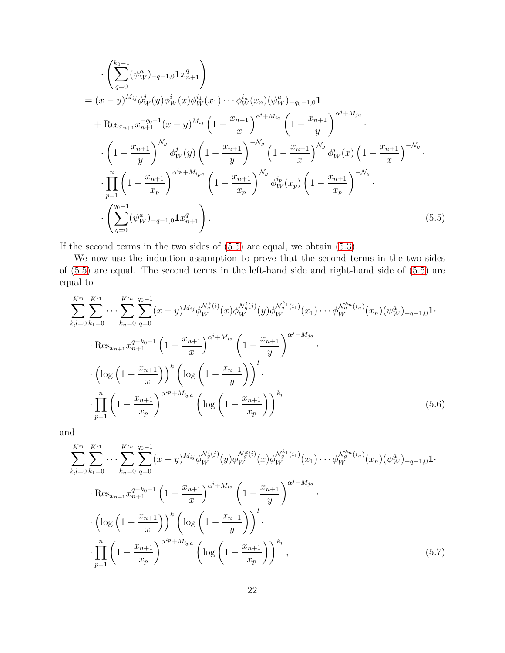$$
\begin{split}\n&\quad\cdot \left( \sum_{q=0}^{k_{0}-1} (\psi_{W}^{a})_{-q-1,0} \mathbf{1} x_{n+1}^{q} \right) \\
&= (x-y)^{M_{ij}} \phi_{W}^{j}(y) \phi_{W}^{i}(x) \phi_{W}^{i}(x_{1}) \cdots \phi_{W}^{i_{n}}(x_{n}) (\psi_{W}^{a})_{-q_{0}-1,0} \mathbf{1} \\
&\quad+ \text{Res}_{x_{n+1}} x_{n+1}^{-q_{0}-1}(x-y)^{M_{ij}} \left( 1 - \frac{x_{n+1}}{x} \right)^{\alpha^{i}+M_{ia}} \left( 1 - \frac{x_{n+1}}{y} \right)^{\alpha^{j}+M_{ja}} \\
&\quad\cdot \left( 1 - \frac{x_{n+1}}{y} \right)^{N_{g}} \phi_{W}^{j}(y) \left( 1 - \frac{x_{n+1}}{y} \right)^{-N_{g}} \left( 1 - \frac{x_{n+1}}{x} \right)^{N_{g}} \phi_{W}^{i}(x) \left( 1 - \frac{x_{n+1}}{x} \right)^{-N_{g}} \\
&\quad\cdot \prod_{p=1}^{n} \left( 1 - \frac{x_{n+1}}{x_{p}} \right)^{\alpha^{i_{p}}+M_{ipa}} \left( 1 - \frac{x_{n+1}}{x_{p}} \right)^{N_{g}} \phi_{W}^{i}(x_{p}) \left( 1 - \frac{x_{n+1}}{x_{p}} \right)^{-N_{g}} \\
&\quad\cdot \left( \sum_{q=0}^{q_{0}-1} (\psi_{W}^{a})_{-q-1,0} \mathbf{1} x_{n+1}^{q} \right). \n\end{split} \tag{5.5}
$$

If the second terms in the two sides of [\(5.5\)](#page-21-0) are equal, we obtain [\(5.3\)](#page-20-1).

We now use the induction assumption to prove that the second terms in the two sides of [\(5.5\)](#page-21-0) are equal. The second terms in the left-hand side and right-hand side of [\(5.5\)](#page-21-0) are equal to

<span id="page-21-0"></span>
$$
\sum_{k,l=0}^{K^{ij}} \sum_{k_1=0}^{K^{i_1}} \cdots \sum_{k_n=0}^{K^{i_n}} \sum_{q=0}^{q_0-1} (x-y)^{M_{ij}} \phi_W^{N_g^{k}(i)}(x) \phi_W^{N_g^{l}(j)}(y) \phi_W^{N_g^{k}(i_1)}(x_1) \cdots \phi_W^{N_g^{k}(i_n)}(x_n) (\psi_W^a)_{-q-1,0} \mathbf{1}.
$$
  
\n
$$
\cdot \operatorname{Res}_{x_{n+1}} x_{n+1}^{q-k_0-1} \left(1 - \frac{x_{n+1}}{x}\right)^{\alpha^i + M_{ia}} \left(1 - \frac{x_{n+1}}{y}\right)^{\alpha^j + M_{ja}}.
$$
  
\n
$$
\cdot \left(\log\left(1 - \frac{x_{n+1}}{x}\right)\right)^k \left(\log\left(1 - \frac{x_{n+1}}{y}\right)\right)^l.
$$
  
\n
$$
\cdot \prod_{p=1}^n \left(1 - \frac{x_{n+1}}{x_p}\right)^{\alpha^{ip} + M_{ipa}} \left(\log\left(1 - \frac{x_{n+1}}{x_p}\right)\right)^{k_p}
$$
 (5.6)

and

<span id="page-21-2"></span><span id="page-21-1"></span>
$$
\sum_{k,l=0}^{K^{ij}} \sum_{k_1=0}^{K^{i_1}} \cdots \sum_{k_n=0}^{K^{i_n}} \sum_{q=0}^{q_0-1} (x-y)^{M_{ij}} \phi_W^{N_g^l(j)}(y) \phi_W^{N_g^k(i)}(x) \phi_W^{N_g^k(i_1)}(x_1) \cdots \phi_W^{N_g^k(i_n)}(x_n) (\psi_W^a)_{-q-1,0} \mathbf{1}.
$$
  
\n
$$
\cdot \operatorname{Res}_{x_{n+1}} x_{n+1}^{q-k_0-1} \left(1 - \frac{x_{n+1}}{x}\right)^{\alpha^i + M_{ia}} \left(1 - \frac{x_{n+1}}{y}\right)^{\alpha^j + M_{ja}}.
$$
  
\n
$$
\cdot \left(\log\left(1 - \frac{x_{n+1}}{x}\right)\right)^k \left(\log\left(1 - \frac{x_{n+1}}{y}\right)\right)^l.
$$
  
\n
$$
\cdot \prod_{p=1}^n \left(1 - \frac{x_{n+1}}{x_p}\right)^{\alpha^{ip} + M_{ipa}} \left(\log\left(1 - \frac{x_{n+1}}{x_p}\right)\right)^{k_p},
$$
\n(5.7)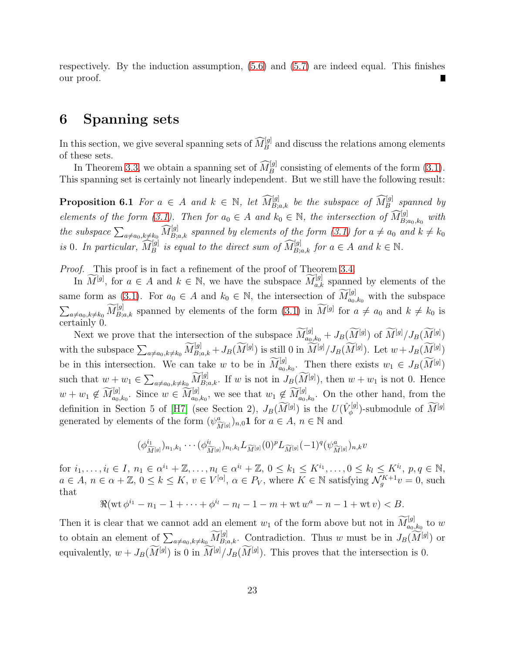respectively. By the induction assumption, [\(5.6\)](#page-21-1) and [\(5.7\)](#page-21-2) are indeed equal. This finishes our proof.

### 6 Spanning sets

In this section, we give several spanning sets of  $\widehat{M}_{B}^{[g]}$  and discuss the relations among elements of these sets.

<span id="page-22-0"></span>In Theorem [3.3,](#page-9-1) we obtain a spanning set of  $\widehat{M}_B^{[g]}$  consisting of elements of the form [\(3.1\)](#page-9-0). This spanning set is certainly not linearly independent. But we still have the following result:

**Proposition 6.1** For  $a \in A$  and  $k \in \mathbb{N}$ , let  $\widehat{M}_{B;a,k}^{[g]}$  be the subspace of  $\widehat{M}_{B}^{[g]}$  spanned by elements of the form [\(3.1\)](#page-9-0). Then for  $a_0 \in A$  and  $k_0 \in \mathbb{N}$ , the intersection of  $\widehat{M}_{B;a_0,k_0}^{[g]}$  with the subspace  $\sum_{a\neq a_0,k\neq k_0} \widehat{M}_{B;a,k}^{[g]}$  spanned by elements of the form [\(3.1\)](#page-9-0) for  $a\neq a_0$  and  $k\neq k_0$ is 0. In particular,  $\widehat{M}_B^{[g]}$  is equal to the direct sum of  $\widehat{M}_{B;a,k}^{[g]}$  for  $a \in A$  and  $k \in \mathbb{N}$ .

Proof. This proof is in fact a refinement of the proof of Theorem [3.4.](#page-11-3)

In  $\widetilde{M}^{[g]}$ , for  $a \in A$  and  $k \in \mathbb{N}$ , we have the subspace  $\widetilde{M}_{a,k}^{[g]}$  spanned by elements of the same form as [\(3.1\)](#page-9-0). For  $a_0 \in A$  and  $k_0 \in \mathbb{N}$ , the intersection of  $\widetilde{M}_{a_0,k_0}^{[g]}$  with the subspace  $\sum_{a\neq a_0,k\neq k_0} \widetilde{M}_{B;a,k}^{[g]}$  spanned by elements of the form  $(3.1)$  in  $\widetilde{M}^{[g]}$  for  $a\neq a_0$  and  $k\neq k_0$  is certainly 0.

Next we prove that the intersection of the subspace  $\widetilde{M}_{a_0,k_0}^{[g]} + J_B(\widetilde{M}^{[g]})$  of  $\widetilde{M}^{[g]}/J_B(\widetilde{M}^{[g]})$ with the subspace  $\sum_{a \neq a_0, k \neq k_0} \widetilde{M}_{B;a,k}^{[g]} + J_B(\widetilde{M}^{[g]})$  is still 0 in  $\widetilde{M}^{[g]}/J_B(\widetilde{M}^{[g]})$ . Let  $w + J_B(\widetilde{M}^{[g]})$ be in this intersection. We can take w to be in  $\widetilde{M}_{a_0,k_0}^{[g]}$ . Then there exists  $w_1 \in J_B(\widetilde{M}^{[g]})$ such that  $w + w_1 \in \sum_{a \neq a_0, k \neq k_0} \widetilde{M}_{B;a,k}^{[g]}$ . If w is not in  $J_B(\widetilde{M}^{[g]})$ , then  $w + w_1$  is not 0. Hence  $w + w_1 \notin \widetilde{M}_{a_0,k_0}^{[g]}$ . Since  $w \in \widetilde{M}_{a_0,k_0}^{[g]}$ , we see that  $w_1 \notin \widetilde{M}_{a_0,k_0}^{[g]}$ . On the other hand, from the definition in Section 5 of [\[H7\]](#page-40-0) (see Section 2),  $J_B(\widetilde{M}^{[g]})$  is the  $U(\hat{V}_{\phi}^{[g]})$  $\mathcal{N}_{\phi}^{[g]}$ )-submodule of  $M^{[g]}$ generated by elements of the form  $(\psi^a_{\widetilde{M}^{[g]}})_{n,0}$ **1** for  $a \in A$ ,  $n \in \mathbb{N}$  and

$$
(\phi_{\widetilde{M}[g]}^{i_1})_{n_1,k_1}\cdots(\phi_{\widetilde{M}[g]}^{i_l})_{n_l,k_l}L_{\widetilde{M}[g]}(0)^pL_{\widetilde{M}[g]}(-1)^q(\psi_{\widetilde{M}[g]}^a)_{n,k}v
$$

for  $i_1, ..., i_l \in I$ ,  $n_1 \in \alpha^{i_1} + \mathbb{Z}, ..., n_l \in \alpha^{i_l} + \mathbb{Z}, 0 \leq k_1 \leq K^{i_1}, ..., 0 \leq k_l \leq K^{i_l}, p, q \in \mathbb{N}$ ,  $a \in A, n \in \alpha + \mathbb{Z}, 0 \leq k \leq K, v \in V^{[\alpha]}, \alpha \in P_V$ , where  $K \in \mathbb{N}$  satisfying  $\mathcal{N}_g^{K+1}v = 0$ , such that

$$
\Re(\text{wt}\,\phi^{i_1}-n_1-1+\cdots+\phi^{i_l}-n_l-1-m+\text{wt}\,w^a-n-1+\text{wt}\,v)
$$

Then it is clear that we cannot add an element  $w_1$  of the form above but not in  $\widetilde{M}_{a_0,k_0}^{[g]}$  to w to obtain an element of  $\sum_{a\neq a_0,k\neq k_0} \widetilde{M}_{B,a,k}^{[g]}$ . Contradiction. Thus w must be in  $J_B(\widetilde{M}^{[g]})$  or equivalently,  $w + J_B(M^{[g]})$  is 0 in  $M^{[g]}/J_B(M^{[g]})$ . This proves that the intersection is 0.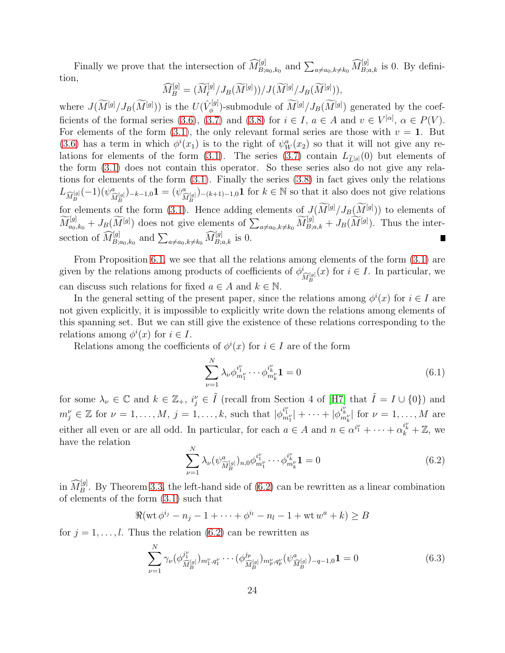Finally we prove that the intersection of  $\widehat{M}_{B;a_0,k_0}^{[g]}$  and  $\sum_{a\neq a_0,k\neq k_0} \widehat{M}_{B;a,k}^{[g]}$  is 0. By definition,

$$
\widehat{M}_{B}^{[g]} = (\widetilde{M}_{\ell}^{[g]}/J_B(\widetilde{M}^{[g]}))/J(\widetilde{M}^{[g]}/J_B(\widetilde{M}^{[g]})),
$$

where  $J(\widetilde{M}^{[g]}/J_B(\widetilde{M}^{[g]}))$  is the  $U(\hat{V}_{\phi}^{[g]})$ <sup> $\chi^{[g]}_{\phi}$ </sup>)-submodule of  $M^{[g]}/J_B(M^{[g]})$  generated by the coef-ficients of the formal series [\(3.6\)](#page-13-0), [\(3.7\)](#page-13-1) and [\(3.8\)](#page-13-2) for  $i \in I$ ,  $a \in A$  and  $v \in V^{[\alpha]}$ ,  $\alpha \in P(V)$ . For elements of the form [\(3.1\)](#page-9-0), the only relevant formal series are those with  $v = 1$ . But [\(3.6\)](#page-13-0) has a term in which  $\phi^{i}(x_1)$  is to the right of  $\psi^a_W(x_2)$  so that it will not give any re-lations for elements of the form [\(3.1\)](#page-9-0). The series [\(3.7\)](#page-13-1) contain  $L_{\tilde{L}^{[g]}}(0)$  but elements of the form [\(3.1\)](#page-9-0) does not contain this operator. So these series also do not give any relations for elements of the form [\(3.1\)](#page-9-0). Finally the series [\(3.8\)](#page-13-2) in fact gives only the relations  $L_{\widehat{M}_{B}^{[g]}}(-1)(\psi_{\widehat{M}_{B}^{[g]}}^{a})_{-k-1,0}$ **1** =  $(\psi_{\widehat{M}_{B}^{[g]}}^{a})_{-(k+1)-1,0}$ **1** for  $k \in \mathbb{N}$  so that it also does not give relations for elements of the form [\(3.1\)](#page-9-0). Hence adding elements of  $J(\widetilde{M}^{[g]}/J_B(\widetilde{M}^{[g]}))$  to elements of  $\widetilde{M}_{a_0,k_0}^{[g]}+J_B(\widetilde{M}^{[g]})$  does not give elements of  $\sum_{a\neq a_0,k\neq k_0} \widetilde{M}_{B,a,k}^{[g]}+J_B(\widetilde{M}^{[g]})$ . Thus the intersection of  $\widehat{M}_{B;a_0,k_0}^{[g]}$  and  $\sum_{a\neq a_0,k\neq k_0} \widehat{M}_{B;a,k}^{[g]}$  is 0.

From Proposition [6.1,](#page-22-0) we see that all the relations among elements of the form [\(3.1\)](#page-9-0) are given by the relations among products of coefficients of  $\phi_{\widehat{M}_{B}^{[g]}}^{i}(x)$  for  $i \in I$ . In particular, we can discuss such relations for fixed  $a \in A$  and  $k \in \mathbb{N}$ .

In the general setting of the present paper, since the relations among  $\phi^i(x)$  for  $i \in I$  are not given explicitly, it is impossible to explicitly write down the relations among elements of this spanning set. But we can still give the existence of these relations corresponding to the relations among  $\phi^i(x)$  for  $i \in I$ .

Relations among the coefficients of  $\phi^i(x)$  for  $i \in I$  are of the form

<span id="page-23-2"></span>
$$
\sum_{\nu=1}^{N} \lambda_{\nu} \phi_{m_1^{\nu}}^{i_1^{\nu}} \cdots \phi_{m_k^{\nu}}^{i_k^{\nu}} \mathbf{1} = 0
$$
 (6.1)

for some  $\lambda_{\nu} \in \mathbb{C}$  and  $k \in \mathbb{Z}_{+}$ ,  $i_{j}^{\nu} \in \tilde{I}$  (recall from Section 4 of [\[H7\]](#page-40-0) that  $\tilde{I} = I \cup \{0\}$ ) and  $m_j^{\nu} \in \mathbb{Z}$  for  $\nu = 1, \ldots, M, j = 1, \ldots, k$ , such that  $|\phi_{m_1^{\nu}}^{i_1^{\nu}}| + \cdots + |\phi_{m_k^{\nu}}^{i_k^{\nu}}|$  for  $\nu = 1, \ldots, M$  are either all even or are all odd. In particular, for each  $a \in A$  and  $n \in \alpha^{i_1} + \cdots + \alpha_k^{i_k} + \mathbb{Z}$ , we have the relation

<span id="page-23-0"></span>
$$
\sum_{\nu=1}^{N} \lambda_{\nu} (\psi^{a}_{\widetilde{M}_{B}^{[g]}})_{n,0} \phi_{m_{1}^{\nu}}^{i_{1}^{\nu}} \cdots \phi_{m_{k}^{\nu}}^{i_{k}^{\nu}} \mathbf{1} = 0
$$
\n(6.2)

in  $\widehat{M}_{B}^{[g]}$ . By Theorem [3.3,](#page-9-1) the left-hand side of [\(6.2\)](#page-23-0) can be rewritten as a linear combination of elements of the form [\(3.1\)](#page-9-0) such that

$$
\Re(\operatorname{wt} \phi^{i_j} - n_j - 1 + \dots + \phi^{i_l} - n_l - 1 + \operatorname{wt} w^a + k) \ge B
$$

for  $j = 1, \ldots, l$ . Thus the relation [\(6.2\)](#page-23-0) can be rewritten as

<span id="page-23-1"></span>
$$
\sum_{\nu=1}^{N} \gamma_{\nu} (\phi_{\widehat{M}_{B}^{[g]}}^{j_{1}^{\nu}})_{m_{1}^{\nu}, q_{1}^{\nu}} \cdots (\phi_{\widehat{M}_{B}^{[g]}}^{j_{p}})_{m_{p}^{\nu}, q_{p}^{\nu}} (\psi_{\widehat{M}_{B}^{[g]}}^{a})_{-q-1,0} \mathbf{1} = 0
$$
\n(6.3)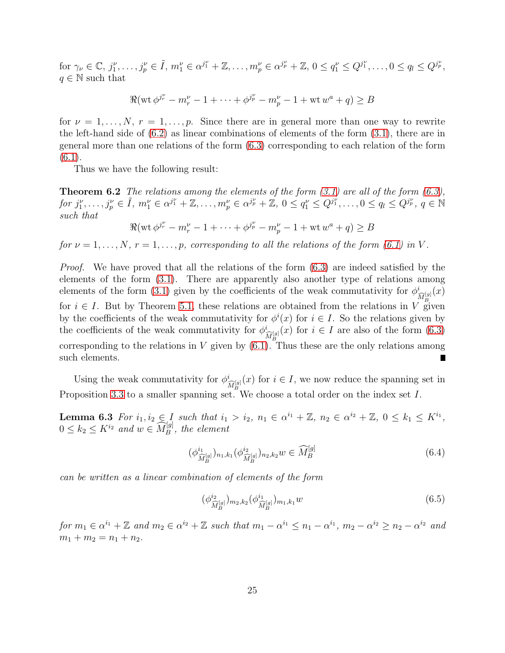for  $\gamma_{\nu} \in \mathbb{C}, j_1^{\nu}, \ldots, j_p^{\nu} \in \tilde{I}, m_1^{\nu} \in \alpha^{j_1^{\nu}} + \mathbb{Z}, \ldots, m_p^{\nu} \in \alpha^{j_p^{\nu}} + \mathbb{Z}, 0 \le q_1^{\nu} \le Q^{j_1^{\nu}}, \ldots, 0 \le q_l \le Q^{j_p^{\nu}},$  $q \in \mathbb{N}$  such that

$$
\Re(\operatorname{wt} \phi^{j_p^\nu} - m_r^\nu - 1 + \dots + \phi^{j_p^\nu} - m_p^\nu - 1 + \operatorname{wt} w^a + q) \ge B
$$

for  $\nu = 1, \ldots, N$ ,  $r = 1, \ldots, p$ . Since there are in general more than one way to rewrite the left-hand side of  $(6.2)$  as linear combinations of elements of the form  $(3.1)$ , there are in general more than one relations of the form [\(6.3\)](#page-23-1) corresponding to each relation of the form  $(6.1).$  $(6.1).$ 

<span id="page-24-3"></span>Thus we have the following result:

**Theorem 6.2** The relations among the elements of the form  $(3.1)$  are all of the form  $(6.3)$ ,  $for j_1^{\nu}, \ldots, j_p^{\nu} \in \tilde{I}, m_1^{\nu} \in \alpha^{j_1^{\nu}} + \mathbb{Z}, \ldots, m_p^{\nu} \in \alpha^{j_p^{\nu}} + \mathbb{Z}, 0 \le q_1^{\nu} \le Q^{j_1^{\nu}}, \ldots, 0 \le q_l \le Q^{j_p^{\nu}}, q \in \mathbb{N}$ such that

 $\Re(\mathrm{wt}\,\phi^{j_r^{\nu}}-m_r^{\nu}-1+\cdots+\phi^{j_p^{\nu}}-m_p^{\nu}-1+\mathrm{wt}\,w^{a}+q)\geq B$ 

for  $\nu = 1, \ldots, N$ ,  $r = 1, \ldots, p$ , corresponding to all the relations of the form [\(6.1\)](#page-23-2) in V.

Proof. We have proved that all the relations of the form  $(6.3)$  are indeed satisfied by the elements of the form [\(3.1\)](#page-9-0). There are apparently also another type of relations among elements of the form [\(3.1\)](#page-9-0) given by the coefficients of the weak commutativity for  $\phi_{\widehat{M}_R^{[g]}}^i(x)$ for  $i \in I$ . But by Theorem [5.1,](#page-18-0) these relations are obtained from the relations in V given by the coefficients of the weak commutativity for  $\phi^i(x)$  for  $i \in I$ . So the relations given by the coefficients of the weak commutativity for  $\phi_{\widehat{M}_R^{[g]}}^i(x)$  for  $i \in I$  are also of the form  $(6.3)$ corresponding to the relations in V given by  $(6.1)$ . Thus these are the only relations among such elements. П

<span id="page-24-2"></span>Using the weak commutativity for  $\phi_{\widehat{M}_B^{[g]}}^i(x)$  for  $i \in I$ , we now reduce the spanning set in Proposition [3.3](#page-9-1) to a smaller spanning set. We choose a total order on the index set I.

**Lemma 6.3** For  $i_1, i_2 \in I$  such that  $i_1 > i_2, n_1 \in \alpha^{i_1} + \mathbb{Z}, n_2 \in \alpha^{i_2} + \mathbb{Z}, 0 \leq k_1 \leq K^{i_1}$ ,  $0 \leq k_2 \leq K^{i_2}$  and  $w \in \widehat{M}_{B}^{[g]}$ , the element

<span id="page-24-1"></span>
$$
(\phi_{\widehat{M}_{B}^{[g]}}^{i_{1}})_{n_{1},k_{1}}(\phi_{\widehat{M}_{B}^{[g]}}^{i_{2}})_{n_{2},k_{2}}w \in \widehat{M}_{B}^{[g]}
$$
\n(6.4)

can be written as a linear combination of elements of the form

<span id="page-24-0"></span>
$$
(\phi_{\widehat{M}_{B}^{[g]}}^{i_{2}})_{m_{2},k_{2}}(\phi_{\widehat{M}_{B}^{[g]}}^{i_{1}})_{m_{1},k_{1}}w \qquad (6.5)
$$

for  $m_1 \in \alpha^{i_1} + \mathbb{Z}$  and  $m_2 \in \alpha^{i_2} + \mathbb{Z}$  such that  $m_1 - \alpha^{i_1} \leq n_1 - \alpha^{i_1}$ ,  $m_2 - \alpha^{i_2} \geq n_2 - \alpha^{i_2}$  and  $m_1 + m_2 = n_1 + n_2.$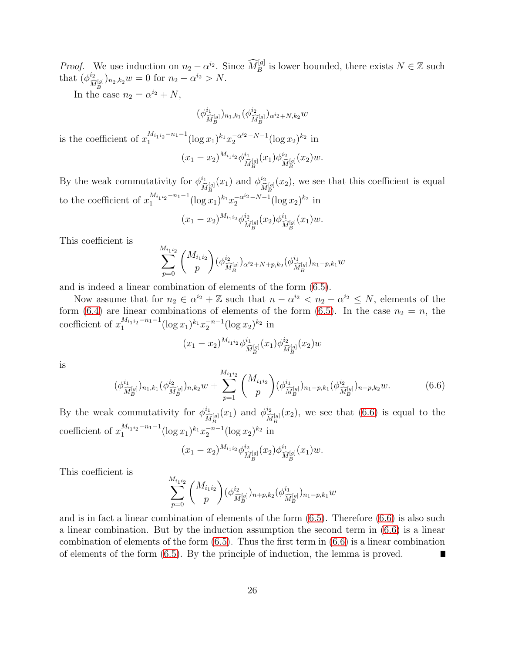*Proof.* We use induction on  $n_2 - \alpha^{i_2}$ . Since  $\widehat{M}_B^{[g]}$  is lower bounded, there exists  $N \in \mathbb{Z}$  such that  $(\phi_{\widehat{M}_R^{[g]}}^{\dot{a}})_{n_2,k_2}w=0$  for  $n_2-\alpha^{\dot{a}_2} > N$ .

In the case  $n_2 = \alpha^{i_2} + N$ ,

$$
(\phi^{i_1}_{\widehat{M}_B^{[g]}})_{n_1,k_1}(\phi^{i_2}_{\widehat{M}_B^{[g]}})_{\alpha^{i_2}+N,k_2}w
$$

is the coefficient of  $x_1^{M_{i_1 i_2}-n_1-1}(\log x_1)^{k_1} x_2^{-\alpha^{i_2}-N-1}(\log x_2)^{k_2}$  in

$$
(x_1-x_2)^{M_{i_1i_2}}\phi_{\widehat{M}_B^{[g]}}^{i_1}(x_1)\phi_{\widehat{M}_B^{[g]}}^{i_2}(x_2)w.
$$

By the weak commutativity for  $\phi_{\widehat{M}_{B}^{[g]}}^{i_1}(x_1)$  and  $\phi_{\widehat{M}_{B}^{[g]}}^{i_2}(x_2)$ , we see that this coefficient is equal to the coefficient of  $x_1^{M_{i_1 i_2}-n_1-1}(\log x_1)^{k_1} x_2^{-\alpha^{i_2}-N-1}(\log x_2)^{k_2}$  in

$$
(x_1-x_2)^{M_{i_1i_2}}\phi_{\widehat{M}_B^{[g]}}^{i_2}(x_2)\phi_{\widehat{M}_B^{[g]}}^{i_1}(x_1)w.
$$

This coefficient is

$$
\sum_{p=0}^{M_{i_1i_2}} \binom{M_{i_1i_2}}{p} (\phi_{\widehat{M}_B^{[g]}}^{i_2})_{\alpha^{i_2}+N+p,k_2} (\phi_{\widehat{M}_B^{[g]}}^{i_1})_{n_1-p,k_1} w
$$

and is indeed a linear combination of elements of the form [\(6.5\)](#page-24-0).

Now assume that for  $n_2 \in \alpha^{i_2} + \mathbb{Z}$  such that  $n - \alpha^{i_2} < n_2 - \alpha^{i_2} \leq N$ , elements of the form [\(6.4\)](#page-24-1) are linear combinations of elements of the form [\(6.5\)](#page-24-0). In the case  $n_2 = n$ , the coefficient of  $x_1^{M_{i_1 i_2}-n_1-1}(\log x_1)^{k_1} x_2^{-n-1}(\log x_2)^{k_2}$  in

$$
(x_1 - x_2)^{M_{i_1 i_2}} \phi_{\widehat{M}_B^{[g]}}^{i_1}(x_1) \phi_{\widehat{M}_B^{[g]}}^{i_2}(x_2) w
$$

is

<span id="page-25-0"></span>
$$
(\phi_{\widehat{M}_{B}^{[g]}}^{i_{1}})_{n_{1},k_{1}}(\phi_{\widehat{M}_{B}^{[g]}}^{i_{2}})_{n,k_{2}}w+\sum_{p=1}^{M_{i_{1}i_{2}}}\binom{M_{i_{1}i_{2}}}{p}(\phi_{\widehat{M}_{B}^{[g]}}^{i_{1}})_{n_{1}-p,k_{1}}(\phi_{\widehat{M}_{B}^{[g]}}^{i_{2}})_{n+p,k_{2}}w.
$$
\n(6.6)

By the weak commutativity for  $\phi_{\widehat{M}_B^{[g]}}^{i_1}(x_1)$  and  $\phi_{\widehat{M}_B^{[g]}}^{i_2}(x_2)$ , we see that [\(6.6\)](#page-25-0) is equal to the coefficient of  $x_1^{M_{i_1 i_2}-n_1-1}(\log x_1)^{k_1} x_2^{-n-1}(\log x_2)^{k_2}$  in

$$
(x_1-x_2)^{M_{i_1i_2}}\phi_{\widehat{M}_B^{[g]}}^{i_2}(x_2)\phi_{\widehat{M}_B^{[g]}}^{i_1}(x_1)w.
$$

This coefficient is

$$
\sum_{p=0}^{M_{i_1i_2}} \binom{M_{i_1i_2}}{p} (\phi_{\widehat{M}_B^{[g]}}^{i_2})_{n+p,k_2} (\phi_{\widehat{M}_B^{[g]}}^{i_1})_{n_1-p,k_1} w
$$

and is in fact a linear combination of elements of the form [\(6.5\)](#page-24-0). Therefore [\(6.6\)](#page-25-0) is also such a linear combination. But by the induction assumption the second term in [\(6.6\)](#page-25-0) is a linear combination of elements of the form  $(6.5)$ . Thus the first term in  $(6.6)$  is a linear combination of elements of the form [\(6.5\)](#page-24-0). By the principle of induction, the lemma is proved. Г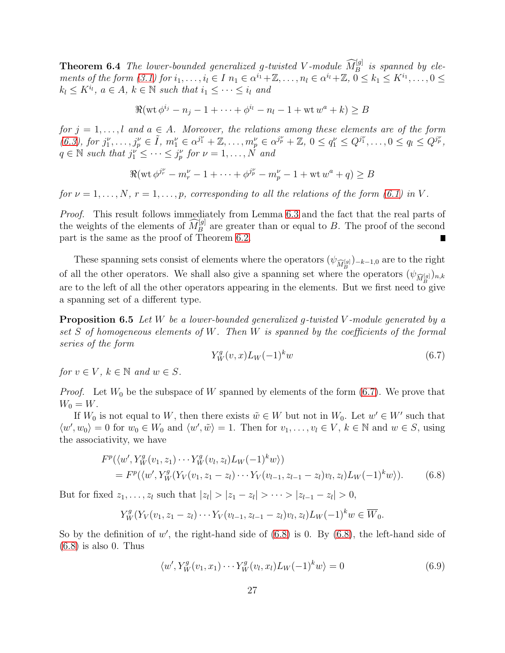**Theorem 6.4** The lower-bounded generalized g-twisted V-module  $\widehat{M}_B^{[g]}$  is spanned by elements of the form  $(3.1)$  for  $i_1, \ldots, i_l \in I$   $n_1 \in \alpha^{i_1} + \mathbb{Z}, \ldots, n_l \in \alpha^{i_l} + \mathbb{Z}, 0 \leq k_1 \leq K^{i_1}, \ldots, 0 \leq k_l$  $k_l \leq K^{i_l}, \ a \in A, \ k \in \mathbb{N} \ \text{such that} \ i_1 \leq \cdots \leq i_l \ \text{and}$ 

$$
\Re(\text{wt } \phi^{i_j} - n_j - 1 + \dots + \phi^{i_l} - n_l - 1 + \text{wt } w^a + k) \ge B
$$

for  $j = 1, \ldots, l$  and  $a \in A$ . Moreover, the relations among these elements are of the form [\(6.3\)](#page-23-1), for  $j_1^{\nu}, \ldots, j_p^{\nu} \in \tilde{I}$ ,  $m_1^{\nu} \in \alpha^{j_1^{\nu}} + \mathbb{Z}, \ldots, m_p^{\nu} \in \alpha^{j_p^{\nu}} + \mathbb{Z}, 0 \le q_1^{\nu} \le Q^{j_1^{\nu}}, \ldots, 0 \le q_l \le Q^{j_p^{\nu}}$ ,  $q \in \mathbb{N}$  such that  $j_1^{\nu} \leq \cdots \leq j_p^{\nu}$  for  $\nu = 1, \ldots, N$  and

$$
\Re(\text{wt } \phi^{j_p^{\nu}} - m_r^{\nu} - 1 + \dots + \phi^{j_p^{\nu}} - m_p^{\nu} - 1 + \text{wt } w^a + q) \ge B
$$

for  $\nu = 1, \ldots, N$ ,  $r = 1, \ldots, p$ , corresponding to all the relations of the form [\(6.1\)](#page-23-2) in V.

Proof. This result follows immediately from Lemma [6.3](#page-24-2) and the fact that the real parts of the weights of the elements of  $\widehat{M}_{B}^{[g]}$  are greater than or equal to B. The proof of the second part is the same as the proof of Theorem [6.2.](#page-24-3)

These spanning sets consist of elements where the operators  $(\psi_{\widehat{M}_R^{[g]}})_{-k-1,0}$  are to the right of all the other operators. We shall also give a spanning set where the operators  $(\psi_{\widehat{M}_{B}^{[g]}})_{n,k}$ are to the left of all the other operators appearing in the elements. But we first need to give a spanning set of a different type.

<span id="page-26-3"></span>**Proposition 6.5** Let W be a lower-bounded generalized q-twisted V-module generated by a set S of homogeneous elements of W. Then W is spanned by the coefficients of the formal series of the form

<span id="page-26-1"></span><span id="page-26-0"></span>
$$
Y_W^g(v,x)L_W(-1)^kw\tag{6.7}
$$

for  $v \in V$ ,  $k \in \mathbb{N}$  and  $w \in S$ .

*Proof.* Let  $W_0$  be the subspace of W spanned by elements of the form [\(6.7\)](#page-26-0). We prove that  $W_0 = W$ .

If  $W_0$  is not equal to W, then there exists  $\tilde{w} \in W$  but not in  $W_0$ . Let  $w' \in W'$  such that  $\langle w', w_0 \rangle = 0$  for  $w_0 \in W_0$  and  $\langle w', \tilde{w} \rangle = 1$ . Then for  $v_1, \ldots, v_l \in V$ ,  $k \in \mathbb{N}$  and  $w \in S$ , using the associativity, we have

$$
F^{p}(\langle w', Y_W^g(v_1, z_1) \cdots Y_W^g(v_l, z_l) L_W(-1)^k w \rangle)
$$
  
=  $F^{p}(\langle w', Y_W^g(Y_V(v_1, z_1 - z_l) \cdots Y_V(v_{l-1}, z_{l-1} - z_l) v_l, z_l) L_W(-1)^k w \rangle).$  (6.8)

But for fixed  $z_1, \ldots, z_l$  such that  $|z_l| > |z_1 - z_l| > \cdots > |z_{l-1} - z_l| > 0$ ,

$$
Y_W^g(Y_V(v_1, z_1 - z_l) \cdots Y_V(v_{l-1}, z_{l-1} - z_l)v_l, z_l)L_W(-1)^k w \in \overline{W}_0.
$$

So by the definition of  $w'$ , the right-hand side of  $(6.8)$  is 0. By  $(6.8)$ , the left-hand side of  $(6.8)$  is also 0. Thus

<span id="page-26-2"></span>
$$
\langle w', Y_W^g(v_1, x_1) \cdots Y_W^g(v_l, x_l) L_W(-1)^k w \rangle = 0 \tag{6.9}
$$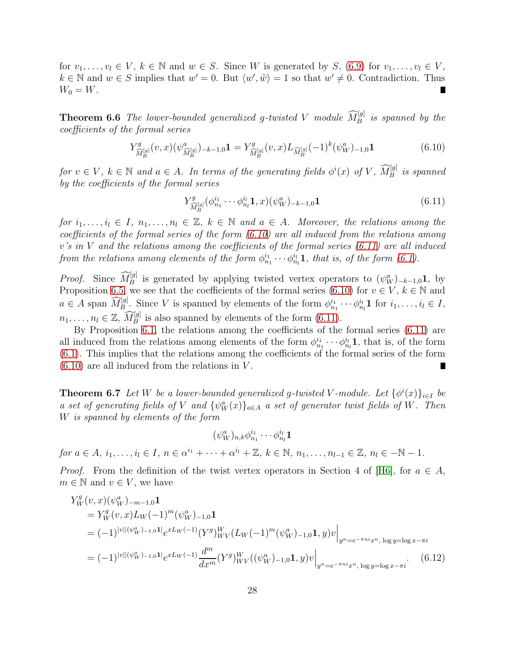for  $v_1, \ldots, v_l \in V$ ,  $k \in \mathbb{N}$  and  $w \in S$ . Since W is generated by S, [\(6.9\)](#page-26-2) for  $v_1, \ldots, v_l \in V$ ,  $k \in \mathbb{N}$  and  $w \in S$  implies that  $w' = 0$ . But  $\langle w', \tilde{w} \rangle = 1$  so that  $w' \neq 0$ . Contradiction. Thus  $W_0 = W$ . Г

<span id="page-27-3"></span>**Theorem 6.6** The lower-bounded generalized g-twisted V module  $\widehat{M}_{B}^{[g]}$  is spanned by the coefficients of the formal series

<span id="page-27-0"></span>
$$
Y^g_{\widehat{M}_B^{[g]}}(v,x)(\psi^a_{\widehat{M}_B^{[g]}})_{-k-1,0} \mathbf{1} = Y^g_{\widehat{M}_B^{[g]}}(v,x)L_{\widehat{M}_B^{[g]}}(-1)^k(\psi^a_W)_{-1,0} \mathbf{1}
$$
(6.10)

for  $v \in V$ ,  $k \in \mathbb{N}$  and  $a \in A$ . In terms of the generating fields  $\phi^i(x)$  of V,  $\widehat{M}_B^{[g]}$  is spanned by the coefficients of the formal series

<span id="page-27-1"></span>
$$
Y^{g}_{\widehat{M}_{B}^{[g]}}(\phi^{i_1}_{n_1}\cdots\phi^{i_l}_{n_l}\mathbf{1},x)(\psi^a_W)_{-k-1,0}\mathbf{1}
$$
\n(6.11)

for  $i_1, \ldots, i_l \in I$ ,  $n_1, \ldots, n_l \in \mathbb{Z}$ ,  $k \in \mathbb{N}$  and  $a \in A$ . Moreover, the relations among the coefficients of the formal series of the form [\(6.10\)](#page-27-0) are all induced from the relations among  $v's$  in V and the relations among the coefficients of the formal series  $(6.11)$  are all induced from the relations among elements of the form  $\phi_{n_1}^{i_1} \cdots \phi_{n_l}^{i_l}$ **1**, that is, of the form [\(6.1\)](#page-23-2).

*Proof.* Since  $\widehat{M}_{B}^{[g]}$  is generated by applying twisted vertex operators to  $(\psi_{W}^{a})_{-k-1,0}$ **1**, by Proposition [6.5,](#page-26-3) we see that the coefficients of the formal series [\(6.10\)](#page-27-0) for  $v \in V$ ,  $k \in \mathbb{N}$  and  $a \in A$  span  $\widehat{M_B^{[g]}}$ . Since V is spanned by elements of the form  $\phi_{n_1}^{i_1} \cdots \phi_{n_l}^{i_l} \mathbf{1}$  for  $i_1, \ldots, i_l \in I$ ,  $n_1, \ldots, n_l \in \mathbb{Z}, \widehat{M}_B^{[g]}$  is also spanned by elements of the form [\(6.11\)](#page-27-1).

By Proposition [6.1,](#page-22-0) the relations among the coefficients of the formal series [\(6.11\)](#page-27-1) are all induced from the relations among elements of the form  $\phi_{n_1}^{i_1} \cdots \phi_{n_l}^{i_l}$ **1**, that is, of the form [\(6.1\)](#page-23-2). This implies that the relations among the coefficients of the formal series of the form  $(6.10)$  are all induced from the relations in V. П

**Theorem 6.7** Let W be a lower-bounded generalized g-twisted V-module. Let  $\{\phi^i(x)\}_{i\in I}$  be a set of generating fields of V and  $\{\psi_W^a(x)\}_{a\in A}$  a set of generator twist fields of W. Then W is spanned by elements of the form

<span id="page-27-2"></span>
$$
(\psi_W^a)_{n,k}\phi_{n_1}^{i_1}\cdots \phi_{n_l}^{i_l}\mathbf{1}
$$

for  $a \in A$ ,  $i_1, ..., i_l \in I$ ,  $n \in \alpha^{i_1} + \cdots + \alpha^{i_l} + \mathbb{Z}$ ,  $k \in \mathbb{N}$ ,  $n_1, ..., n_{l-1} \in \mathbb{Z}$ ,  $n_l \in -\mathbb{N} - 1$ .

*Proof.* From the definition of the twist vertex operators in Section 4 of [\[H6\]](#page-40-4), for  $a \in A$ ,  $m \in \mathbb{N}$  and  $v \in V$ , we have

$$
Y_W^g(v, x)(\psi_W^a)_{-m-1,0} \mathbf{1}
$$
  
=  $Y_W^g(v, x)L_W(-1)^m(\psi_W^a)_{-1,0} \mathbf{1}$   
=  $(-1)^{|v| |(\psi_W^a)_{-1,0} \mathbf{1}|} e^{xL_W(-1)} (Y^g)_{WV}^W(L_W(-1)^m(\psi_W^a)_{-1,0} \mathbf{1}, y) v|_{y^n = e^{-\pi ni} x^n, \log y = \log x - \pi i}$   
=  $(-1)^{|v| |(\psi_W^a)_{-1,0} \mathbf{1}|} e^{xL_W(-1)} \frac{d^m}{dx^m} (Y^g)_{WV}^W((\psi_W^a)_{-1,0} \mathbf{1}, y) v|_{y^n = e^{-\pi ni} x^n, \log y = \log x - \pi i}$  (6.12)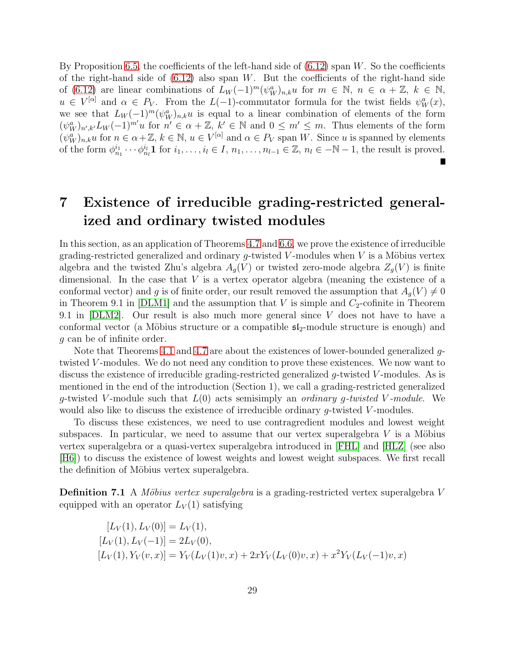By Proposition [6.5,](#page-26-3) the coefficients of the left-hand side of  $(6.12)$  span W. So the coefficients of the right-hand side of  $(6.12)$  also span W. But the coefficients of the right-hand side of [\(6.12\)](#page-27-2) are linear combinations of  $L_W(-1)^m(\psi_W^a)_{n,k}u$  for  $m \in \mathbb{N}$ ,  $n \in \alpha + \mathbb{Z}$ ,  $k \in \mathbb{N}$ ,  $u \in V^{[\alpha]}$  and  $\alpha \in P_V$ . From the  $L(-1)$ -commutator formula for the twist fields  $\psi_W^a(x)$ , we see that  $L_W(-1)^m(\psi_W^a)_{n,k}u$  is equal to a linear combination of elements of the form  $(\psi_W^a)_{n',k'}L_W(-1)^{m'}u$  for  $n' \in \alpha + \mathbb{Z}, k' \in \mathbb{N}$  and  $0 \leq m' \leq m$ . Thus elements of the form  $(\psi_W^a)_{n,k} u$  for  $n \in \alpha + \mathbb{Z}$ ,  $k \in \mathbb{N}$ ,  $u \in V^{[\alpha]}$  and  $\alpha \in P_V$  span W. Since u is spanned by elements of the form  $\phi_{n_1}^{i_1} \cdots \phi_{n_l}^{i_l} 1$  for  $i_1, \ldots, i_l \in I, n_1, \ldots, n_{l-1} \in \mathbb{Z}, n_l \in \mathbb{N} - 1$ , the result is proved.

## 7 Existence of irreducible grading-restricted generalized and ordinary twisted modules

In this section, as an application of Theorems [4.7](#page-17-0) and [6.6,](#page-27-3) we prove the existence of irreducible grading-restricted generalized and ordinary  $g$ -twisted V-modules when V is a Möbius vertex algebra and the twisted Zhu's algebra  $A_q(V)$  or twisted zero-mode algebra  $Z_q(V)$  is finite dimensional. In the case that  $V$  is a vertex operator algebra (meaning the existence of a conformal vector) and g is of finite order, our result removed the assumption that  $A_q(V) \neq 0$ in Theorem 9.1 in [\[DLM1\]](#page-39-8) and the assumption that V is simple and  $C_2$ -cofinite in Theorem 9.1 in [\[DLM2\]](#page-39-0). Our result is also much more general since V does not have to have a conformal vector (a Möbius structure or a compatible  $\mathfrak{sl}_2$ -module structure is enough) and g can be of infinite order.

Note that Theorems [4.1](#page-13-3) and [4.7](#page-17-0) are about the existences of lower-bounded generalized  $q$ twisted V-modules. We do not need any condition to prove these existences. We now want to discuss the existence of irreducible grading-restricted generalized g-twisted V-modules. As is mentioned in the end of the introduction (Section 1), we call a grading-restricted generalized g-twisted V-module such that  $L(0)$  acts semisimply an *ordinary g-twisted V-module*. We would also like to discuss the existence of irreducible ordinary  $q$ -twisted V-modules.

To discuss these existences, we need to use contragredient modules and lowest weight subspaces. In particular, we need to assume that our vertex superalgebra  $V$  is a Möbius vertex superalgebra or a quasi-vertex superalgebra introduced in [\[FHL\]](#page-39-9) and [\[HLZ\]](#page-40-3) (see also [\[H6\]](#page-40-4)) to discuss the existence of lowest weights and lowest weight subspaces. We first recall the definition of Möbius vertex superalgebra.

**Definition 7.1** A Möbius vertex superalgebra is a grading-restricted vertex superalgebra V equipped with an operator  $L_V(1)$  satisfying

$$
[L_V(1), L_V(0)] = L_V(1),
$$
  
\n
$$
[L_V(1), L_V(-1)] = 2L_V(0),
$$
  
\n
$$
[L_V(1), Y_V(v, x)] = Y_V(L_V(1)v, x) + 2xY_V(L_V(0)v, x) + x^2Y_V(L_V(-1)v, x)
$$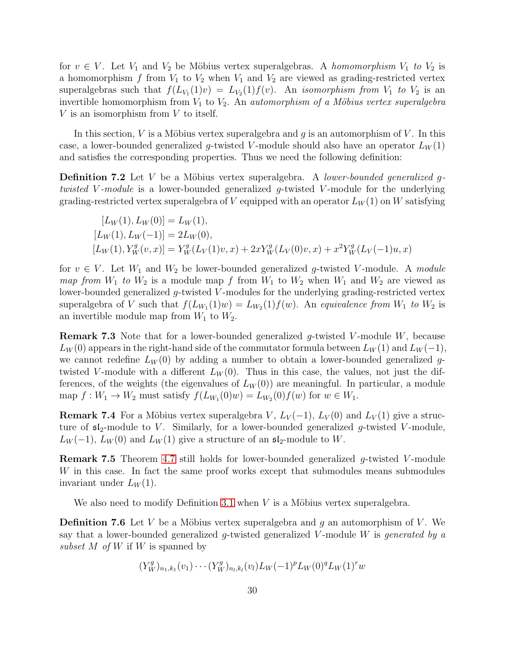for  $v \in V$ . Let  $V_1$  and  $V_2$  be Möbius vertex superalgebras. A homomorphism  $V_1$  to  $V_2$  is a homomorphism f from  $V_1$  to  $V_2$  when  $V_1$  and  $V_2$  are viewed as grading-restricted vertex superalgebras such that  $f(L_{V_1}(1)v) = L_{V_2}(1)f(v)$ . An *isomorphism from*  $V_1$  to  $V_2$  is an invertible homomorphism from  $V_1$  to  $V_2$ . An *automorphism of a Möbius vertex superalgebra*  $V$  is an isomorphism from  $V$  to itself.

In this section, V is a Möbius vertex superalgebra and g is an automorphism of V. In this case, a lower-bounded generalized q-twisted V-module should also have an operator  $L_W(1)$ and satisfies the corresponding properties. Thus we need the following definition:

<span id="page-29-0"></span>**Definition 7.2** Let V be a Möbius vertex superalgebra. A *lower-bounded generalized q*twisted V-module is a lower-bounded generalized g-twisted V-module for the underlying grading-restricted vertex superalgebra of V equipped with an operator  $L_W(1)$  on W satisfying

$$
[L_W(1), L_W(0)] = L_W(1),
$$
  
\n
$$
[L_W(1), L_W(-1)] = 2L_W(0),
$$
  
\n
$$
[L_W(1), Y_W^g(v, x)] = Y_W^g(L_V(1)v, x) + 2xY_W^g(L_V(0)v, x) + x^2Y_W^g(L_V(-1)u, x)
$$

for  $v \in V$ . Let  $W_1$  and  $W_2$  be lower-bounded generalized g-twisted V-module. A module map from  $W_1$  to  $W_2$  is a module map f from  $W_1$  to  $W_2$  when  $W_1$  and  $W_2$  are viewed as lower-bounded generalized  $g$ -twisted V-modules for the underlying grading-restricted vertex superalgebra of V such that  $f(L_{W_1}(1)w) = L_{W_2}(1)f(w)$ . An *equivalence from*  $W_1$  to  $W_2$  is an invertible module map from  $W_1$  to  $W_2$ .

**Remark 7.3** Note that for a lower-bounded generalized  $q$ -twisted V-module W, because  $L_W(0)$  appears in the right-hand side of the commutator formula between  $L_W(1)$  and  $L_W(-1)$ , we cannot redefine  $L_W(0)$  by adding a number to obtain a lower-bounded generalized gtwisted V-module with a different  $L_W(0)$ . Thus in this case, the values, not just the differences, of the weights (the eigenvalues of  $L_W(0)$ ) are meaningful. In particular, a module map  $f: W_1 \to W_2$  must satisfy  $f(L_{W_1}(0)w) = L_{W_2}(0)f(w)$  for  $w \in W_1$ .

**Remark 7.4** For a Möbius vertex superalgebra V,  $L_V(-1)$ ,  $L_V(0)$  and  $L_V(1)$  give a structure of  $\mathfrak{sl}_2$ -module to V. Similarly, for a lower-bounded generalized g-twisted V-module,  $L_W(-1)$ ,  $L_W(0)$  and  $L_W(1)$  give a structure of an  $\mathfrak{sl}_2$ -module to W.

<span id="page-29-2"></span>**Remark 7.5** Theorem [4.7](#page-17-0) still holds for lower-bounded generalized g-twisted V-module W in this case. In fact the same proof works except that submodules means submodules invariant under  $L_W(1)$ .

<span id="page-29-1"></span>We also need to modify Definition [3.1](#page-9-2) when  $V$  is a Möbius vertex superalgebra.

**Definition 7.6** Let V be a Möbius vertex superalgebra and g an automorphism of V. We say that a lower-bounded generalized g-twisted generalized  $V$ -module  $W$  is generated by a subset M of W if W is spanned by

$$
(Y_W^g)_{n_1,k_1}(v_1)\cdots(Y_W^g)_{n_l,k_l}(v_l)L_W(-1)^pL_W(0)^qL_W(1)^r w
$$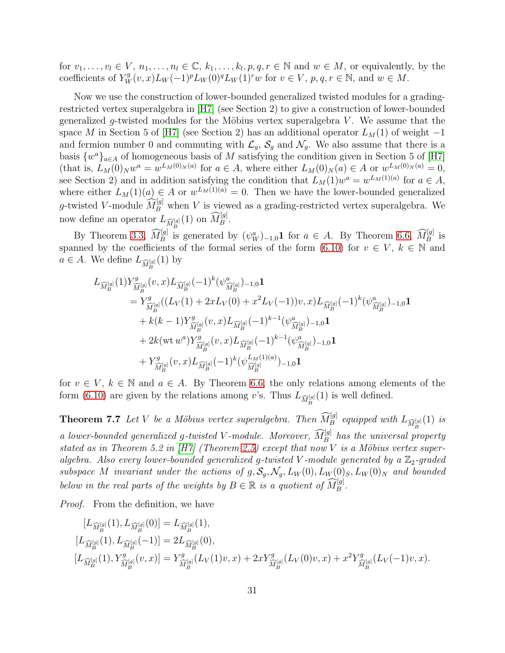for  $v_1, \ldots, v_l \in V, n_1, \ldots, n_l \in \mathbb{C}, k_1, \ldots, k_l, p, q, r \in \mathbb{N}$  and  $w \in M$ , or equivalently, by the coefficients of  $Y_W^g(v, x)L_W(-1)^pL_W(0)^qL_W(1)^rw$  for  $v \in V$ ,  $p, q, r \in \mathbb{N}$ , and  $w \in M$ .

Now we use the construction of lower-bounded generalized twisted modules for a gradingrestricted vertex superalgebra in [\[H7\]](#page-40-0) (see Section 2) to give a construction of lower-bounded generalized g-twisted modules for the Möbius vertex superalgebra V. We assume that the space M in Section 5 of [\[H7\]](#page-40-0) (see Section 2) has an additional operator  $L_M(1)$  of weight  $-1$ and fermion number 0 and commuting with  $\mathcal{L}_q$ ,  $\mathcal{S}_q$  and  $\mathcal{N}_q$ . We also assume that there is a basis  $\{w^a\}_{a\in A}$  of homogeneous basis of M satisfying the condition given in Section 5 of [\[H7\]](#page-40-0) (that is,  $L_M(0)_N w^a = w^{L_M(0)_N(a)}$  for  $a \in A$ , where either  $L_M(0)_N(a) \in A$  or  $w^{L_M(0)_N(a)} = 0$ , see Section 2) and in addition satisfying the condition that  $L_M(1)w^a = w^{L_M(1)(a)}$  for  $a \in A$ , where either  $L_M(1)(a) \in A$  or  $w^{L_M(1)(a)} = 0$ . Then we have the lower-bounded generalized g-twisted V-module  $\widehat{M}_{B}^{[g]}$  when V is viewed as a grading-restricted vertex superalgebra. We now define an operator  $L_{\widehat{M}_{B}^{[g]}}(1)$  on  $\widehat{M}_{B}^{[g]}$ .

By Theorem [3.3,](#page-9-1)  $\widehat{M}_B^{[g]}$  is generated by  $(\psi_W^a)_{-1,0}$ **1** for  $a \in A$ . By Theorem [6.6,](#page-27-3)  $\widehat{M}_B^{[g]}$  is spanned by the coefficients of the formal series of the form [\(6.10\)](#page-27-0) for  $v \in V, k \in \mathbb{N}$  and  $a \in A$ . We define  $L_{\widehat{M}_{B}^{[g]}}(1)$  by

$$
L_{\widehat{M}_{B}^{[g]}}(1)Y_{\widehat{M}_{B}^{[g]}}^{g}(v,x)L_{\widehat{M}_{B}^{[g]}}(-1)^{k}(\psi_{\widehat{M}_{B}^{[g]}}^{a})_{-1,0}\mathbf{1}
$$
\n
$$
=Y_{\widehat{M}_{B}^{[g]}}^{g}((L_{V}(1)+2xL_{V}(0)+x^{2}L_{V}(-1))v,x)L_{\widehat{M}_{B}^{[g]}}(-1)^{k}(\psi_{\widehat{M}_{B}^{[g]}}^{a})_{-1,0}\mathbf{1}
$$
\n
$$
+k(k-1)Y_{\widehat{M}_{B}^{[g]}}^{g}(v,x)L_{\widehat{M}_{B}^{[g]}}(-1)^{k-1}(\psi_{\widehat{M}_{B}^{[g]}}^{a})_{-1,0}\mathbf{1}
$$
\n
$$
+2k(\text{wt }w^{a})Y_{\widehat{M}_{B}^{[g]}}^{g}(v,x)L_{\widehat{M}_{B}^{[g]}}(-1)^{k-1}(\psi_{\widehat{M}_{B}^{[g]}}^{a})_{-1,0}\mathbf{1}
$$
\n
$$
+Y_{\widehat{M}_{B}^{[g]}}^{g}(v,x)L_{\widehat{M}_{B}^{[g]}}(-1)^{k}(\psi_{\widehat{M}_{B}^{[g]}}^{L_{M}(1)(a)})_{-1,0}\mathbf{1}
$$

<span id="page-30-0"></span>for  $v \in V$ ,  $k \in \mathbb{N}$  and  $a \in A$ . By Theorem [6.6,](#page-27-3) the only relations among elements of the form [\(6.10\)](#page-27-0) are given by the relations among v's. Thus  $L_{\widehat{M}_{B}^{[g]}}(1)$  is well defined.

**Theorem 7.7** Let V be a Möbius vertex superalgebra. Then  $\widehat{M}_{B}^{[g]}$  equipped with  $L_{\widehat{M}_{B}^{[g]}}(1)$  is a lower-bounded generalized g-twisted V-module. Moreover,  $\widehat{M}_B^{[g]}$  has the universal property stated as in Theorem 5.2 in  $|H7|$  (Theorem [2.5\)](#page-8-0) except that now V is a Möbius vertex superalgebra. Also every lower-bounded generalized g-twisted V-module generated by a  $\mathbb{Z}_2$ -graded subspace M invariant under the actions of  $g, S_g, \mathcal{N}_g, L_W(0), L_W(0)_S, L_W(0)_N$  and bounded below in the real parts of the weights by  $B \in \mathbb{R}$  is a quotient of  $\widehat{M}_{B}^{[g]}$ .

Proof. From the definition, we have

$$
[L_{\widehat{M}_{B}^{[g]}}(1), L_{\widehat{M}_{B}^{[g]}}(0)] = L_{\widehat{M}_{B}^{[g]}}(1),
$$
  
\n
$$
[L_{\widehat{M}_{B}^{[g]}}(1), L_{\widehat{M}_{B}^{[g]}}(-1)] = 2L_{\widehat{M}_{B}^{[g]}}(0),
$$
  
\n
$$
[L_{\widehat{M}_{B}^{[g]}}(1), Y_{\widehat{M}_{B}^{[g]}}^{g}(v, x)] = Y_{\widehat{M}_{B}^{[g]}}^{g}(L_{V}(1)v, x) + 2xY_{\widehat{M}_{B}^{[g]}}^{g}(L_{V}(0)v, x) + x^{2}Y_{\widehat{M}_{B}^{[g]}}^{g}(L_{V}(-1)v, x).
$$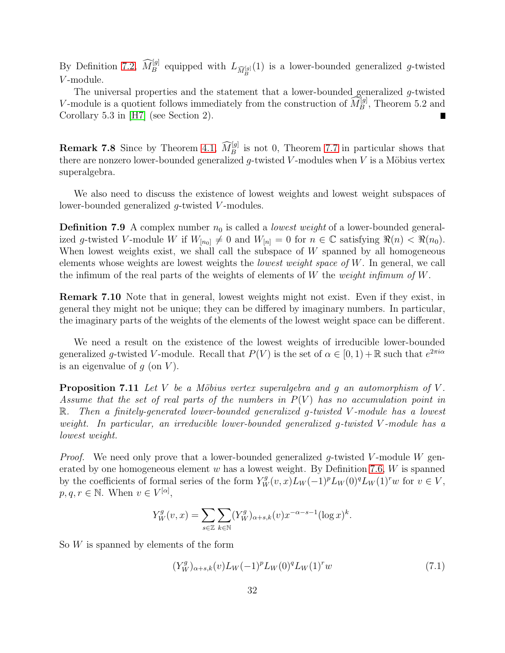By Definition [7.2,](#page-29-0)  $\widehat{M}_{B}^{[g]}$  equipped with  $L_{\widehat{M}_{B}^{[g]}}(1)$  is a lower-bounded generalized g-twisted V -module.

The universal properties and the statement that a lower-bounded generalized g-twisted V-module is a quotient follows immediately from the construction of  $\widehat{M}_{B}^{[g]}$ , Theorem 5.2 and Corollary 5.3 in [\[H7\]](#page-40-0) (see Section 2).

**Remark 7.8** Since by Theorem [4.1,](#page-13-3)  $\widehat{M}_{B}^{[g]}$  is not 0, Theorem [7.7](#page-30-0) in particular shows that there are nonzero lower-bounded generalized q-twisted V-modules when  $V$  is a Möbius vertex superalgebra.

We also need to discuss the existence of lowest weights and lowest weight subspaces of lower-bounded generalized g-twisted V-modules.

**Definition 7.9** A complex number  $n_0$  is called a *lowest weight* of a lower-bounded generalized g-twisted V-module W if  $W_{[n_0]} \neq 0$  and  $W_{[n]} = 0$  for  $n \in \mathbb{C}$  satisfying  $\Re(n) < \Re(n_0)$ . When lowest weights exist, we shall call the subspace of W spanned by all homogeneous elements whose weights are lowest weights the *lowest weight space of W*. In general, we call the infimum of the real parts of the weights of elements of W the *weight infimum of W*.

Remark 7.10 Note that in general, lowest weights might not exist. Even if they exist, in general they might not be unique; they can be differed by imaginary numbers. In particular, the imaginary parts of the weights of the elements of the lowest weight space can be different.

We need a result on the existence of the lowest weights of irreducible lower-bounded generalized g-twisted V-module. Recall that  $P(V)$  is the set of  $\alpha \in [0,1) + \mathbb{R}$  such that  $e^{2\pi i \alpha}$ is an eigenvalue of  $g$  (on  $V$ ).

<span id="page-31-1"></span>**Proposition 7.11** Let V be a Möbius vertex superalgebra and q an automorphism of V. Assume that the set of real parts of the numbers in  $P(V)$  has no accumulation point in R. Then a finitely-generated lower-bounded generalized g-twisted V-module has a lowest weight. In particular, an irreducible lower-bounded generalized g-twisted V -module has a lowest weight.

*Proof.* We need only prove that a lower-bounded generalized q-twisted V-module W gen-erated by one homogeneous element w has a lowest weight. By Definition [7.6,](#page-29-1)  $W$  is spanned by the coefficients of formal series of the form  $Y_W^g(v, x)L_W(-1)^pL_W(0)^qL_W(1)^rw$  for  $v \in V$ ,  $p, q, r \in \mathbb{N}$ . When  $v \in V^{[\alpha]},$ 

$$
Y_W^g(v, x) = \sum_{s \in \mathbb{Z}} \sum_{k \in \mathbb{N}} (Y_W^g)_{\alpha+s,k}(v) x^{-\alpha-s-1} (\log x)^k.
$$

So  $W$  is spanned by elements of the form

<span id="page-31-0"></span>
$$
(Y_W^g)_{\alpha+s,k}(v)L_W(-1)^pL_W(0)^qL_W(1)^rw \tag{7.1}
$$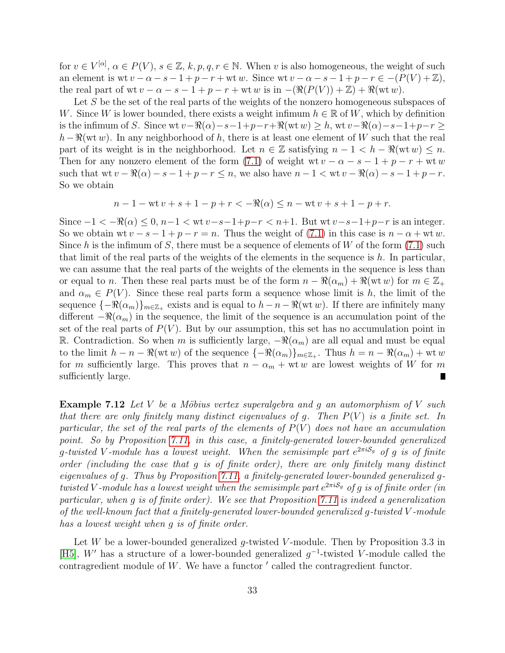for  $v \in V^{[\alpha]}$ ,  $\alpha \in P(V)$ ,  $s \in \mathbb{Z}$ ,  $k, p, q, r \in \mathbb{N}$ . When v is also homogeneous, the weight of such an element is wt  $v - \alpha - s - 1 + p - r + w$ t w. Since wt  $v - \alpha - s - 1 + p - r \in -(P(V) + \mathbb{Z}),$ the real part of wt  $v - \alpha - s - 1 + p - r + w$ t w is in  $-(\Re(P(V)) + \mathbb{Z}) + \Re(wt w)$ .

Let S be the set of the real parts of the weights of the nonzero homogeneous subspaces of W. Since W is lower bounded, there exists a weight infimum  $h \in \mathbb{R}$  of W, which by definition is the infimum of S. Since wt  $v-\Re(\alpha)-s-1+p-r+\Re(wt w) \geq h$ , wt  $v-\Re(\alpha)-s-1+p-r \geq$  $h-\Re(wt w)$ . In any neighborhood of h, there is at least one element of W such that the real part of its weight is in the neighborhood. Let  $n \in \mathbb{Z}$  satisfying  $n - 1 < h - \Re(\omega t w) \leq n$ . Then for any nonzero element of the form [\(7.1\)](#page-31-0) of weight wt  $v - \alpha - s - 1 + p - r + w$ t w such that wt  $v - \Re(\alpha) - s - 1 + p - r \le n$ , we also have  $n - 1 < \text{wt } v - \Re(\alpha) - s - 1 + p - r$ . So we obtain

$$
n - 1 - wt v + s + 1 - p + r < -\Re(\alpha) \le n - wt v + s + 1 - p + r.
$$

Since  $-1 < -\Re(\alpha) < 0$ ,  $n-1 < \text{wt } v - s-1+p-r < n+1$ . But wt  $v-s-1+p-r$  is an integer. So we obtain wt  $v - s - 1 + p - r = n$ . Thus the weight of [\(7.1\)](#page-31-0) in this case is  $n - \alpha + \text{wt } w$ . Since h is the infimum of S, there must be a sequence of elements of W of the form  $(7.1)$  such that limit of the real parts of the weights of the elements in the sequence is  $h$ . In particular, we can assume that the real parts of the weights of the elements in the sequence is less than or equal to n. Then these real parts must be of the form  $n - \Re(\alpha_m) + \Re(\mathrm{wt} w)$  for  $m \in \mathbb{Z}_+$ and  $\alpha_m \in P(V)$ . Since these real parts form a sequence whose limit is h, the limit of the sequence  $\{-\Re(\alpha_m)\}_{m\in\mathbb{Z}_+}$  exists and is equal to  $h-n-\Re(wt w)$ . If there are infinitely many different  $-\Re(\alpha_m)$  in the sequence, the limit of the sequence is an accumulation point of the set of the real parts of  $P(V)$ . But by our assumption, this set has no accumulation point in R. Contradiction. So when m is sufficiently large,  $-\Re(\alpha_m)$  are all equal and must be equal to the limit  $h - n - \Re(\text{wt } w)$  of the sequence  $\{-\Re(\alpha_m)\}_{m \in \mathbb{Z}_+}$ . Thus  $h = n - \Re(\alpha_m) + \text{wt } w$ for m sufficiently large. This proves that  $n - \alpha_m + \text{wt} w$  are lowest weights of W for m sufficiently large.  $\blacksquare$ 

<span id="page-32-1"></span>**Example 7.12** Let V be a Möbius vertex superalgebra and g an automorphism of V such that there are only finitely many distinct eigenvalues of g. Then  $P(V)$  is a finite set. In particular, the set of the real parts of the elements of  $P(V)$  does not have an accumulation point. So by Proposition [7.11,](#page-31-1) in this case, a finitely-generated lower-bounded generalized g-twisted V-module has a lowest weight. When the semisimple part  $e^{2\pi i S_g}$  of g is of finite order (including the case that g is of finite order), there are only finitely many distinct eigenvalues of g. Thus by Proposition [7.11,](#page-31-1) a finitely-generated lower-bounded generalized gtwisted V-module has a lowest weight when the semisimple part  $e^{2\pi i \mathcal{S}_g}$  of  $g$  is of finite order (in particular, when g is of finite order). We see that Proposition [7.11](#page-31-1) is indeed a generalization of the well-known fact that a finitely-generated lower-bounded generalized  $q$ -twisted V-module has a lowest weight when g is of finite order.

<span id="page-32-0"></span>Let  $W$  be a lower-bounded generalized g-twisted V-module. Then by Proposition 3.3 in [\[H5\]](#page-40-5), W' has a structure of a lower-bounded generalized  $g^{-1}$ -twisted V-module called the contragredient module of  $W$ . We have a functor  $'$  called the contragredient functor.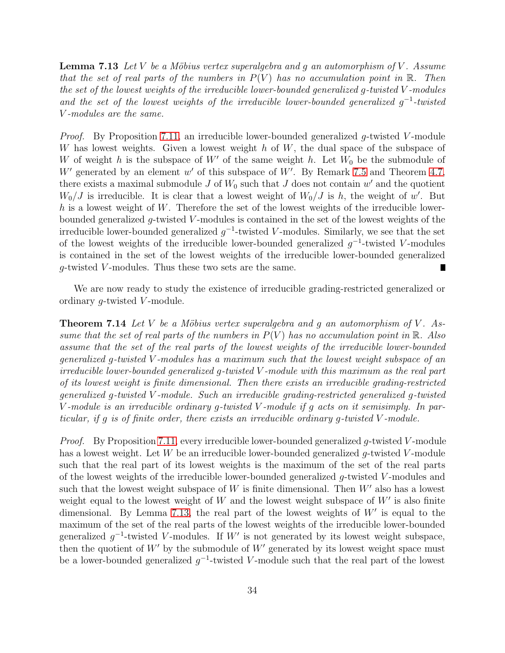**Lemma 7.13** Let V be a Möbius vertex superalgebra and g an automorphism of V. Assume that the set of real parts of the numbers in  $P(V)$  has no accumulation point in R. Then the set of the lowest weights of the irreducible lower-bounded generalized g-twisted V -modules and the set of the lowest weights of the irreducible lower-bounded generalized  $g^{-1}$ -twisted V -modules are the same.

*Proof.* By Proposition [7.11,](#page-31-1) an irreducible lower-bounded generalized  $q$ -twisted V-module W has lowest weights. Given a lowest weight  $h$  of  $W$ , the dual space of the subspace of W of weight h is the subspace of W' of the same weight h. Let  $W_0$  be the submodule of  $W'$  generated by an element  $w'$  of this subspace of  $W'$ . By Remark [7.5](#page-29-2) and Theorem [4.7,](#page-17-0) there exists a maximal submodule  $J$  of  $W_0$  such that  $J$  does not contain  $w'$  and the quotient  $W_0/J$  is irreducible. It is clear that a lowest weight of  $W_0/J$  is h, the weight of w'. But h is a lowest weight of W. Therefore the set of the lowest weights of the irreducible lowerbounded generalized  $q$ -twisted V-modules is contained in the set of the lowest weights of the irreducible lower-bounded generalized  $g^{-1}$ -twisted V-modules. Similarly, we see that the set of the lowest weights of the irreducible lower-bounded generalized  $g^{-1}$ -twisted V-modules is contained in the set of the lowest weights of the irreducible lower-bounded generalized g-twisted V -modules. Thus these two sets are the same.

<span id="page-33-0"></span>We are now ready to study the existence of irreducible grading-restricted generalized or ordinary g-twisted V -module.

**Theorem 7.14** Let V be a Möbius vertex superalgebra and g an automorphism of V. Assume that the set of real parts of the numbers in  $P(V)$  has no accumulation point in R. Also assume that the set of the real parts of the lowest weights of the irreducible lower-bounded generalized g-twisted V -modules has a maximum such that the lowest weight subspace of an irreducible lower-bounded generalized g-twisted V -module with this maximum as the real part of its lowest weight is finite dimensional. Then there exists an irreducible grading-restricted generalized g-twisted V -module. Such an irreducible grading-restricted generalized g-twisted V -module is an irreducible ordinary g-twisted V -module if g acts on it semisimply. In particular, if g is of finite order, there exists an irreducible ordinary g-twisted V -module.

*Proof.* By Proposition [7.11,](#page-31-1) every irreducible lower-bounded generalized q-twisted V-module has a lowest weight. Let  $W$  be an irreducible lower-bounded generalized g-twisted V-module such that the real part of its lowest weights is the maximum of the set of the real parts of the lowest weights of the irreducible lower-bounded generalized g-twisted V -modules and such that the lowest weight subspace of  $W$  is finite dimensional. Then  $W'$  also has a lowest weight equal to the lowest weight of  $W$  and the lowest weight subspace of  $W'$  is also finite dimensional. By Lemma [7.13,](#page-32-0) the real part of the lowest weights of  $W'$  is equal to the maximum of the set of the real parts of the lowest weights of the irreducible lower-bounded generalized  $g^{-1}$ -twisted V-modules. If W' is not generated by its lowest weight subspace, then the quotient of  $W'$  by the submodule of  $W'$  generated by its lowest weight space must be a lower-bounded generalized  $g^{-1}$ -twisted V-module such that the real part of the lowest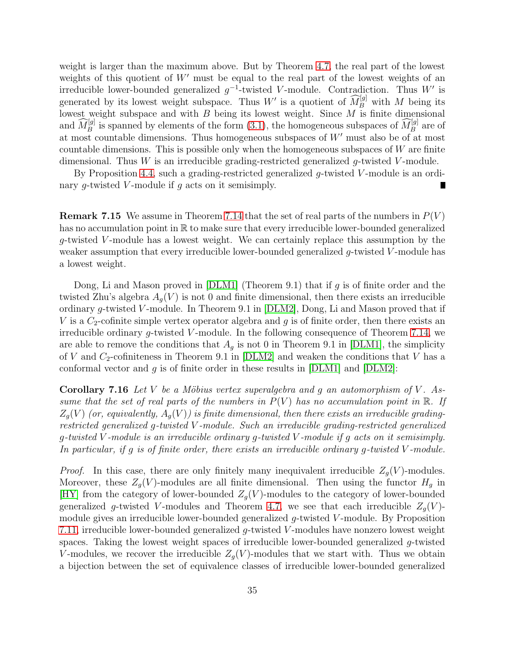weight is larger than the maximum above. But by Theorem [4.7,](#page-17-0) the real part of the lowest weights of this quotient of W' must be equal to the real part of the lowest weights of an irreducible lower-bounded generalized  $g^{-1}$ -twisted V-module. Contradiction. Thus W' is generated by its lowest weight subspace. Thus W' is a quotient of  $\widehat{M}_{B}^{[g]}$  with M being its lowest weight subspace and with  $B$  being its lowest weight. Since  $M$  is finite dimensional and  $\widehat{M}_{B}^{[g]}$  is spanned by elements of the form [\(3.1\)](#page-9-0), the homogeneous subspaces of  $\widehat{M}_{B}^{[g]}$  are of at most countable dimensions. Thus homogeneous subspaces of W′ must also be of at most countable dimensions. This is possible only when the homogeneous subspaces of  $W$  are finite dimensional. Thus  $W$  is an irreducible grading-restricted generalized g-twisted V-module.

By Proposition [4.4,](#page-15-2) such a grading-restricted generalized  $q$ -twisted V-module is an ordinary g-twisted V-module if  $g$  acts on it semisimply. Г

**Remark 7.15** We assume in Theorem [7.14](#page-33-0) that the set of real parts of the numbers in  $P(V)$ has no accumulation point in R to make sure that every irreducible lower-bounded generalized g-twisted V -module has a lowest weight. We can certainly replace this assumption by the weaker assumption that every irreducible lower-bounded generalized  $q$ -twisted V-module has a lowest weight.

Dong, Li and Mason proved in  $[DLM1]$  (Theorem 9.1) that if g is of finite order and the twisted Zhu's algebra  $A_q(V)$  is not 0 and finite dimensional, then there exists an irreducible ordinary g-twisted V-module. In Theorem 9.1 in  $[DLM2]$ , Dong, Li and Mason proved that if V is a  $C_2$ -cofinite simple vertex operator algebra and q is of finite order, then there exists an irreducible ordinary  $g$ -twisted V-module. In the following consequence of Theorem [7.14,](#page-33-0) we are able to remove the conditions that  $A<sub>q</sub>$  is not 0 in Theorem 9.1 in [\[DLM1\]](#page-39-8), the simplicity of V and  $C_2$ -cofiniteness in Theorem 9.1 in [\[DLM2\]](#page-39-0) and weaken the conditions that V has a conformal vector and g is of finite order in these results in  $[DLM1]$  and  $[DLM2]$ :

<span id="page-34-0"></span>**Corollary 7.16** Let V be a Möbius vertex superalgebra and g an automorphism of V. Assume that the set of real parts of the numbers in  $P(V)$  has no accumulation point in R. If  $Z_q(V)$  (or, equivalently,  $A_q(V)$ ) is finite dimensional, then there exists an irreducible gradingrestricted generalized g-twisted V -module. Such an irreducible grading-restricted generalized q-twisted V-module is an irreducible ordinary q-twisted V-module if q acts on it semisimply. In particular, if g is of finite order, there exists an irreducible ordinary g-twisted V -module.

*Proof.* In this case, there are only finitely many inequivalent irreducible  $Z_g(V)$ -modules. Moreover, these  $Z_g(V)$ -modules are all finite dimensional. Then using the functor  $H_g$  in [\[HY\]](#page-40-2) from the category of lower-bounded  $Z_q(V)$ -modules to the category of lower-bounded generalized g-twisted V-modules and Theorem [4.7,](#page-17-0) we see that each irreducible  $Z_q(V)$ module gives an irreducible lower-bounded generalized  $q$ -twisted V-module. By Proposition [7.11,](#page-31-1) irreducible lower-bounded generalized  $q$ -twisted V-modules have nonzero lowest weight spaces. Taking the lowest weight spaces of irreducible lower-bounded generalized g-twisted V-modules, we recover the irreducible  $Z_g(V)$ -modules that we start with. Thus we obtain a bijection between the set of equivalence classes of irreducible lower-bounded generalized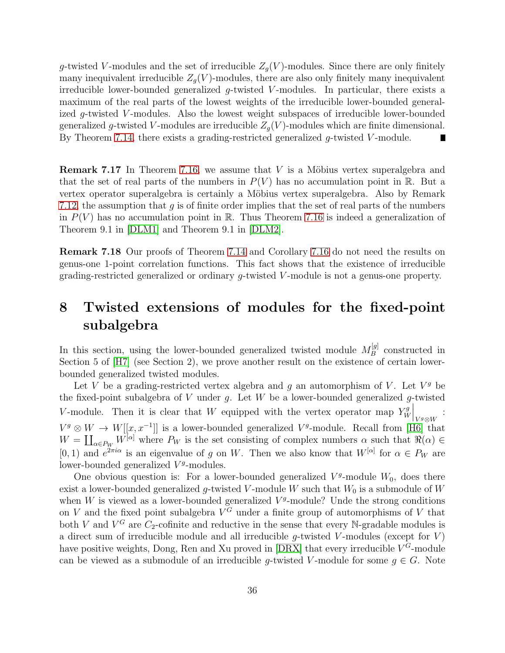g-twisted V-modules and the set of irreducible  $Z_g(V)$ -modules. Since there are only finitely many inequivalent irreducible  $Z_q(V)$ -modules, there are also only finitely many inequivalent irreducible lower-bounded generalized  $g$ -twisted V-modules. In particular, there exists a maximum of the real parts of the lowest weights of the irreducible lower-bounded generalized g-twisted V-modules. Also the lowest weight subspaces of irreducible lower-bounded generalized g-twisted V-modules are irreducible  $Z_g(V)$ -modules which are finite dimensional. By Theorem [7.14,](#page-33-0) there exists a grading-restricted generalized  $g$ -twisted V-module. П

**Remark 7.17** In Theorem [7.16,](#page-34-0) we assume that  $V$  is a Möbius vertex superalgebra and that the set of real parts of the numbers in  $P(V)$  has no accumulation point in R. But a vertex operator superalgebra is certainly a Möbius vertex superalgebra. Also by Remark [7.12,](#page-32-1) the assumption that  $q$  is of finite order implies that the set of real parts of the numbers in  $P(V)$  has no accumulation point in R. Thus Theorem [7.16](#page-34-0) is indeed a generalization of Theorem 9.1 in [\[DLM1\]](#page-39-8) and Theorem 9.1 in [\[DLM2\]](#page-39-0).

Remark 7.18 Our proofs of Theorem [7.14](#page-33-0) and Corollary [7.16](#page-34-0) do not need the results on genus-one 1-point correlation functions. This fact shows that the existence of irreducible grading-restricted generalized or ordinary g-twisted V -module is not a genus-one property.

## 8 Twisted extensions of modules for the fixed-point subalgebra

In this section, using the lower-bounded generalized twisted module  $M_B^{[g]}$  $B^{\left[q\right]}$  constructed in Section 5 of [\[H7\]](#page-40-0) (see Section 2), we prove another result on the existence of certain lowerbounded generalized twisted modules.

Let V be a grading-restricted vertex algebra and  $g$  an automorphism of V. Let  $V^g$  be the fixed-point subalgebra of  $V$  under  $g$ . Let  $W$  be a lower-bounded generalized  $g$ -twisted V-module. Then it is clear that W equipped with the vertex operator map  $Y_W^g$ W  $\bigg|_{V^g\otimes W}$ :  $V^g \otimes W \to W[[x, x^{-1}]]$  is a lower-bounded generalized  $V^g$ -module. Recall from [\[H6\]](#page-40-4) that  $W = \coprod_{\alpha \in P_W} W^{[\alpha]}$  where  $P_W$  is the set consisting of complex numbers  $\alpha$  such that  $\Re(\alpha) \in$ [0, 1) and  $e^{2\pi i \alpha}$  is an eigenvalue of g on W. Then we also know that  $W^{[\alpha]}$  for  $\alpha \in P_W$  are lower-bounded generalized  $V<sup>g</sup>$ -modules.

One obvious question is: For a lower-bounded generalized  $V<sup>g</sup>$ -module  $W<sub>0</sub>$ , does there exist a lower-bounded generalized g-twisted V-module W such that  $W_0$  is a submodule of W when  $W$  is viewed as a lower-bounded generalized  $V<sup>g</sup>$ -module? Unde the strong conditions on V and the fixed point subalgebra  $V^G$  under a finite group of automorphisms of V that both V and  $V^G$  are  $C_2$ -cofinite and reductive in the sense that every N-gradable modules is a direct sum of irreducible module and all irreducible  $q$ -twisted V-modules (except for V) have positive weights, Dong, Ren and Xu proved in [\[DRX\]](#page-39-10) that every irreducible  $V^G$ -module can be viewed as a submodule of an irreducible g-twisted V-module for some  $g \in G$ . Note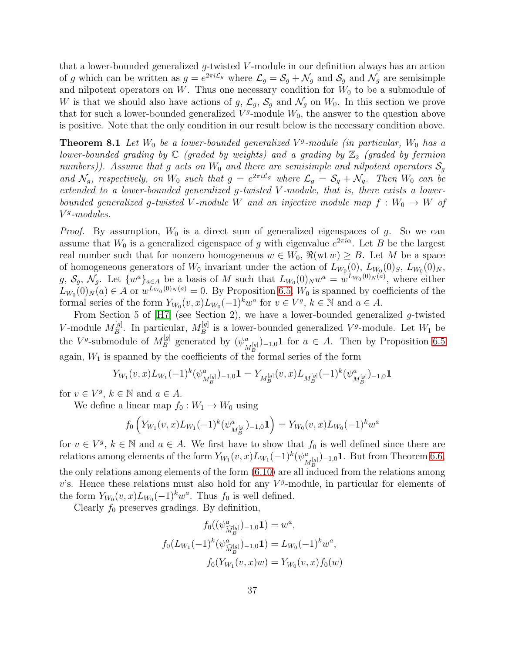that a lower-bounded generalized g-twisted V -module in our definition always has an action of g which can be written as  $g = e^{2\pi i \mathcal{L}_g}$  where  $\mathcal{L}_g = \mathcal{S}_g + \mathcal{N}_g$  and  $\mathcal{S}_g$  and  $\mathcal{N}_g$  are semisimple and nilpotent operators on  $W$ . Thus one necessary condition for  $W_0$  to be a submodule of W is that we should also have actions of g,  $\mathcal{L}_g$ ,  $\mathcal{S}_g$  and  $\mathcal{N}_g$  on  $W_0$ . In this section we prove that for such a lower-bounded generalized  $V<sup>g</sup>$ -module  $W<sub>0</sub>$ , the answer to the question above is positive. Note that the only condition in our result below is the necessary condition above.

**Theorem 8.1** Let  $W_0$  be a lower-bounded generalized  $V^g$ -module (in particular,  $W_0$  has a lower-bounded grading by  $\mathbb C$  (graded by weights) and a grading by  $\mathbb Z_2$  (graded by fermion numbers)). Assume that g acts on  $W_0$  and there are semisimple and nilpotent operators  $\mathcal{S}_g$ and  $\mathcal{N}_g$ , respectively, on  $W_0$  such that  $g = e^{2\pi i \mathcal{L}_g}$  where  $\mathcal{L}_g = \mathcal{S}_g + \mathcal{N}_g$ . Then  $W_0$  can be extended to a lower-bounded generalized g-twisted V -module, that is, there exists a lowerbounded generalized g-twisted V-module W and an injective module map  $f: W_0 \to W$  of V g -modules.

*Proof.* By assumption,  $W_0$  is a direct sum of generalized eigenspaces of g. So we can assume that  $W_0$  is a generalized eigenspace of g with eigenvalue  $e^{2\pi i\alpha}$ . Let B be the largest real number such that for nonzero homogeneous  $w \in W_0$ ,  $\Re(wtw) \geq B$ . Let M be a space of homogeneous generators of  $W_0$  invariant under the action of  $L_{W_0}(0)$ ,  $L_{W_0}(0)_S$ ,  $L_{W_0}(0)_N$ ,  $g, S_g, \mathcal{N}_g$ . Let  $\{w^a\}_{a \in A}$  be a basis of M such that  $L_{W_0}(0)_N w^a = w^{L_{W_0}(0)_N(a)}$ , where either  $L_{W_0}(0)_N(a) \in A$  or  $w^{L_{W_0}(0)_N(a)} = 0$ . By Proposition [6.5,](#page-26-3)  $W_0$  is spanned by coefficients of the formal series of the form  $Y_{W_0}(v, x)L_{W_0}(-1)^k w^a$  for  $v \in V^g$ ,  $k \in \mathbb{N}$  and  $a \in A$ .

From Section 5 of [\[H7\]](#page-40-0) (see Section 2), we have a lower-bounded generalized g-twisted V-module  $M_B^{[g]}$  $B^{[g]}$ . In particular,  $M_B^{[g]}$  $B_B^{\lfloor g \rfloor}$  is a lower-bounded generalized  $V^g$ -module. Let  $W_1$  be the V<sup>g</sup>-submodule of  $M_B^{[g]}$  $\psi_B^{[g]}$  generated by  $(\psi_{\lambda}^a)$  $\binom{a}{M_B^{[g]}}$ –1,0<sup>1</sup> for  $a \in A$ . Then by Proposition [6.5](#page-26-3) again,  $W_1$  is spanned by the coefficients of the formal series of the form

$$
Y_{W_1}(v,x)L_{W_1}(-1)^k(\psi_{M_B^{[g]}}^a)_{-1,0} \mathbf{1} = Y_{M_B^{[g]}}(v,x)L_{M_B^{[g]}}(-1)^k(\psi_{M_B^{[g]}}^a)_{-1,0} \mathbf{1}
$$

for  $v \in V^g$ ,  $k \in \mathbb{N}$  and  $a \in A$ .

We define a linear map  $f_0 : W_1 \to W_0$  using

$$
f_0\left(Y_{W_1}(v,x)L_{W_1}(-1)^k(\psi_{M_B^{[g]}}^a)_{-1,0}\mathbf{1}\right) = Y_{W_0}(v,x)L_{W_0}(-1)^k w^a
$$

for  $v \in V^g$ ,  $k \in \mathbb{N}$  and  $a \in A$ . We first have to show that  $f_0$  is well defined since there are relations among elements of the form  $Y_{W_1}(v, x)L_{W_1}(-1)^k(\psi_{\alpha}^a)$  $\binom{a}{M_B^{[g]}}$ <sub>-1,0</sub>1. But from Theorem [6.6,](#page-27-3) the only relations among elements of the form [\(6.10\)](#page-27-0) are all induced from the relations among  $v$ 's. Hence these relations must also hold for any  $V<sup>g</sup>$ -module, in particular for elements of the form  $Y_{W_0}(v, x)L_{W_0}(-1)^k w^a$ . Thus  $f_0$  is well defined.

Clearly  $f_0$  preserves gradings. By definition,

$$
f_0((\psi_{\widehat{M}_B^{[g]}}^a)_{-1,0} \mathbf{1}) = w^a,
$$
  

$$
f_0(L_{W_1}(-1)^k(\psi_{\widehat{M}_B^{[g]}}^a)_{-1,0} \mathbf{1}) = L_{W_0}(-1)^k w^a,
$$
  

$$
f_0(Y_{W_1}(v,x)w) = Y_{W_0}(v,x) f_0(w)
$$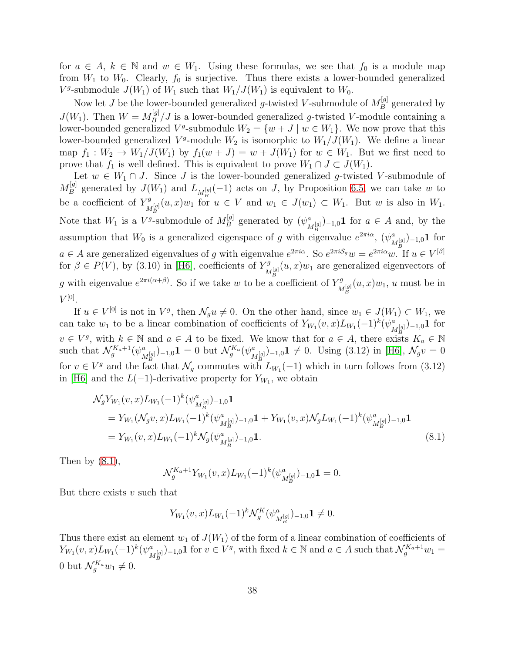for  $a \in A$ ,  $k \in \mathbb{N}$  and  $w \in W_1$ . Using these formulas, we see that  $f_0$  is a module map from  $W_1$  to  $W_0$ . Clearly,  $f_0$  is surjective. Thus there exists a lower-bounded generalized  $V^g$ -submodule  $J(W_1)$  of  $W_1$  such that  $W_1/J(W_1)$  is equivalent to  $W_0$ .

Now let J be the lower-bounded generalized g-twisted V-submodule of  $M_B^{[g]}$  $B^{\left[ g\right] }$  generated by  $J(W_1)$ . Then  $W = M_B^{[g]}$  $B_B^{[9]}/J$  is a lower-bounded generalized g-twisted V-module containing a lower-bounded generalized  $V^g$ -submodule  $W_2 = \{w + J \mid w \in W_1\}$ . We now prove that this lower-bounded generalized  $V^g$ -module  $W_2$  is isomorphic to  $W_1/J(W_1)$ . We define a linear map  $f_1: W_2 \to W_1/J(W_1)$  by  $f_1(w+J) = w+J(W_1)$  for  $w \in W_1$ . But we first need to prove that  $f_1$  is well defined. This is equivalent to prove  $W_1 \cap J \subset J(W_1)$ .

Let  $w \in W_1 \cap J$ . Since J is the lower-bounded generalized g-twisted V-submodule of  $M_B^{[g]}$ <sup>[g]</sup> generated by  $J(W_1)$  and  $L_{M_R^{[g]}}(-1)$  acts on J, by Proposition [6.5,](#page-26-3) we can take w to be a coefficient of  $Y^g_{\mathcal{F}^{[g]}}(u,x)w_1$  for  $M_B^{g}(u,x)w_1$  for  $u \in V$  and  $w_1 \in J(w_1) \subset W_1$ . But w is also in  $W_1$ . Note that  $W_1$  is a  $V^g$ -submodule of  $M_B^{[g]}$  $\psi_B^{[g]}$  generated by  $(\psi_{\lambda}^a)$  $\binom{a}{M_R^{[g]}}$ <sub>-1,0</sub>1 for  $a \in A$  and, by the assumption that  $W_0$  is a generalized eigenspace of g with eigenvalue  $e^{2\pi i\alpha}$ ,  $(\psi^a_i)$  $_{M_{B}^{[g]}}^{\mathop{a}\mathop{}_{)}\mathop{}}\text{--}^{~~\mathop{a}\mathop{}_{)}\mathop{}}\text{--}^{\mathop{a}\mathop{}_{}}\text{--}^{\mathop{}}\text{--}^{\mathop{a}\mathop{}_{}}\text{--}^{\mathop{a}\mathop{}_{}}\text{--}^{\mathop{a}\mathop{}_{}}\text{--}^{\mathop{a}\mathop{}_{}}\text{--}^{\mathop{a}\mathop{}_{}}\text{--}^{\mathop{a}\mathop{}_{}}\text{--}^{\mathop{a}\mathop{}_{}}\text{--}^{\mathop{a}\mathop{}_{}}\text{--}^$  $a \in A$  are generalized eigenvalues of g with eigenvalue  $e^{2\pi i\alpha}$ . So  $e^{2\pi iS_g}w = e^{2\pi i\alpha}w$ . If  $u \in V^{[\beta]}$ for  $\beta \in P(V)$ , by (3.10) in [\[H6\]](#page-40-4), coefficients of  $Y^g$  $\mathcal{M}_{M_R}^{[g]}(u,x)w_1$  are generalized eigenvectors of g with eigenvalue  $e^{2\pi i(\alpha+\beta)}$ . So if we take w to be a coefficient of  $Y_{\lambda}^g$  $\int_{M_B^{[g]}}^{M_g} (u, x) w_1, u$  must be in  $V^{\left[0\right]}$ .

If  $u \in V^{[0]}$  is not in  $V^g$ , then  $\mathcal{N}_g u \neq 0$ . On the other hand, since  $w_1 \in J(W_1) \subset W_1$ , we can take  $w_1$  to be a linear combination of coefficients of  $Y_{W_1}(v, x)L_{W_1}(-1)^k(\psi_{\lambda}^a)$  $\frac{a}{M_B^{[g]}}$ )–1,0 $\bf 1$  for  $v \in V^g$ , with  $k \in \mathbb{N}$  and  $a \in A$  to be fixed. We know that for  $a \in A$ , there exists  $K_a \in \mathbb{N}$ such that  $\mathcal{N}_g^{K_a+1}(\psi^a_{\lambda})$  $\mathcal{M}_{[g]}^{[g]}\big)$ –1,0 $\mathbf{1}=0$  but  $\mathcal{N}_{g}^{K_{a}}(\psi_{N}^{a})$  $\binom{a}{M_B^{[g]}}$ –1,0 $1 \neq 0$ . Using (3.12) in [\[H6\]](#page-40-4),  $\mathcal{N}_g v = 0$ for  $v \in V^g$  and the fact that  $\mathcal{N}_g$  commutes with  $L_{W_1}(-1)$  which in turn follows from (3.12) in [\[H6\]](#page-40-4) and the  $L(-1)$ -derivative property for  $Y_{W_1}$ , we obtain

$$
\mathcal{N}_g Y_{W_1}(v, x) L_{W_1}(-1)^k (\psi^a_{M_B^{[g]}})_{-1,0} \mathbf{1}
$$
\n
$$
= Y_{W_1}(\mathcal{N}_g v, x) L_{W_1}(-1)^k (\psi^a_{M_B^{[g]}})_{-1,0} \mathbf{1} + Y_{W_1}(v, x) \mathcal{N}_g L_{W_1}(-1)^k (\psi^a_{M_B^{[g]}})_{-1,0} \mathbf{1}
$$
\n
$$
= Y_{W_1}(v, x) L_{W_1}(-1)^k \mathcal{N}_g(\psi^a_{M_B^{[g]}})_{-1,0} \mathbf{1}.
$$
\n(8.1)

Then by  $(8.1)$ ,

<span id="page-37-0"></span>
$$
\mathcal{N}_g^{K_a+1} Y_{W_1}(v, x) L_{W_1}(-1)^k (\psi^a_{M_B^{[g]}})_{-1,0} \mathbf{1} = 0.
$$

But there exists  $v$  such that

$$
Y_{W_1}(v, x)L_{W_1}(-1)^k \mathcal{N}_g^K(\psi^a_{M_B^{[g]}})_{-1,0} \mathbf{1} \neq 0.
$$

Thus there exist an element  $w_1$  of  $J(W_1)$  of the form of a linear combination of coefficients of  $Y_{W_1}(v, x)L_{W_1}(-1)^k(\psi^a_{\lambda})$  $\binom{a}{M_B^{[g]}}$ –1,0<sup>1</sup> for  $v \in V^g$ , with fixed  $k \in \mathbb{N}$  and  $a \in A$  such that  $\mathcal{N}_g^{K_a+1}w_1 =$ 0 but  $\mathcal{N}_g^{K_a} w_1 \neq 0$ .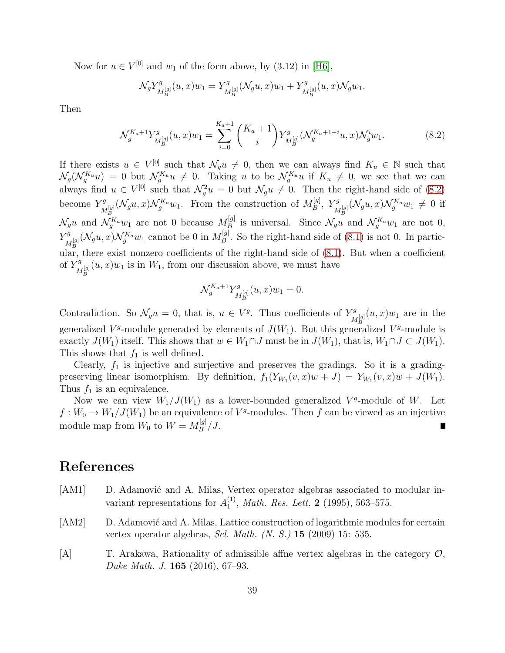Now for  $u \in V^{[0]}$  and  $w_1$  of the form above, by  $(3.12)$  in [\[H6\]](#page-40-4),

$$
\mathcal{N}_g Y^g_{M_B^{[g]}}(u, x) w_1 = Y^g_{M_B^{[g]}}(\mathcal{N}_g u, x) w_1 + Y^g_{M_B^{[g]}}(u, x) \mathcal{N}_g w_1.
$$

Then

$$
\mathcal{N}_g^{K_a+1} Y^g_{M_B^{[g]}}(u,x) w_1 = \sum_{i=0}^{K_a+1} {K_a+1 \choose i} Y^g_{M_B^{[g]}}(\mathcal{N}_g^{K_a+1-i} u, x) \mathcal{N}_g^{i} w_1.
$$
 (8.2)

If there exists  $u \in V^{[0]}$  such that  $\mathcal{N}_g u \neq 0$ , then we can always find  $K_u \in \mathbb{N}$  such that  $\mathcal{N}_g(\mathcal{N}_g^{K_u}u) = 0$  but  $\mathcal{N}_g^{K_u}u \neq 0$ . Taking u to be  $\mathcal{N}_g^{K_u}u$  if  $K_u \neq 0$ , we see that we can always find  $u \in V^{[0]}$  such that  $\mathcal{N}_g^2 u = 0$  but  $\mathcal{N}_g u \neq 0$ . Then the right-hand side of [\(8.2\)](#page-38-3) become  $Y^g$  $\mathcal{N}_{M_B}^{[g]}(\mathcal{N}_g u, x) \mathcal{N}_g^{Ka} w_1$ . From the construction of  $M_B^{[g]}$  $\stackrel{[g]}{B},\stackrel{Yg}{\stackrel{N}{\scriptscriptstyle N}}$  $\frac{d^{rg}}{M_B^{[g]}}(\mathcal{N}_g u, x)\mathcal{N}_g^{Ka}w_1 \neq 0$  if  $\mathcal{N}_g u$  and  $\mathcal{N}_g^{K_a} w_1$  are not 0 because  $M_B^{[g]}$ <sup>[g]</sup> is universal. Since  $\mathcal{N}_g u$  and  $\mathcal{N}_g^{K_a} w_1$  are not 0,  $Y^g$  $\mathcal{N}_{M_B}^{[g]}(\mathcal{N}_g u, x) \mathcal{N}_{g}^{K_a} w_1$  cannot be 0 in  $M_B^{[g]}$  $B^{\text{g}}$ . So the right-hand side of [\(8.1\)](#page-37-0) is not 0. In particular, there exist nonzero coefficients of the right-hand side of [\(8.1\)](#page-37-0). But when a coefficient of  $Y^g$  $\mathcal{L}_{M_B^{[g]}}(u,x)w_1$  is in  $W_1$ , from our discussion above, we must have

<span id="page-38-3"></span>
$$
\mathcal{N}_g^{K_a+1} Y^g_{M_B^{[g]}}(u,x) w_1 = 0.
$$

Contradiction. So  $\mathcal{N}_g u = 0$ , that is,  $u \in V^g$ . Thus coefficients of  $Y^g$ .  $\int_{M_B^{[g]}}^{M_g^{[g]}} (u, x) w_1$  are in the generalized  $V<sup>g</sup>$ -module generated by elements of  $J(W_1)$ . But this generalized  $V<sup>g</sup>$ -module is exactly  $J(W_1)$  itself. This shows that  $w \in W_1 \cap J$  must be in  $J(W_1)$ , that is,  $W_1 \cap J \subset J(W_1)$ . This shows that  $f_1$  is well defined.

Clearly,  $f_1$  is injective and surjective and preserves the gradings. So it is a gradingpreserving linear isomorphism. By definition,  $f_1(Y_{W_1}(v, x)w + J) = Y_{W_1}(v, x)w + J(W_1)$ . Thus  $f_1$  is an equivalence.

Now we can view  $W_1/J(W_1)$  as a lower-bounded generalized  $V^g$ -module of W. Let  $f: W_0 \to W_1/J(W_1)$  be an equivalence of  $V^g$ -modules. Then f can be viewed as an injective module map from  $W_0$  to  $W = M_B^{[g]}$  $\frac{g_1}{B}/J$ .

#### References

- <span id="page-38-0"></span>[AM1] D. Adamović and A. Milas, Vertex operator algebras associated to modular invariant representations for  $A_1^{(1)}$  $_1^{(1)}$ , Math. Res. Lett. **2** (1995), 563–575.
- <span id="page-38-2"></span>[AM2] D. Adamović and A. Milas, Lattice construction of logarithmic modules for certain vertex operator algebras, Sel. Math. (N. S.) 15 (2009) 15: 535.
- <span id="page-38-1"></span>[A] T. Arakawa, Rationality of admissible affne vertex algebras in the category O, Duke Math. J. 165 (2016), 67–93.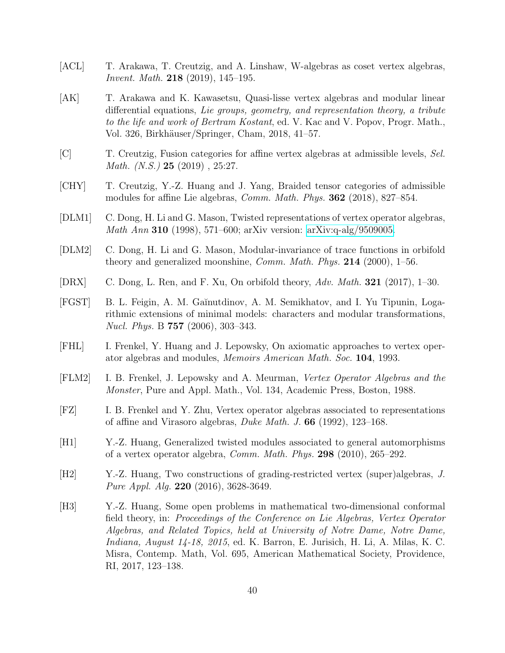- <span id="page-39-3"></span>[ACL] T. Arakawa, T. Creutzig, and A. Linshaw, W-algebras as coset vertex algebras, Invent. Math. 218 (2019), 145–195.
- <span id="page-39-4"></span>[AK] T. Arakawa and K. Kawasetsu, Quasi-lisse vertex algebras and modular linear differential equations, Lie groups, geometry, and representation theory, a tribute to the life and work of Bertram Kostant, ed. V. Kac and V. Popov, Progr. Math., Vol. 326, Birkh¨auser/Springer, Cham, 2018, 41–57.
- <span id="page-39-2"></span>[C] T. Creutzig, Fusion categories for affine vertex algebras at admissible levels, Sel. *Math.*  $(N.S.$ ) **25** (2019), 25:27.
- <span id="page-39-1"></span>[CHY] T. Creutzig, Y.-Z. Huang and J. Yang, Braided tensor categories of admissible modules for affine Lie algebras, Comm. Math. Phys. 362 (2018), 827–854.
- <span id="page-39-8"></span>[DLM1] C. Dong, H. Li and G. Mason, Twisted representations of vertex operator algebras, Math Ann 310 (1998), 571–600; arXiv version: [arXiv:q-alg/9509005.](http://arxiv.org/abs/q-alg/9509005)
- <span id="page-39-0"></span>[DLM2] C. Dong, H. Li and G. Mason, Modular-invariance of trace functions in orbifold theory and generalized moonshine, Comm. Math. Phys. 214 (2000), 1–56.
- <span id="page-39-10"></span>[DRX] C. Dong, L. Ren, and F. Xu, On orbifold theory, Adv. Math. 321 (2017), 1–30.
- <span id="page-39-7"></span>[FGST] B. L. Feigin, A. M. Ga˘ınutdinov, A. M. Semikhatov, and I. Yu Tipunin, Logarithmic extensions of minimal models: characters and modular transformations, Nucl. Phys. B 757 (2006), 303–343.
- <span id="page-39-9"></span>[FHL] I. Frenkel, Y. Huang and J. Lepowsky, On axiomatic approaches to vertex operator algebras and modules, Memoirs American Math. Soc. 104, 1993.
- [FLM2] I. B. Frenkel, J. Lepowsky and A. Meurman, Vertex Operator Algebras and the Monster, Pure and Appl. Math., Vol. 134, Academic Press, Boston, 1988.
- [FZ] I. B. Frenkel and Y. Zhu, Vertex operator algebras associated to representations of affine and Virasoro algebras, Duke Math. J. 66 (1992), 123–168.
- <span id="page-39-6"></span>[H1] Y.-Z. Huang, Generalized twisted modules associated to general automorphisms of a vertex operator algebra, *Comm. Math. Phys.* **298** (2010), 265–292.
- <span id="page-39-11"></span>[H2] Y.-Z. Huang, Two constructions of grading-restricted vertex (super)algebras, J. Pure Appl. Alg. **220** (2016), 3628-3649.
- <span id="page-39-5"></span>[H3] Y.-Z. Huang, Some open problems in mathematical two-dimensional conformal field theory, in: Proceedings of the Conference on Lie Algebras, Vertex Operator Algebras, and Related Topics, held at University of Notre Dame, Notre Dame, Indiana, August 14-18, 2015, ed. K. Barron, E. Jurisich, H. Li, A. Milas, K. C. Misra, Contemp. Math, Vol. 695, American Mathematical Society, Providence, RI, 2017, 123–138.